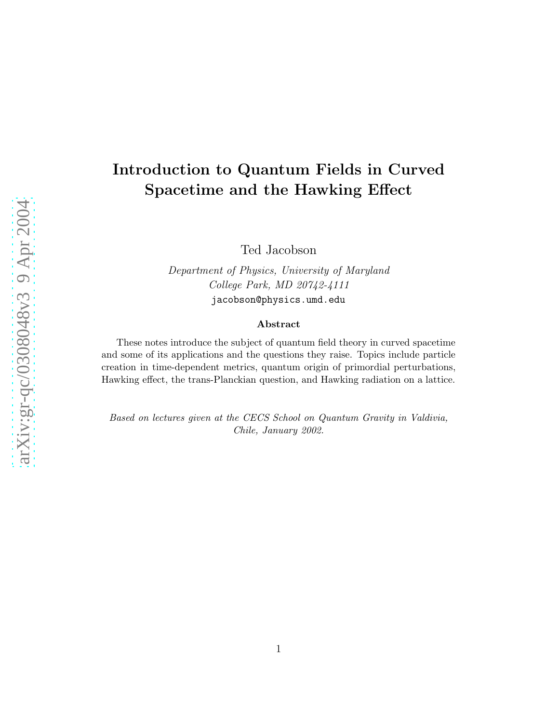# Introduction to Quantum Fields in Curved Spacetime and the Hawking Effect

Ted Jacobson

*Department of Physics, University of Maryland College Park, MD 20742-4111* jacobson@physics.umd.edu

#### Abstract

These notes introduce the subject of quantum field theory in curved spacetime and some of its applications and the questions they raise. Topics include particle creation in time-dependent metrics, quantum origin of primordial perturbations, Hawking effect, the trans-Planckian question, and Hawking radiation on a lattice.

Based on lectures given at the CECS School on Quantum Gravity in Valdivia, Chile, January 2002.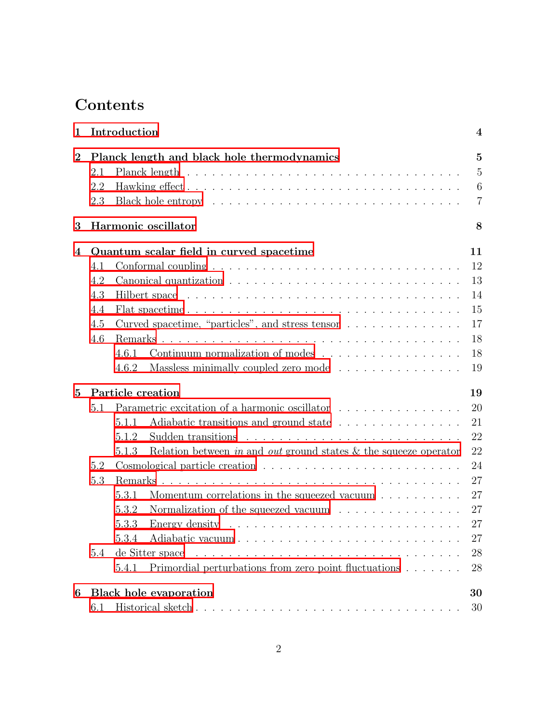# Contents

| 1                |                                             | Introduction |                                                                     | 4               |  |  |
|------------------|---------------------------------------------|--------------|---------------------------------------------------------------------|-----------------|--|--|
| $\boldsymbol{2}$ | Planck length and black hole thermodynamics |              |                                                                     |                 |  |  |
|                  | 2.1                                         |              |                                                                     | $\overline{5}$  |  |  |
|                  | 2.2                                         |              |                                                                     | $6\phantom{.}6$ |  |  |
|                  | 2.3                                         |              |                                                                     | $\overline{7}$  |  |  |
| 3                |                                             |              | Harmonic oscillator                                                 | 8               |  |  |
| 4                |                                             |              | Quantum scalar field in curved spacetime                            | 11              |  |  |
|                  | 4.1                                         |              |                                                                     | 12              |  |  |
|                  | 4.2                                         |              |                                                                     | 13              |  |  |
|                  | 4.3                                         |              |                                                                     | 14              |  |  |
|                  | 4.4                                         |              |                                                                     | 15              |  |  |
|                  | 4.5                                         |              | Curved spacetime, "particles", and stress tensor                    | 17              |  |  |
|                  | 4.6                                         |              |                                                                     | 18              |  |  |
|                  |                                             | 4.6.1        | Continuum normalization of modes                                    | 18              |  |  |
|                  |                                             | 4.6.2        | Massless minimally coupled zero mode                                | 19              |  |  |
| $\overline{5}$   | Particle creation<br>19                     |              |                                                                     |                 |  |  |
|                  | 5.1                                         |              | Parametric excitation of a harmonic oscillator                      | 20              |  |  |
|                  |                                             | 5.1.1        | Adiabatic transitions and ground state                              | 21              |  |  |
|                  |                                             | 5.1.2        |                                                                     | 22              |  |  |
|                  |                                             | 5.1.3        | Relation between in and out ground states $\&$ the squeeze operator | 22              |  |  |
|                  | 5.2                                         |              |                                                                     | 24              |  |  |
|                  | 5.3                                         |              |                                                                     | 27              |  |  |
|                  |                                             | 5.3.1        | Momentum correlations in the squeezed vacuum $\ldots \ldots \ldots$ | 27              |  |  |
|                  |                                             | 5.3.2        | Normalization of the squeezed vacuum                                | 27              |  |  |
|                  |                                             | 5.3.3        |                                                                     | 27              |  |  |
|                  |                                             |              |                                                                     | $27\,$          |  |  |
|                  | 5.4                                         |              | de Sitter space                                                     | 28              |  |  |
|                  |                                             | 5.4.1        | Primordial perturbations from zero point fluctuations               | 28              |  |  |
| 6                |                                             |              | <b>Black hole evaporation</b>                                       | 30              |  |  |
|                  | 30<br>6.1                                   |              |                                                                     |                 |  |  |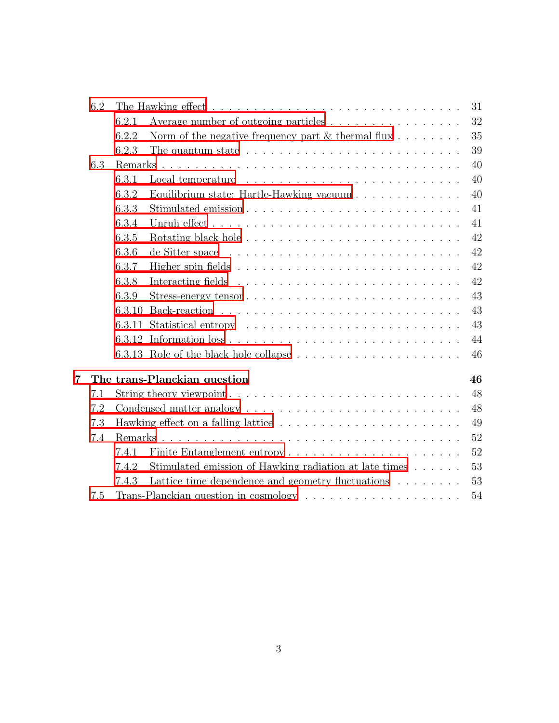|     |        | 31                                                                                            |
|-----|--------|-----------------------------------------------------------------------------------------------|
|     | 6.2.1  | Average number of outgoing particles<br>32                                                    |
|     | 6.2.2  | 35<br>Norm of the negative frequency part $\&$ thermal flux                                   |
|     | 6.2.3  | 39<br>The quantum state $\dots \dots \dots \dots \dots \dots \dots \dots \dots \dots$         |
| 6.3 |        | 40                                                                                            |
|     | 6.3.1  | 40                                                                                            |
|     | 6.3.2  | 40<br>Equilibrium state: Hartle-Hawking vacuum                                                |
|     | 6.3.3  | 41                                                                                            |
|     | 6.3.4  | 41                                                                                            |
|     | 6.3.5  | 42                                                                                            |
|     | 6.3.6  | 42<br>de Sitter space $\ldots \ldots \ldots \ldots \ldots \ldots \ldots \ldots \ldots \ldots$ |
|     | 6.3.7  | 42                                                                                            |
|     | 6.3.8  | 42                                                                                            |
|     | 6.3.9  | 43<br>Stress-energy tensor                                                                    |
|     | 6.3.10 | 43                                                                                            |
|     |        | 43                                                                                            |
|     |        | 44<br>Information loss                                                                        |
|     |        | 46                                                                                            |
|     |        | 46                                                                                            |
|     |        | The trans-Planckian question                                                                  |
| 7.1 |        | 48                                                                                            |
| 7.2 |        | 48                                                                                            |
| 7.3 |        | 49                                                                                            |
| 7.4 |        | 52                                                                                            |
|     | 7.4.1  | $52\,$                                                                                        |
|     | 7.4.2  | 53<br>Stimulated emission of Hawking radiation at late times                                  |
|     | 7.4.3  | Lattice time dependence and geometry fluctuations $\dots \dots$<br>$53\,$                     |
|     |        | 6.3.11<br>6.3.12                                                                              |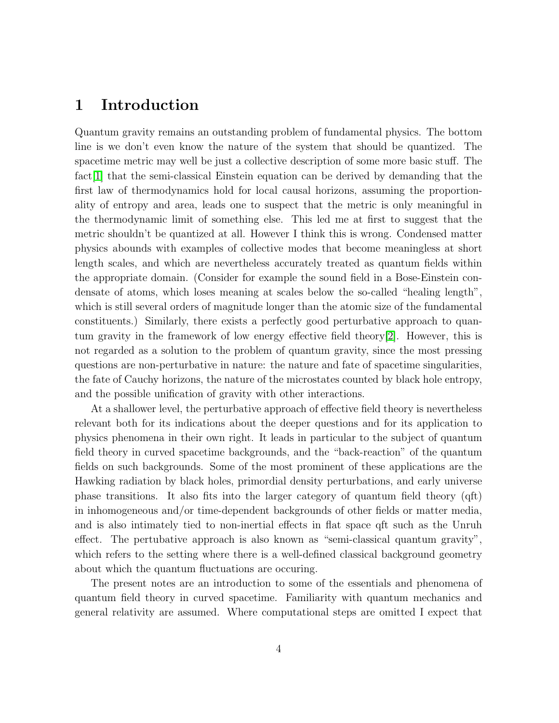# <span id="page-3-0"></span>1 Introduction

Quantum gravity remains an outstanding problem of fundamental physics. The bottom line is we don't even know the nature of the system that should be quantized. The spacetime metric may well be just a collective description of some more basic stuff. The fact[\[1\]](#page-53-1) that the semi-classical Einstein equation can be derived by demanding that the first law of thermodynamics hold for local causal horizons, assuming the proportionality of entropy and area, leads one to suspect that the metric is only meaningful in the thermodynamic limit of something else. This led me at first to suggest that the metric shouldn't be quantized at all. However I think this is wrong. Condensed matter physics abounds with examples of collective modes that become meaningless at short length scales, and which are nevertheless accurately treated as quantum fields within the appropriate domain. (Consider for example the sound field in a Bose-Einstein condensate of atoms, which loses meaning at scales below the so-called "healing length", which is still several orders of magnitude longer than the atomic size of the fundamental constituents.) Similarly, there exists a perfectly good perturbative approach to quantum gravity in the framework of low energy effective field theory[\[2\]](#page-53-2). However, this is not regarded as a solution to the problem of quantum gravity, since the most pressing questions are non-perturbative in nature: the nature and fate of spacetime singularities, the fate of Cauchy horizons, the nature of the microstates counted by black hole entropy, and the possible unification of gravity with other interactions.

At a shallower level, the perturbative approach of effective field theory is nevertheless relevant both for its indications about the deeper questions and for its application to physics phenomena in their own right. It leads in particular to the subject of quantum field theory in curved spacetime backgrounds, and the "back-reaction" of the quantum fields on such backgrounds. Some of the most prominent of these applications are the Hawking radiation by black holes, primordial density perturbations, and early universe phase transitions. It also fits into the larger category of quantum field theory (qft) in inhomogeneous and/or time-dependent backgrounds of other fields or matter media, and is also intimately tied to non-inertial effects in flat space qft such as the Unruh effect. The pertubative approach is also known as "semi-classical quantum gravity", which refers to the setting where there is a well-defined classical background geometry about which the quantum fluctuations are occuring.

The present notes are an introduction to some of the essentials and phenomena of quantum field theory in curved spacetime. Familiarity with quantum mechanics and general relativity are assumed. Where computational steps are omitted I expect that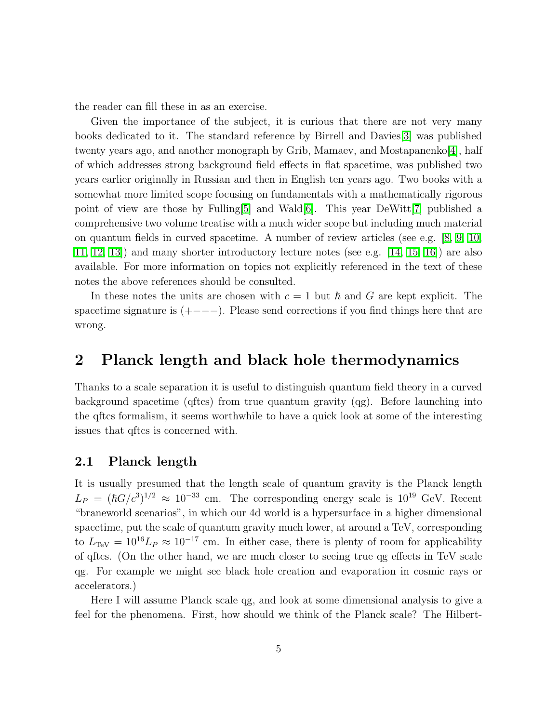the reader can fill these in as an exercise.

Given the importance of the subject, it is curious that there are not very many books dedicated to it. The standard reference by Birrell and Davies[\[3\]](#page-53-3) was published twenty years ago, and another monograph by Grib, Mamaev, and Mostapanenko[\[4\]](#page-54-0), half of which addresses strong background field effects in flat spacetime, was published two years earlier originally in Russian and then in English ten years ago. Two books with a somewhat more limited scope focusing on fundamentals with a mathematically rigorous point of view are those by Fulling [\[5\]](#page-54-1) and Wald  $[6]$ . This year DeWitt  $[7]$  published a comprehensive two volume treatise with a much wider scope but including much material on quantum fields in curved spacetime. A number of review articles (see e.g. [\[8,](#page-54-4) [9,](#page-54-5) [10,](#page-54-6) [11,](#page-54-7) [12,](#page-54-8) [13\]](#page-54-9)) and many shorter introductory lecture notes (see e.g. [\[14,](#page-54-10) [15,](#page-54-11) [16\]](#page-54-12)) are also available. For more information on topics not explicitly referenced in the text of these notes the above references should be consulted.

In these notes the units are chosen with  $c = 1$  but  $\hbar$  and G are kept explicit. The spacetime signature is  $(+---)$ . Please send corrections if you find things here that are wrong.

## <span id="page-4-0"></span>2 Planck length and black hole thermodynamics

Thanks to a scale separation it is useful to distinguish quantum field theory in a curved background spacetime (qftcs) from true quantum gravity (qg). Before launching into the qftcs formalism, it seems worthwhile to have a quick look at some of the interesting issues that qftcs is concerned with.

## <span id="page-4-1"></span>2.1 Planck length

It is usually presumed that the length scale of quantum gravity is the Planck length  $L_P = (\hbar G/c^3)^{1/2} \approx 10^{-33}$  cm. The corresponding energy scale is  $10^{19}$  GeV. Recent "braneworld scenarios", in which our 4d world is a hypersurface in a higher dimensional spacetime, put the scale of quantum gravity much lower, at around a TeV, corresponding to  $L_{\text{TeV}} = 10^{16} L_P \approx 10^{-17}$  cm. In either case, there is plenty of room for applicability of qftcs. (On the other hand, we are much closer to seeing true qg effects in TeV scale qg. For example we might see black hole creation and evaporation in cosmic rays or accelerators.)

Here I will assume Planck scale qg, and look at some dimensional analysis to give a feel for the phenomena. First, how should we think of the Planck scale? The Hilbert-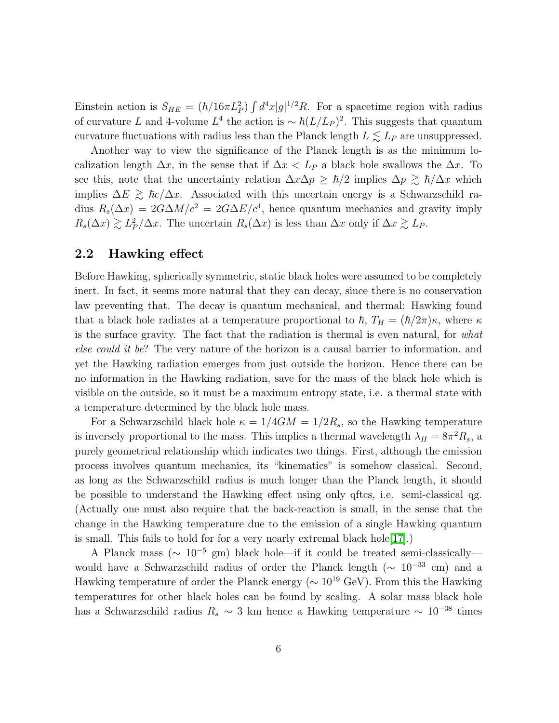Einstein action is  $S_{HE} = (\hbar/16\pi L_P^2) \int d^4x |g|^{1/2}R$ . For a spacetime region with radius of curvature L and 4-volume  $L^4$  the action is  $\sim \hbar (L/L_P)^2$ . This suggests that quantum curvature fluctuations with radius less than the Planck length  $L \lesssim L_P$  are unsuppressed.

Another way to view the significance of the Planck length is as the minimum localization length  $\Delta x$ , in the sense that if  $\Delta x < L_P$  a black hole swallows the  $\Delta x$ . To see this, note that the uncertainty relation  $\Delta x \Delta p \geq \hbar/2$  implies  $\Delta p \geq \hbar/\Delta x$  which implies  $\Delta E \ge \hbar c/\Delta x$ . Associated with this uncertain energy is a Schwarzschild radius  $R_s(\Delta x) = 2G\Delta M/c^2 = 2G\Delta E/c^4$ , hence quantum mechanics and gravity imply  $R_s(\Delta x) \gtrsim L_P^2/\Delta x$ . The uncertain  $R_s(\Delta x)$  is less than  $\Delta x$  only if  $\Delta x \gtrsim L_P$ .

## <span id="page-5-0"></span>2.2 Hawking effect

Before Hawking, spherically symmetric, static black holes were assumed to be completely inert. In fact, it seems more natural that they can decay, since there is no conservation law preventing that. The decay is quantum mechanical, and thermal: Hawking found that a black hole radiates at a temperature proportional to  $\hbar$ ,  $T_H = (\hbar/2\pi)\kappa$ , where  $\kappa$ is the surface gravity. The fact that the radiation is thermal is even natural, for *what else could it be*? The very nature of the horizon is a causal barrier to information, and yet the Hawking radiation emerges from just outside the horizon. Hence there can be no information in the Hawking radiation, save for the mass of the black hole which is visible on the outside, so it must be a maximum entropy state, i.e. a thermal state with a temperature determined by the black hole mass.

For a Schwarzschild black hole  $\kappa = 1/4GM = 1/2R_s$ , so the Hawking temperature is inversely proportional to the mass. This implies a thermal wavelength  $\lambda_H = 8\pi^2 R_s$ , a purely geometrical relationship which indicates two things. First, although the emission process involves quantum mechanics, its "kinematics" is somehow classical. Second, as long as the Schwarzschild radius is much longer than the Planck length, it should be possible to understand the Hawking effect using only qftcs, i.e. semi-classical qg. (Actually one must also require that the back-reaction is small, in the sense that the change in the Hawking temperature due to the emission of a single Hawking quantum is small. This fails to hold for for a very nearly extremal black hole[\[17\]](#page-54-13).)

A Planck mass ( $\sim 10^{-5}$  gm) black hole—if it could be treated semi-classically would have a Schwarzschild radius of order the Planck length ( $\sim 10^{-33}$  cm) and a Hawking temperature of order the Planck energy ( $\sim 10^{19}$  GeV). From this the Hawking temperatures for other black holes can be found by scaling. A solar mass black hole has a Schwarzschild radius  $R_s \sim 3$  km hence a Hawking temperature  $\sim 10^{-38}$  times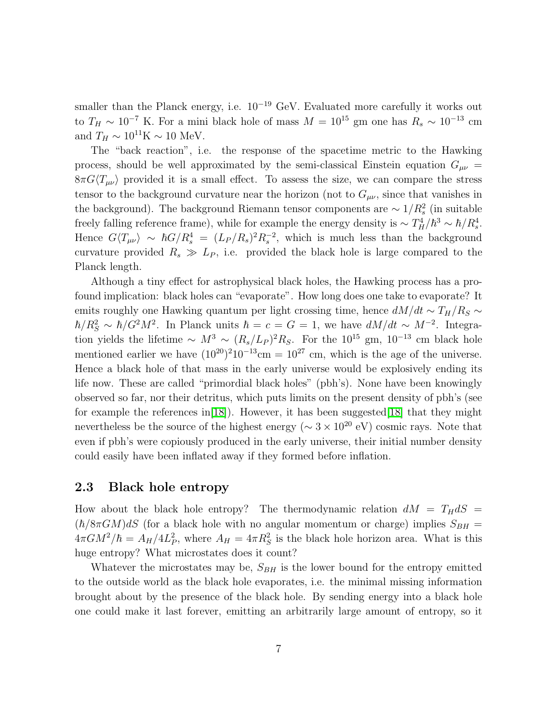smaller than the Planck energy, i.e.  $10^{-19}$  GeV. Evaluated more carefully it works out to  $T_H \sim 10^{-7}$  K. For a mini black hole of mass  $M = 10^{15}$  gm one has  $R_s \sim 10^{-13}$  cm and  $T_H \sim 10^{11}$ K ~ 10 MeV.

The "back reaction", i.e. the response of the spacetime metric to the Hawking process, should be well approximated by the semi-classical Einstein equation  $G_{\mu\nu}$  =  $8\pi G\langle T_{\mu\nu}\rangle$  provided it is a small effect. To assess the size, we can compare the stress tensor to the background curvature near the horizon (not to  $G_{\mu\nu}$ , since that vanishes in the background). The background Riemann tensor components are  $\sim 1/R_s^2$  (in suitable freely falling reference frame), while for example the energy density is  $\sim T_H^4/\hbar^3 \sim \hbar/R_s^4$ . Hence  $G\langle T_{\mu\nu} \rangle \sim \hbar G/R_s^4 = (L_P/R_s)^2 R_s^{-2}$ , which is much less than the background curvature provided  $R_s \gg L_P$ , i.e. provided the black hole is large compared to the Planck length.

Although a tiny effect for astrophysical black holes, the Hawking process has a profound implication: black holes can "evaporate". How long does one take to evaporate? It emits roughly one Hawking quantum per light crossing time, hence  $dM/dt \sim T_H/R_S \sim$  $\hbar/R_S^2 \sim \hbar/G^2M^2$ . In Planck units  $\hbar = c = G = 1$ , we have  $dM/dt \sim M^{-2}$ . Integration yields the lifetime  $\sim M^3 \sim (R_s/L_P)^2 R_S$ . For the 10<sup>15</sup> gm, 10<sup>-13</sup> cm black hole mentioned earlier we have  $(10^{20})^2 10^{-13}$ cm =  $10^{27}$  cm, which is the age of the universe. Hence a black hole of that mass in the early universe would be explosively ending its life now. These are called "primordial black holes" (pbh's). None have been knowingly observed so far, nor their detritus, which puts limits on the present density of pbh's (see for example the references in [\[18\]](#page-55-0)). However, it has been suggested [18] that they might nevertheless be the source of the highest energy ( $\sim 3 \times 10^{20}$  eV) cosmic rays. Note that even if pbh's were copiously produced in the early universe, their initial number density could easily have been inflated away if they formed before inflation.

## <span id="page-6-0"></span>2.3 Black hole entropy

How about the black hole entropy? The thermodynamic relation  $dM = T_H dS$  $(\hbar/8\pi GM)dS$  (for a black hole with no angular momentum or charge) implies  $S_{BH}$  =  $4\pi GM^2/\hbar = A_H/4L_P^2$ , where  $A_H = 4\pi R_S^2$  is the black hole horizon area. What is this huge entropy? What microstates does it count?

Whatever the microstates may be,  $S_{BH}$  is the lower bound for the entropy emitted to the outside world as the black hole evaporates, i.e. the minimal missing information brought about by the presence of the black hole. By sending energy into a black hole one could make it last forever, emitting an arbitrarily large amount of entropy, so it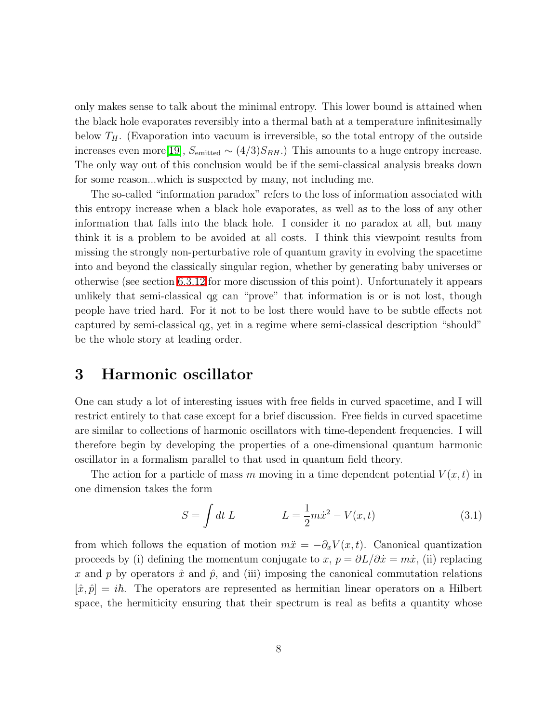only makes sense to talk about the minimal entropy. This lower bound is attained when the black hole evaporates reversibly into a thermal bath at a temperature infinitesimally below  $T_H$ . (Evaporation into vacuum is irreversible, so the total entropy of the outside increases even more[\[19\]](#page-55-1),  $S_{\text{emitted}} \sim (4/3)S_{BH}$ .) This amounts to a huge entropy increase. The only way out of this conclusion would be if the semi-classical analysis breaks down for some reason...which is suspected by many, not including me.

The so-called "information paradox" refers to the loss of information associated with this entropy increase when a black hole evaporates, as well as to the loss of any other information that falls into the black hole. I consider it no paradox at all, but many think it is a problem to be avoided at all costs. I think this viewpoint results from missing the strongly non-perturbative role of quantum gravity in evolving the spacetime into and beyond the classically singular region, whether by generating baby universes or otherwise (see section [6.3.12](#page-43-0) for more discussion of this point). Unfortunately it appears unlikely that semi-classical qg can "prove" that information is or is not lost, though people have tried hard. For it not to be lost there would have to be subtle effects not captured by semi-classical qg, yet in a regime where semi-classical description "should" be the whole story at leading order.

# <span id="page-7-0"></span>3 Harmonic oscillator

One can study a lot of interesting issues with free fields in curved spacetime, and I will restrict entirely to that case except for a brief discussion. Free fields in curved spacetime are similar to collections of harmonic oscillators with time-dependent frequencies. I will therefore begin by developing the properties of a one-dimensional quantum harmonic oscillator in a formalism parallel to that used in quantum field theory.

<span id="page-7-1"></span>The action for a particle of mass m moving in a time dependent potential  $V(x, t)$  in one dimension takes the form

$$
S = \int dt L \qquad L = \frac{1}{2}m\dot{x}^2 - V(x,t) \qquad (3.1)
$$

from which follows the equation of motion  $m\ddot{x} = -\partial_x V(x, t)$ . Canonical quantization proceeds by (i) defining the momentum conjugate to x,  $p = \partial L/\partial \dot{x} = m\dot{x}$ , (ii) replacing x and p by operators  $\hat{x}$  and  $\hat{p}$ , and (iii) imposing the canonical commutation relations  $[\hat{x}, \hat{p}] = i\hbar$ . The operators are represented as hermitian linear operators on a Hilbert space, the hermiticity ensuring that their spectrum is real as befits a quantity whose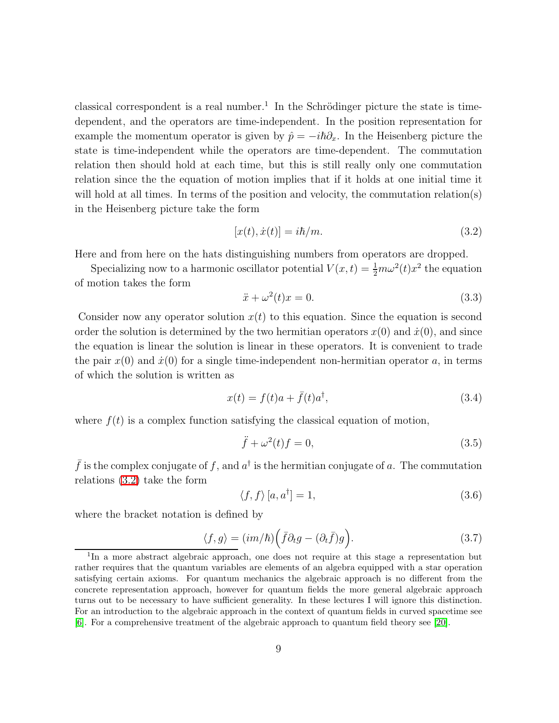classical correspondent is a real number.<sup>1</sup> In the Schrödinger picture the state is timedependent, and the operators are time-independent. In the position representation for example the momentum operator is given by  $\hat{p} = -i\hbar\partial_x$ . In the Heisenberg picture the state is time-independent while the operators are time-dependent. The commutation relation then should hold at each time, but this is still really only one commutation relation since the the equation of motion implies that if it holds at one initial time it will hold at all times. In terms of the position and velocity, the commutation relation(s) in the Heisenberg picture take the form

<span id="page-8-0"></span>
$$
[x(t), \dot{x}(t)] = i\hbar/m.
$$
\n(3.2)

Here and from here on the hats distinguishing numbers from operators are dropped.

Specializing now to a harmonic oscillator potential  $V(x,t) = \frac{1}{2}m\omega^2(t)x^2$  the equation of motion takes the form

<span id="page-8-5"></span>
$$
\ddot{x} + \omega^2(t)x = 0.
$$
\n(3.3)

Consider now any operator solution  $x(t)$  to this equation. Since the equation is second order the solution is determined by the two hermitian operators  $x(0)$  and  $\dot{x}(0)$ , and since the equation is linear the solution is linear in these operators. It is convenient to trade the pair  $x(0)$  and  $\dot{x}(0)$  for a single time-independent non-hermitian operator a, in terms of which the solution is written as

<span id="page-8-4"></span><span id="page-8-1"></span>
$$
x(t) = f(t)a + \bar{f}(t)a^{\dagger}, \tag{3.4}
$$

where  $f(t)$  is a complex function satisfying the classical equation of motion,

$$
\ddot{f} + \omega^2(t)f = 0,\tag{3.5}
$$

 $\bar{f}$  is the complex conjugate of f, and  $a^{\dagger}$  is the hermitian conjugate of a. The commutation relations [\(3.2\)](#page-8-0) take the form

$$
\langle f, f \rangle [a, a^{\dagger}] = 1,\tag{3.6}
$$

<span id="page-8-2"></span>where the bracket notation is defined by

<span id="page-8-3"></span>
$$
\langle f, g \rangle = (im/\hbar) \Big( \bar{f} \partial_t g - (\partial_t \bar{f}) g \Big). \tag{3.7}
$$

<sup>&</sup>lt;sup>1</sup>In a more abstract algebraic approach, one does not require at this stage a representation but rather requires that the quantum variables are elements of an algebra equipped with a star operation satisfying certain axioms. For quantum mechanics the algebraic approach is no different from the concrete representation approach, however for quantum fields the more general algebraic approach turns out to be necessary to have sufficient generality. In these lectures I will ignore this distinction. For an introduction to the algebraic approach in the context of quantum fields in curved spacetime see [\[6\]](#page-54-2). For a comprehensive treatment of the algebraic approach to quantum field theory see [\[20\]](#page-55-2).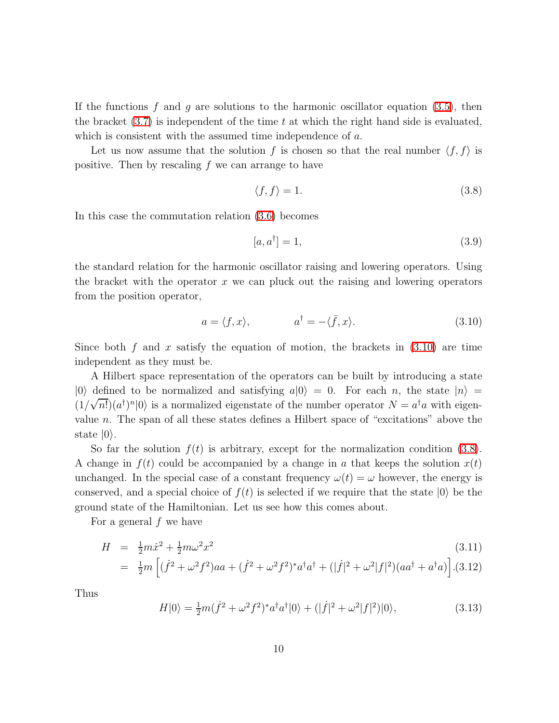If the functions f and g are solutions to the harmonic oscillator equation  $(3.5)$ , then the bracket  $(3.7)$  is independent of the time t at which the right hand side is evaluated, which is consistent with the assumed time independence of a.

Let us now assume that the solution f is chosen so that the real number  $\langle f, f \rangle$  is positive. Then by rescaling  $f$  we can arrange to have

<span id="page-9-1"></span>
$$
\langle f, f \rangle = 1. \tag{3.8}
$$

In this case the commutation relation [\(3.6\)](#page-8-3) becomes

<span id="page-9-2"></span>
$$
[a, a^{\dagger}] = 1,\tag{3.9}
$$

the standard relation for the harmonic oscillator raising and lowering operators. Using the bracket with the operator  $x$  we can pluck out the raising and lowering operators from the position operator,

<span id="page-9-0"></span>
$$
a = \langle f, x \rangle, \qquad a^{\dagger} = -\langle \bar{f}, x \rangle. \tag{3.10}
$$

Since both f and x satisfy the equation of motion, the brackets in  $(3.10)$  are time independent as they must be.

A Hilbert space representation of the operators can be built by introducing a state  $|0\rangle$  defined to be normalized and satisfying  $a|0\rangle = 0$ . For each n, the state  $|n\rangle =$  $(1/\sqrt{n!})$  $(a^{\dagger})^n |0\rangle$  is a normalized eigenstate of the number operator  $N = a^{\dagger}a$  with eigenvalue  $n$ . The span of all these states defines a Hilbert space of "excitations" above the state  $|0\rangle$ .

So far the solution  $f(t)$  is arbitrary, except for the normalization condition [\(3.8\)](#page-9-1). A change in  $f(t)$  could be accompanied by a change in a that keeps the solution  $x(t)$ unchanged. In the special case of a constant frequency  $\omega(t) = \omega$  however, the energy is conserved, and a special choice of  $f(t)$  is selected if we require that the state  $|0\rangle$  be the ground state of the Hamiltonian. Let us see how this comes about.

<span id="page-9-3"></span>For a general  $f$  we have

$$
H = \frac{1}{2}m\dot{x}^2 + \frac{1}{2}m\omega^2 x^2
$$
\n
$$
= \frac{1}{2}m\left[ (\dot{f}^2 + \omega^2 f^2)aa + (\dot{f}^2 + \omega^2 f^2)^* a^\dagger a^\dagger + (|\dot{f}|^2 + \omega^2 |f|^2)(aa^\dagger + a^\dagger a) \right]. (3.12)
$$
\n(3.13)

Thus

$$
H|0\rangle = \frac{1}{2}m(\dot{f}^2 + \omega^2 f^2)^* a^\dagger a^\dagger |0\rangle + (|\dot{f}|^2 + \omega^2 |f|^2)|0\rangle, \tag{3.13}
$$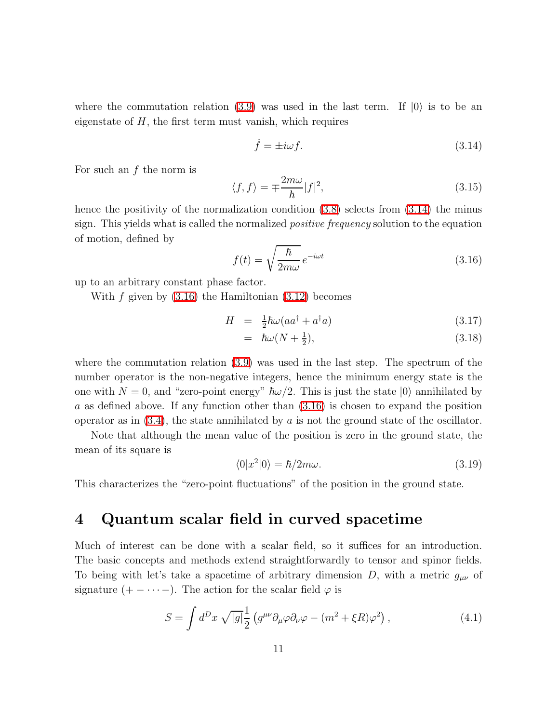where the commutation relation [\(3.9\)](#page-9-2) was used in the last term. If  $|0\rangle$  is to be an eigenstate of  $H$ , the first term must vanish, which requires

<span id="page-10-1"></span>
$$
\dot{f} = \pm i\omega f. \tag{3.14}
$$

For such an  $f$  the norm is

$$
\langle f, f \rangle = \pm \frac{2m\omega}{\hbar} |f|^2,\tag{3.15}
$$

hence the positivity of the normalization condition  $(3.8)$  selects from  $(3.14)$  the minus sign. This yields what is called the normalized *positive frequency* solution to the equation of motion, defined by

<span id="page-10-2"></span>
$$
f(t) = \sqrt{\frac{\hbar}{2m\omega}} e^{-i\omega t}
$$
 (3.16)

up to an arbitrary constant phase factor.

With  $f$  given by  $(3.16)$  the Hamiltonian  $(3.12)$  becomes

$$
H = \frac{1}{2}\hbar\omega(aa^{\dagger} + a^{\dagger}a) \tag{3.17}
$$

$$
= \hbar\omega(N+\frac{1}{2}), \tag{3.18}
$$

where the commutation relation [\(3.9\)](#page-9-2) was used in the last step. The spectrum of the number operator is the non-negative integers, hence the minimum energy state is the one with  $N = 0$ , and "zero-point energy"  $\hbar \omega/2$ . This is just the state  $|0\rangle$  annihilated by a as defined above. If any function other than [\(3.16\)](#page-10-2) is chosen to expand the position operator as in  $(3.4)$ , the state annihilated by a is not the ground state of the oscillator.

Note that although the mean value of the position is zero in the ground state, the mean of its square is

<span id="page-10-3"></span>
$$
\langle 0|x^2|0\rangle = \hbar/2m\omega.
$$
\n(3.19)

<span id="page-10-0"></span>This characterizes the "zero-point fluctuations" of the position in the ground state.

# 4 Quantum scalar field in curved spacetime

Much of interest can be done with a scalar field, so it suffices for an introduction. The basic concepts and methods extend straightforwardly to tensor and spinor fields. To being with let's take a spacetime of arbitrary dimension D, with a metric  $g_{\mu\nu}$  of signature (+ – · · · –). The action for the scalar field  $\varphi$  is

$$
S = \int d^D x \sqrt{|g|} \frac{1}{2} \left( g^{\mu\nu} \partial_\mu \varphi \partial_\nu \varphi - (m^2 + \xi R) \varphi^2 \right), \tag{4.1}
$$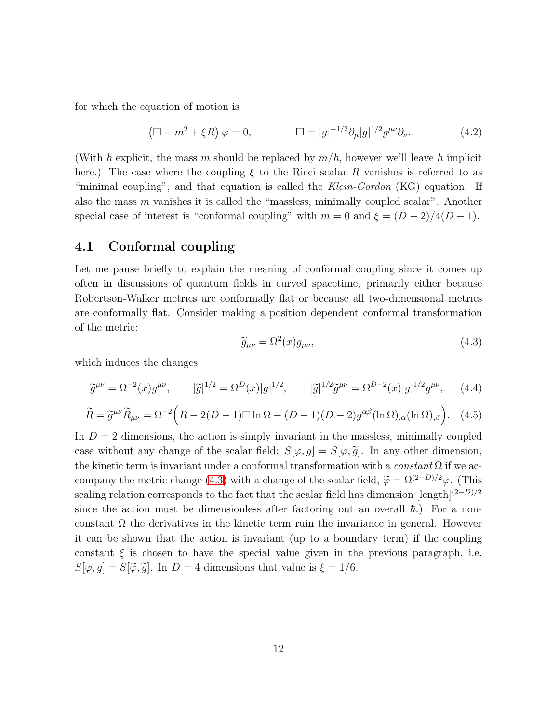<span id="page-11-2"></span>for which the equation of motion is

$$
\left(\Box + m^2 + \xi R\right)\varphi = 0, \qquad \qquad \Box = |g|^{-1/2}\partial_\mu |g|^{1/2}g^{\mu\nu}\partial_\nu. \tag{4.2}
$$

(With  $\hbar$  explicit, the mass m should be replaced by  $m/\hbar$ , however we'll leave  $\hbar$  implicit here.) The case where the coupling  $\xi$  to the Ricci scalar R vanishes is referred to as "minimal coupling", and that equation is called the *Klein-Gordon* (KG) equation. If also the mass  $m$  vanishes it is called the "massless, minimally coupled scalar". Another special case of interest is "conformal coupling" with  $m = 0$  and  $\xi = (D-2)/4(D-1)$ .

## <span id="page-11-0"></span>4.1 Conformal coupling

Let me pause briefly to explain the meaning of conformal coupling since it comes up often in discussions of quantum fields in curved spacetime, primarily either because Robertson-Walker metrics are conformally flat or because all two-dimensional metrics are conformally flat. Consider making a position dependent conformal transformation of the metric:

<span id="page-11-1"></span>
$$
\widetilde{g}_{\mu\nu} = \Omega^2(x) g_{\mu\nu},\tag{4.3}
$$

which induces the changes

$$
\tilde{g}^{\mu\nu} = \Omega^{-2}(x)g^{\mu\nu}, \qquad |\tilde{g}|^{1/2} = \Omega^{D}(x)|g|^{1/2}, \qquad |\tilde{g}|^{1/2}\tilde{g}^{\mu\nu} = \Omega^{D-2}(x)|g|^{1/2}g^{\mu\nu}, \qquad (4.4)
$$

$$
\widetilde{R} = \widetilde{g}^{\mu\nu}\widetilde{R}_{\mu\nu} = \Omega^{-2}\Big(R - 2(D - 1)\square\ln\Omega - (D - 1)(D - 2)g^{\alpha\beta}(\ln\Omega)_{,\alpha}(\ln\Omega)_{,\beta}\Big). \tag{4.5}
$$

In  $D = 2$  dimensions, the action is simply invariant in the massless, minimally coupled case without any change of the scalar field:  $S[\varphi, g] = S[\varphi, \tilde{g}]$ . In any other dimension, the kinetic term is invariant under a conformal transformation with a *constant* Ω if we ac-company the metric change [\(4.3\)](#page-11-1) with a change of the scalar field,  $\tilde{\varphi} = \Omega^{(2-D)/2}\varphi$ . (This scaling relation corresponds to the fact that the scalar field has dimension  $[\text{length}]^{(2-D)/2}$ since the action must be dimensionless after factoring out an overall  $\hbar$ .) For a nonconstant  $\Omega$  the derivatives in the kinetic term ruin the invariance in general. However it can be shown that the action is invariant (up to a boundary term) if the coupling constant  $\xi$  is chosen to have the special value given in the previous paragraph, i.e.  $S[\varphi, g] = S[\tilde{\varphi}, \tilde{g}]$ . In  $D = 4$  dimensions that value is  $\xi = 1/6$ .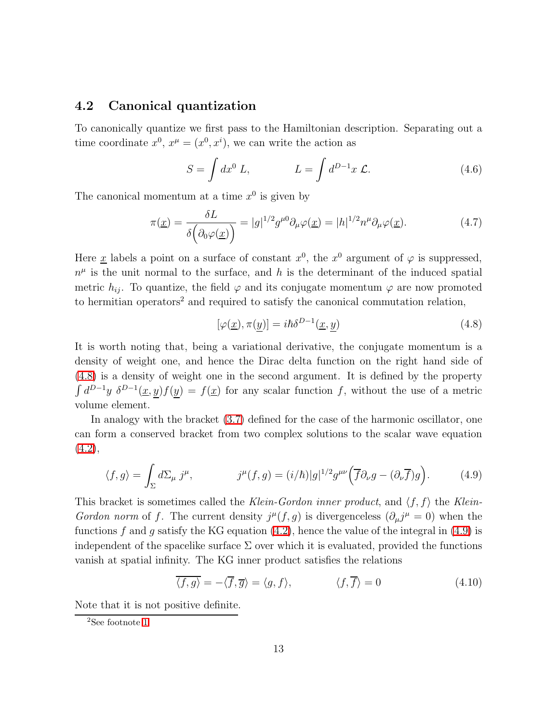## <span id="page-12-0"></span>4.2 Canonical quantization

To canonically quantize we first pass to the Hamiltonian description. Separating out a time coordinate  $x^0, x^\mu = (x^0, x^i)$ , we can write the action as

$$
S = \int dx^0 L, \qquad L = \int d^{D-1}x \mathcal{L}.
$$
 (4.6)

<span id="page-12-3"></span>The canonical momentum at a time  $x^0$  is given by

$$
\pi(\underline{x}) = \frac{\delta L}{\delta\left(\partial_0\varphi(\underline{x})\right)} = |g|^{1/2} g^{\mu 0} \partial_\mu\varphi(\underline{x}) = |h|^{1/2} n^\mu \partial_\mu\varphi(\underline{x}).\tag{4.7}
$$

Here <u>x</u> labels a point on a surface of constant  $x^0$ , the  $x^0$  argument of  $\varphi$  is suppressed,  $n^{\mu}$  is the unit normal to the surface, and h is the determinant of the induced spatial metric  $h_{ij}$ . To quantize, the field  $\varphi$  and its conjugate momentum  $\varphi$  are now promoted to hermitian operators<sup>2</sup> and required to satisfy the canonical commutation relation,

<span id="page-12-1"></span>
$$
[\varphi(\underline{x}), \pi(\underline{y})] = i\hbar \delta^{D-1}(\underline{x}, \underline{y})
$$
\n(4.8)

It is worth noting that, being a variational derivative, the conjugate momentum is a density of weight one, and hence the Dirac delta function on the right hand side of [\(4.8\)](#page-12-1) is a density of weight one in the second argument. It is defined by the property  $\int d^{D-1}y \ \delta^{D-1}(\underline{x},y)f(y) = f(\underline{x})$  for any scalar function f, without the use of a metric volume element.

<span id="page-12-2"></span>In analogy with the bracket [\(3.7\)](#page-8-2) defined for the case of the harmonic oscillator, one can form a conserved bracket from two complex solutions to the scalar wave equation  $(4.2),$  $(4.2),$ 

$$
\langle f, g \rangle = \int_{\Sigma} d\Sigma_{\mu} j^{\mu}, \qquad j^{\mu}(f, g) = (i/\hbar)|g|^{1/2} g^{\mu\nu} \left( \overline{f} \partial_{\nu} g - (\partial_{\nu} \overline{f}) g \right). \tag{4.9}
$$

This bracket is sometimes called the *Klein-Gordon inner product*, and  $\langle f, f \rangle$  the *Klein-Gordon norm* of f. The current density  $j^{\mu}(f, g)$  is divergenceless  $(\partial_{\mu}j^{\mu} = 0)$  when the functions f and g satisfy the KG equation  $(4.2)$ , hence the value of the integral in  $(4.9)$  is independent of the spacelike surface  $\Sigma$  over which it is evaluated, provided the functions vanish at spatial infinity. The KG inner product satisfies the relations

$$
\langle f, g \rangle = -\langle \overline{f}, \overline{g} \rangle = \langle g, f \rangle, \qquad \langle f, \overline{f} \rangle = 0 \qquad (4.10)
$$

<span id="page-12-4"></span>Note that it is not positive definite.

<sup>2</sup>See footnote [1.](#page-7-1)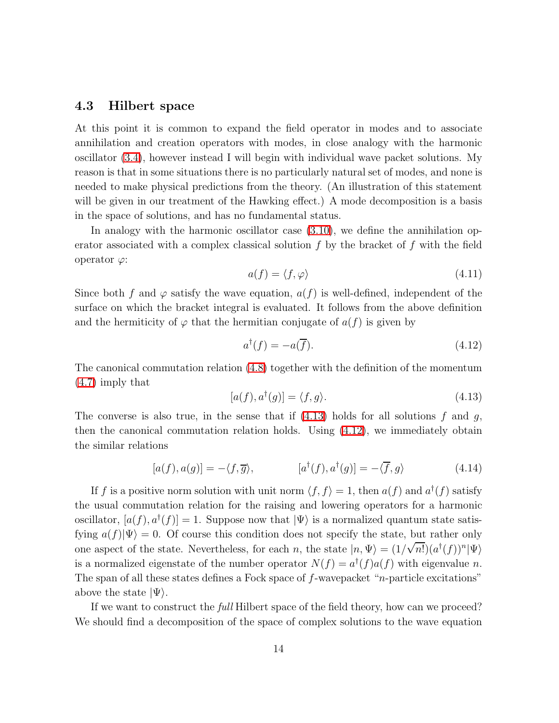## <span id="page-13-0"></span>4.3 Hilbert space

At this point it is common to expand the field operator in modes and to associate annihilation and creation operators with modes, in close analogy with the harmonic oscillator [\(3.4\)](#page-8-4), however instead I will begin with individual wave packet solutions. My reason is that in some situations there is no particularly natural set of modes, and none is needed to make physical predictions from the theory. (An illustration of this statement will be given in our treatment of the Hawking effect.) A mode decomposition is a basis in the space of solutions, and has no fundamental status.

In analogy with the harmonic oscillator case [\(3.10\)](#page-9-0), we define the annihilation operator associated with a complex classical solution  $f$  by the bracket of  $f$  with the field operator  $\varphi$ :

<span id="page-13-4"></span>
$$
a(f) = \langle f, \varphi \rangle \tag{4.11}
$$

Since both f and  $\varphi$  satisfy the wave equation,  $a(f)$  is well-defined, independent of the surface on which the bracket integral is evaluated. It follows from the above definition and the hermiticity of  $\varphi$  that the hermitian conjugate of  $a(f)$  is given by

<span id="page-13-2"></span>
$$
a^{\dagger}(f) = -a(\overline{f}). \tag{4.12}
$$

The canonical commutation relation [\(4.8\)](#page-12-1) together with the definition of the momentum [\(4.7\)](#page-12-3) imply that

<span id="page-13-1"></span>
$$
[a(f), a^{\dagger}(g)] = \langle f, g \rangle. \tag{4.13}
$$

<span id="page-13-3"></span>The converse is also true, in the sense that if  $(4.13)$  holds for all solutions f and g, then the canonical commutation relation holds. Using [\(4.12\)](#page-13-2), we immediately obtain the similar relations

$$
[a(f), a(g)] = -\langle f, \overline{g} \rangle, \qquad [a^{\dagger}(f), a^{\dagger}(g)] = -\langle \overline{f}, g \rangle \qquad (4.14)
$$

If f is a positive norm solution with unit norm  $\langle f, f \rangle = 1$ , then  $a(f)$  and  $a^{\dagger}(f)$  satisfy the usual commutation relation for the raising and lowering operators for a harmonic oscillator,  $[a(f), a^{\dagger}(f)] = 1$ . Suppose now that  $|\Psi\rangle$  is a normalized quantum state satisfying  $a(f)|\Psi\rangle = 0$ . Of course this condition does not specify the state, but rather only one aspect of the state. Nevertheless, for each n, the state  $|n, \Psi\rangle = (1/\sqrt{n!}) (a^{\dagger}(f))^n |\Psi\rangle$ is a normalized eigenstate of the number operator  $N(f) = a^{\dagger}(f)a(f)$  with eigenvalue n. The span of all these states defines a Fock space of  $f$ -wavepacket "n-particle excitations" above the state  $|\Psi\rangle$ .

If we want to construct the *full* Hilbert space of the field theory, how can we proceed? We should find a decomposition of the space of complex solutions to the wave equation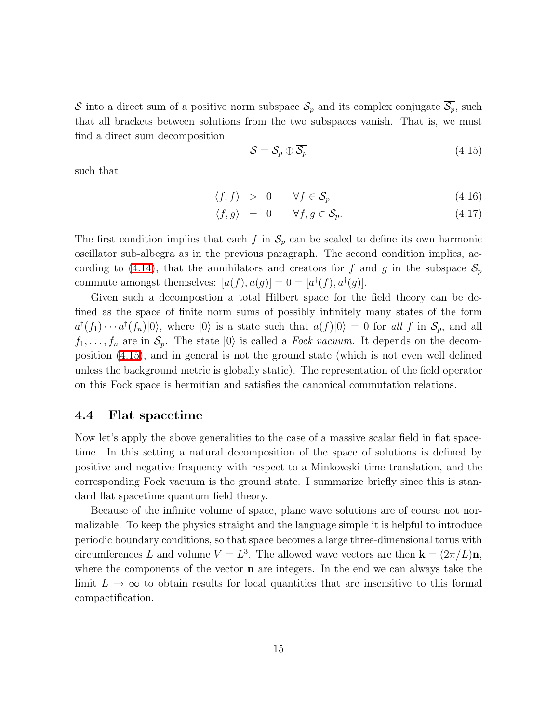S into a direct sum of a positive norm subspace  $S_p$  and its complex conjugate  $\overline{S_p}$ , such that all brackets between solutions from the two subspaces vanish. That is, we must find a direct sum decomposition

<span id="page-14-1"></span>
$$
S = S_p \oplus \overline{S_p} \tag{4.15}
$$

such that

<span id="page-14-2"></span>
$$
\langle f, f \rangle > 0 \qquad \forall f \in \mathcal{S}_p \tag{4.16}
$$

$$
\langle f, \overline{g} \rangle = 0 \qquad \forall f, g \in \mathcal{S}_p. \tag{4.17}
$$

The first condition implies that each f in  $S_p$  can be scaled to define its own harmonic oscillator sub-albegra as in the previous paragraph. The second condition implies, ac-cording to [\(4.14\)](#page-13-3), that the annihilators and creators for f and g in the subspace  $S_p$ commute amongst themselves:  $[a(f), a(g)] = 0 = [a^{\dagger}(f), a^{\dagger}(g)].$ 

Given such a decompostion a total Hilbert space for the field theory can be defined as the space of finite norm sums of possibly infinitely many states of the form  $a^{\dagger}(f_1)\cdots a^{\dagger}(f_n)|0\rangle$ , where  $|0\rangle$  is a state such that  $a(f)|0\rangle = 0$  for all f in  $S_p$ , and all  $f_1, \ldots, f_n$  are in  $S_p$ . The state  $|0\rangle$  is called a *Fock vacuum*. It depends on the decomposition [\(4.15\)](#page-14-1), and in general is not the ground state (which is not even well defined unless the background metric is globally static). The representation of the field operator on this Fock space is hermitian and satisfies the canonical commutation relations.

### <span id="page-14-0"></span>4.4 Flat spacetime

Now let's apply the above generalities to the case of a massive scalar field in flat spacetime. In this setting a natural decomposition of the space of solutions is defined by positive and negative frequency with respect to a Minkowski time translation, and the corresponding Fock vacuum is the ground state. I summarize briefly since this is standard flat spacetime quantum field theory.

Because of the infinite volume of space, plane wave solutions are of course not normalizable. To keep the physics straight and the language simple it is helpful to introduce periodic boundary conditions, so that space becomes a large three-dimensional torus with circumferences L and volume  $V = L^3$ . The allowed wave vectors are then  $\mathbf{k} = (2\pi/L)\mathbf{n}$ , where the components of the vector **n** are integers. In the end we can always take the limit  $L \to \infty$  to obtain results for local quantities that are insensitive to this formal compactification.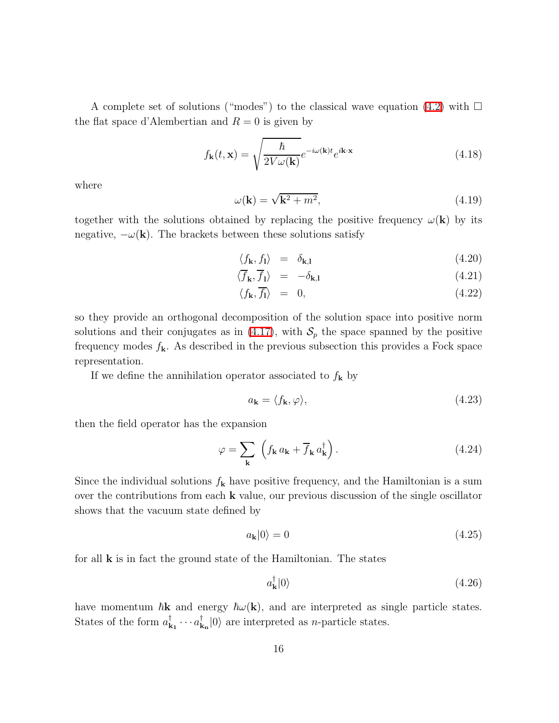A complete set of solutions ("modes") to the classical wave equation [\(4.2\)](#page-11-2) with  $\Box$ the flat space d'Alembertian and  $R = 0$  is given by

<span id="page-15-0"></span>
$$
f_{\mathbf{k}}(t,\mathbf{x}) = \sqrt{\frac{\hbar}{2V\omega(\mathbf{k})}}e^{-i\omega(\mathbf{k})t}e^{i\mathbf{k}\cdot\mathbf{x}}
$$
(4.18)

where

$$
\omega(\mathbf{k}) = \sqrt{\mathbf{k}^2 + m^2},\tag{4.19}
$$

together with the solutions obtained by replacing the positive frequency  $\omega(\mathbf{k})$  by its negative,  $-\omega(\mathbf{k})$ . The brackets between these solutions satisfy

<span id="page-15-1"></span>
$$
\langle f_{\mathbf{k}}, f_{\mathbf{l}} \rangle = \delta_{\mathbf{k}, \mathbf{l}} \tag{4.20}
$$

$$
\langle \overline{f}_{\mathbf{k}}, \overline{f}_{\mathbf{l}} \rangle = -\delta_{\mathbf{k},\mathbf{l}} \tag{4.21}
$$

$$
\langle f_{\mathbf{k}}, \overline{f_1} \rangle = 0, \tag{4.22}
$$

so they provide an orthogonal decomposition of the solution space into positive norm solutions and their conjugates as in [\(4.17\)](#page-14-2), with  $S_p$  the space spanned by the positive frequency modes  $f_{\mathbf{k}}$ . As described in the previous subsection this provides a Fock space representation.

If we define the annihilation operator associated to  $f_{\bf k}$  by

$$
a_{\mathbf{k}} = \langle f_{\mathbf{k}}, \varphi \rangle, \tag{4.23}
$$

then the field operator has the expansion

<span id="page-15-2"></span>
$$
\varphi = \sum_{\mathbf{k}} \left( f_{\mathbf{k}} a_{\mathbf{k}} + \overline{f}_{\mathbf{k}} a_{\mathbf{k}}^{\dagger} \right).
$$
 (4.24)

Since the individual solutions  $f_{\bf k}$  have positive frequency, and the Hamiltonian is a sum over the contributions from each  $k$  value, our previous discussion of the single oscillator shows that the vacuum state defined by

$$
a_{\mathbf{k}}|0\rangle = 0\tag{4.25}
$$

for all  $k$  is in fact the ground state of the Hamiltonian. The states

$$
a_{\mathbf{k}}^{\dagger}|0\rangle\tag{4.26}
$$

have momentum  $\hbar$ **k** and energy  $\hbar\omega(\mathbf{k})$ , and are interpreted as single particle states. States of the form  $a_{\mathbf{k_1}}^{\dagger} \cdots a_{\mathbf{k_n}}^{\dagger} |0\rangle$  are interpreted as *n*-particle states.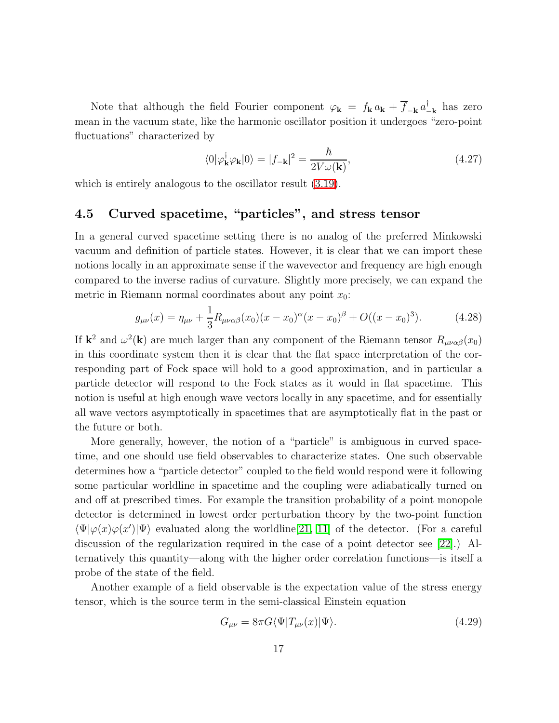Note that although the field Fourier component  $\varphi_{\bf k} = f_{\bf k} a_{\bf k} + \overline{f}_{-{\bf k}} a_{{\bf k}}^{\dagger}$  has zero mean in the vacuum state, like the harmonic oscillator position it undergoes "zero-point fluctuations" characterized by

<span id="page-16-1"></span>
$$
\langle 0|\varphi_{\mathbf{k}}^{\dagger}\varphi_{\mathbf{k}}|0\rangle = |f_{-\mathbf{k}}|^{2} = \frac{\hbar}{2V\omega(\mathbf{k})},\tag{4.27}
$$

<span id="page-16-0"></span>which is entirely analogous to the oscillator result  $(3.19)$ .

## 4.5 Curved spacetime, "particles", and stress tensor

In a general curved spacetime setting there is no analog of the preferred Minkowski vacuum and definition of particle states. However, it is clear that we can import these notions locally in an approximate sense if the wavevector and frequency are high enough compared to the inverse radius of curvature. Slightly more precisely, we can expand the metric in Riemann normal coordinates about any point  $x_0$ :

$$
g_{\mu\nu}(x) = \eta_{\mu\nu} + \frac{1}{3} R_{\mu\nu\alpha\beta}(x_0)(x - x_0)^{\alpha}(x - x_0)^{\beta} + O((x - x_0)^3). \tag{4.28}
$$

If  $\mathbf{k}^2$  and  $\omega^2(\mathbf{k})$  are much larger than any component of the Riemann tensor  $R_{\mu\nu\alpha\beta}(x_0)$ in this coordinate system then it is clear that the flat space interpretation of the corresponding part of Fock space will hold to a good approximation, and in particular a particle detector will respond to the Fock states as it would in flat spacetime. This notion is useful at high enough wave vectors locally in any spacetime, and for essentially all wave vectors asymptotically in spacetimes that are asymptotically flat in the past or the future or both.

More generally, however, the notion of a "particle" is ambiguous in curved spacetime, and one should use field observables to characterize states. One such observable determines how a "particle detector" coupled to the field would respond were it following some particular worldline in spacetime and the coupling were adiabatically turned on and off at prescribed times. For example the transition probability of a point monopole detector is determined in lowest order perturbation theory by the two-point function  $\langle \Psi | \varphi(x) \varphi(x') | \Psi \rangle$  evaluated along the worldline[\[21,](#page-55-3) [11\]](#page-54-7) of the detector. (For a careful discussion of the regularization required in the case of a point detector see [\[22\]](#page-55-4).) Alternatively this quantity—along with the higher order correlation functions—is itself a probe of the state of the field.

Another example of a field observable is the expectation value of the stress energy tensor, which is the source term in the semi-classical Einstein equation

$$
G_{\mu\nu} = 8\pi G \langle \Psi | T_{\mu\nu}(x) | \Psi \rangle. \tag{4.29}
$$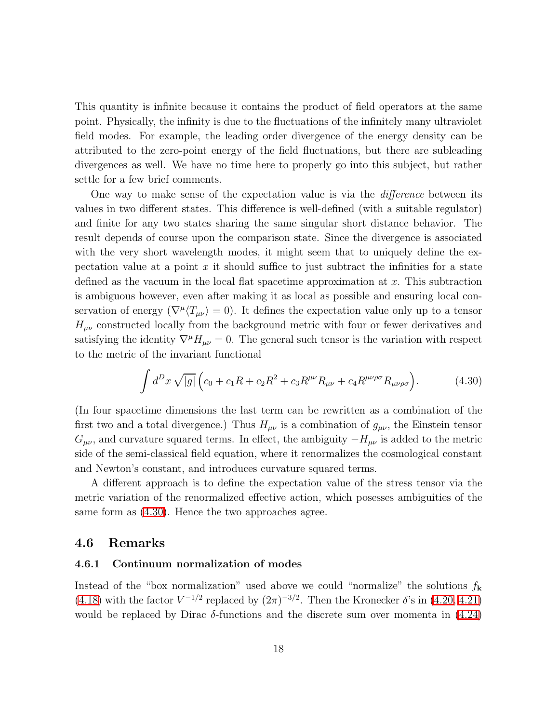This quantity is infinite because it contains the product of field operators at the same point. Physically, the infinity is due to the fluctuations of the infinitely many ultraviolet field modes. For example, the leading order divergence of the energy density can be attributed to the zero-point energy of the field fluctuations, but there are subleading divergences as well. We have no time here to properly go into this subject, but rather settle for a few brief comments.

One way to make sense of the expectation value is via the *difference* between its values in two different states. This difference is well-defined (with a suitable regulator) and finite for any two states sharing the same singular short distance behavior. The result depends of course upon the comparison state. Since the divergence is associated with the very short wavelength modes, it might seem that to uniquely define the expectation value at a point  $x$  it should suffice to just subtract the infinities for a state defined as the vacuum in the local flat spacetime approximation at  $x$ . This subtraction is ambiguous however, even after making it as local as possible and ensuring local conservation of energy  $(\nabla^{\mu} \langle T_{\mu\nu} \rangle = 0)$ . It defines the expectation value only up to a tensor  $H_{\mu\nu}$  constructed locally from the background metric with four or fewer derivatives and satisfying the identity  $\nabla^{\mu}H_{\mu\nu}=0$ . The general such tensor is the variation with respect to the metric of the invariant functional

$$
\int d^D x \sqrt{|g|} \left( c_0 + c_1 R + c_2 R^2 + c_3 R^{\mu\nu} R_{\mu\nu} + c_4 R^{\mu\nu\rho\sigma} R_{\mu\nu\rho\sigma} \right). \tag{4.30}
$$

<span id="page-17-2"></span>(In four spacetime dimensions the last term can be rewritten as a combination of the first two and a total divergence.) Thus  $H_{\mu\nu}$  is a combination of  $g_{\mu\nu}$ , the Einstein tensor  $G_{\mu\nu}$ , and curvature squared terms. In effect, the ambiguity  $-H_{\mu\nu}$  is added to the metric side of the semi-classical field equation, where it renormalizes the cosmological constant and Newton's constant, and introduces curvature squared terms.

A different approach is to define the expectation value of the stress tensor via the metric variation of the renormalized effective action, which posesses ambiguities of the same form as [\(4.30\)](#page-17-2). Hence the two approaches agree.

## <span id="page-17-1"></span><span id="page-17-0"></span>4.6 Remarks

#### 4.6.1 Continuum normalization of modes

Instead of the "box normalization" used above we could "normalize" the solutions  $f_{\mathbf{k}}$ [\(4.18\)](#page-15-0) with the factor  $V^{-1/2}$  replaced by  $(2\pi)^{-3/2}$ . Then the Kronecker  $\delta$ 's in [\(4.20, 4.21\)](#page-15-1) would be replaced by Dirac  $\delta$ -functions and the discrete sum over momenta in [\(4.24\)](#page-15-2)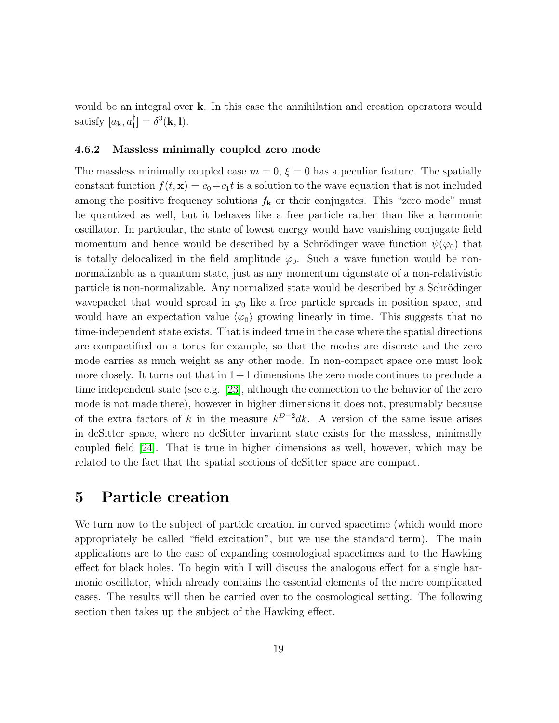would be an integral over **k**. In this case the annihilation and creation operators would satisfy  $[a_{\mathbf{k}}, a_{\mathbf{l}}^{\dagger}] = \delta^3(\mathbf{k}, \mathbf{l}).$ 

## <span id="page-18-0"></span>4.6.2 Massless minimally coupled zero mode

The massless minimally coupled case  $m = 0, \xi = 0$  has a peculiar feature. The spatially constant function  $f(t, \mathbf{x}) = c_0 + c_1 t$  is a solution to the wave equation that is not included among the positive frequency solutions  $f_{\bf k}$  or their conjugates. This "zero mode" must be quantized as well, but it behaves like a free particle rather than like a harmonic oscillator. In particular, the state of lowest energy would have vanishing conjugate field momentum and hence would be described by a Schrödinger wave function  $\psi(\varphi_0)$  that is totally delocalized in the field amplitude  $\varphi_0$ . Such a wave function would be nonnormalizable as a quantum state, just as any momentum eigenstate of a non-relativistic particle is non-normalizable. Any normalized state would be described by a Schrödinger wavepacket that would spread in  $\varphi_0$  like a free particle spreads in position space, and would have an expectation value  $\langle \varphi_0 \rangle$  growing linearly in time. This suggests that no time-independent state exists. That is indeed true in the case where the spatial directions are compactified on a torus for example, so that the modes are discrete and the zero mode carries as much weight as any other mode. In non-compact space one must look more closely. It turns out that in  $1+1$  dimensions the zero mode continues to preclude a time independent state (see e.g. [\[23\]](#page-55-5), although the connection to the behavior of the zero mode is not made there), however in higher dimensions it does not, presumably because of the extra factors of k in the measure  $k^{D-2}dk$ . A version of the same issue arises in deSitter space, where no deSitter invariant state exists for the massless, minimally coupled field [\[24\]](#page-55-6). That is true in higher dimensions as well, however, which may be related to the fact that the spatial sections of deSitter space are compact.

# <span id="page-18-1"></span>5 Particle creation

We turn now to the subject of particle creation in curved spacetime (which would more appropriately be called "field excitation", but we use the standard term). The main applications are to the case of expanding cosmological spacetimes and to the Hawking effect for black holes. To begin with I will discuss the analogous effect for a single harmonic oscillator, which already contains the essential elements of the more complicated cases. The results will then be carried over to the cosmological setting. The following section then takes up the subject of the Hawking effect.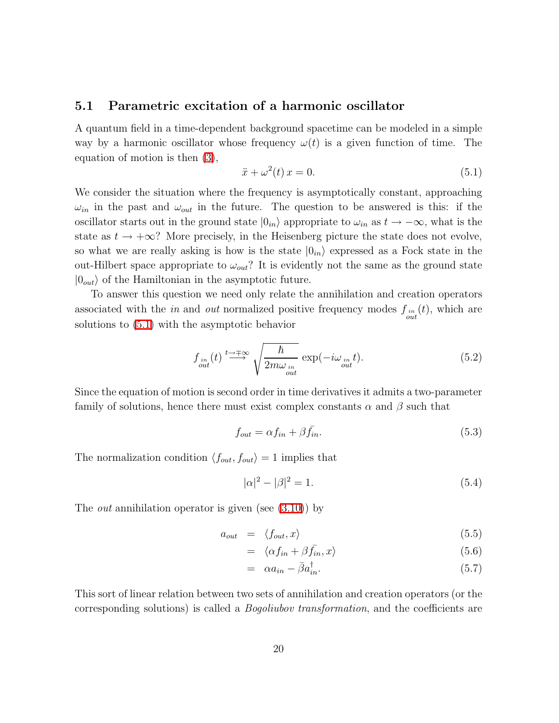### <span id="page-19-0"></span>5.1 Parametric excitation of a harmonic oscillator

A quantum field in a time-dependent background spacetime can be modeled in a simple way by a harmonic oscillator whose frequency  $\omega(t)$  is a given function of time. The equation of motion is then [\(3\)](#page-8-5),

<span id="page-19-1"></span>
$$
\ddot{x} + \omega^2(t)x = 0.
$$
\n
$$
(5.1)
$$

We consider the situation where the frequency is asymptotically constant, approaching  $\omega_{in}$  in the past and  $\omega_{out}$  in the future. The question to be answered is this: if the oscillator starts out in the ground state  $|0_{in}\rangle$  appropriate to  $\omega_{in}$  as  $t \to -\infty$ , what is the state as  $t \to +\infty$ ? More precisely, in the Heisenberg picture the state does not evolve, so what we are really asking is how is the state  $|0_{in}\rangle$  expressed as a Fock state in the out-Hilbert space appropriate to  $\omega_{out}$ ? It is evidently not the same as the ground state  $|0_{out}\rangle$  of the Hamiltonian in the asymptotic future.

To answer this question we need only relate the annihilation and creation operators associated with the *in* and *out* normalized positive frequency modes  $f_{in}(t)$ , which are solutions to [\(5.1\)](#page-19-1) with the asymptotic behavior

$$
f_{\substack{in\\out}}(t) \stackrel{t \to \mp \infty}{\longrightarrow} \sqrt{\frac{\hbar}{2m\omega_{\substack{in\\out}}}} \exp(-i\omega_{\substack{in\\out}}t). \tag{5.2}
$$

Since the equation of motion is second order in time derivatives it admits a two-parameter family of solutions, hence there must exist complex constants  $\alpha$  and  $\beta$  such that

<span id="page-19-4"></span><span id="page-19-2"></span>
$$
f_{out} = \alpha f_{in} + \beta \bar{f}_{in}.
$$
\n(5.3)

The normalization condition  $\langle f_{out}, f_{out} \rangle = 1$  implies that

$$
|\alpha|^2 - |\beta|^2 = 1.
$$
 (5.4)

The *out* annihilation operator is given (see [\(3.10\)](#page-9-0)) by

<span id="page-19-3"></span>
$$
a_{out} = \langle f_{out}, x \rangle \tag{5.5}
$$

$$
= \langle \alpha f_{in} + \beta \bar{f}_{in}, x \rangle \tag{5.6}
$$

$$
= \alpha a_{in} - \bar{\beta} a_{in}^{\dagger}.
$$
 (5.7)

This sort of linear relation between two sets of annihilation and creation operators (or the corresponding solutions) is called a *Bogoliubov transformation*, and the coefficients are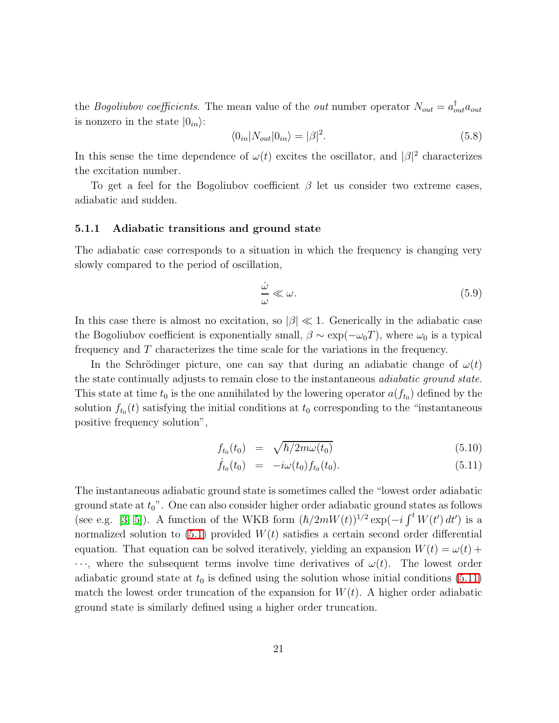the *Bogoliubov coefficients*. The mean value of the *out* number operator  $N_{out} = a_{out}^{\dagger} a_{out}$ is nonzero in the state  $|0_{in}\rangle$ :

<span id="page-20-2"></span>
$$
\langle 0_{in} | N_{out} | 0_{in} \rangle = |\beta|^2. \tag{5.8}
$$

In this sense the time dependence of  $\omega(t)$  excites the oscillator, and  $|\beta|^2$  characterizes the excitation number.

To get a feel for the Bogoliubov coefficient  $\beta$  let us consider two extreme cases, adiabatic and sudden.

#### <span id="page-20-0"></span>5.1.1 Adiabatic transitions and ground state

The adiabatic case corresponds to a situation in which the frequency is changing very slowly compared to the period of oscillation,

$$
\frac{\dot{\omega}}{\omega} \ll \omega. \tag{5.9}
$$

In this case there is almost no excitation, so  $|\beta| \ll 1$ . Generically in the adiabatic case the Bogoliubov coefficient is exponentially small,  $\beta \sim \exp(-\omega_0 T)$ , where  $\omega_0$  is a typical frequency and T characterizes the time scale for the variations in the frequency.

In the Schrödinger picture, one can say that during an adiabatic change of  $\omega(t)$ the state continually adjusts to remain close to the instantaneous *adiabatic ground state*. This state at time  $t_0$  is the one annihilated by the lowering operator  $a(f_{t_0})$  defined by the solution  $f_{t_0}(t)$  satisfying the initial conditions at  $t_0$  corresponding to the "instantaneous positive frequency solution",

<span id="page-20-1"></span>
$$
f_{t_0}(t_0) = \sqrt{\hbar/2m\omega(t_0)}\tag{5.10}
$$

$$
\dot{f}_{t_0}(t_0) = -i\omega(t_0) f_{t_0}(t_0). \tag{5.11}
$$

The instantaneous adiabatic ground state is sometimes called the "lowest order adiabatic ground state at  $t_0$ ". One can also consider higher order adiabatic ground states as follows (see e.g. [\[3,](#page-53-3) [5\]](#page-54-1)). A function of the WKB form  $(\hbar/2mW(t))^{1/2}$  exp( $-i \int^t W(t') dt'$ ) is a normalized solution to  $(5.1)$  provided  $W(t)$  satisfies a certain second order differential equation. That equation can be solved iteratively, yielding an expansion  $W(t) = \omega(t) +$  $\cdots$ , where the subsequent terms involve time derivatives of  $\omega(t)$ . The lowest order adiabatic ground state at  $t_0$  is defined using the solution whose initial conditions [\(5.11\)](#page-20-1) match the lowest order truncation of the expansion for  $W(t)$ . A higher order adiabatic ground state is similarly defined using a higher order truncation.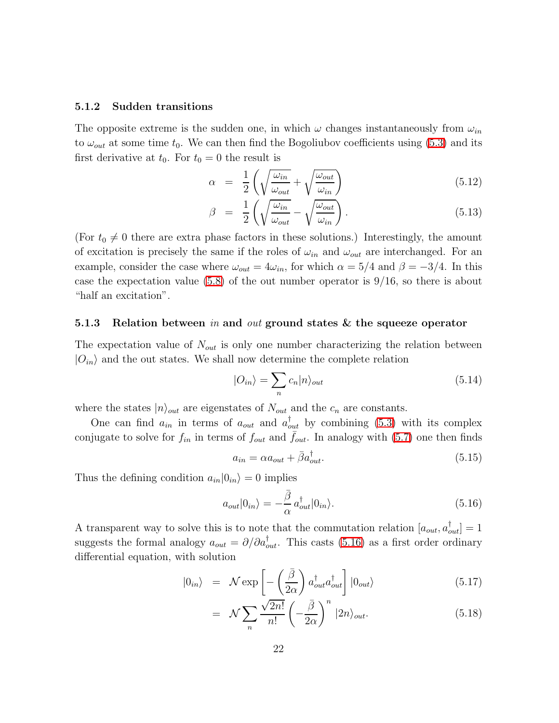#### <span id="page-21-0"></span>5.1.2 Sudden transitions

The opposite extreme is the sudden one, in which  $\omega$  changes instantaneously from  $\omega_{in}$ to  $\omega_{out}$  at some time  $t_0$ . We can then find the Bogoliubov coefficients using [\(5.3\)](#page-19-2) and its first derivative at  $t_0$ . For  $t_0 = 0$  the result is

$$
\alpha = \frac{1}{2} \left( \sqrt{\frac{\omega_{in}}{\omega_{out}}} + \sqrt{\frac{\omega_{out}}{\omega_{in}}} \right) \tag{5.12}
$$

$$
\beta = \frac{1}{2} \left( \sqrt{\frac{\omega_{in}}{\omega_{out}}} - \sqrt{\frac{\omega_{out}}{\omega_{in}}} \right).
$$
 (5.13)

(For  $t_0 \neq 0$  there are extra phase factors in these solutions.) Interestingly, the amount of excitation is precisely the same if the roles of  $\omega_{in}$  and  $\omega_{out}$  are interchanged. For an example, consider the case where  $\omega_{out} = 4\omega_{in}$ , for which  $\alpha = 5/4$  and  $\beta = -3/4$ . In this case the expectation value [\(5.8\)](#page-20-2) of the out number operator is 9/16, so there is about "half an excitation".

#### <span id="page-21-1"></span>5.1.3 Relation between *in* and *out* ground states & the squeeze operator

The expectation value of  $N_{out}$  is only one number characterizing the relation between  $|O_{in}\rangle$  and the out states. We shall now determine the complete relation

$$
|O_{in}\rangle = \sum_{n} c_n |n\rangle_{out} \tag{5.14}
$$

where the states  $|n\rangle_{out}$  are eigenstates of  $N_{out}$  and the  $c_n$  are constants.

One can find  $a_{in}$  in terms of  $a_{out}$  and  $a_{out}^{\dagger}$  by combining [\(5.3\)](#page-19-2) with its complex conjugate to solve for  $f_{in}$  in terms of  $f_{out}$  and  $f_{out}$ . In analogy with [\(5.7\)](#page-19-3) one then finds

<span id="page-21-3"></span>
$$
a_{in} = \alpha a_{out} + \bar{\beta} a_{out}^{\dagger}.
$$
\n
$$
(5.15)
$$

Thus the defining condition  $a_{in}|0_{in}\rangle = 0$  implies

<span id="page-21-2"></span>
$$
a_{out}|0_{in}\rangle = -\frac{\bar{\beta}}{\alpha} a_{out}^{\dagger}|0_{in}\rangle.
$$
\n(5.16)

A transparent way to solve this is to note that the commutation relation  $[a_{out}, a_{out}^{\dagger}] = 1$ suggests the formal analogy  $a_{out} = \partial/\partial a_{out}^{\dagger}$ . This casts [\(5.16\)](#page-21-2) as a first order ordinary differential equation, with solution

<span id="page-21-4"></span>
$$
|0_{in}\rangle = \mathcal{N} \exp\left[-\left(\frac{\bar{\beta}}{2\alpha}\right) a_{out}^{\dagger} a_{out}^{\dagger} \right] |0_{out}\rangle \tag{5.17}
$$

$$
= \mathcal{N} \sum_{n} \frac{\sqrt{2n!}}{n!} \left( -\frac{\bar{\beta}}{2\alpha} \right)^n |2n\rangle_{out}. \tag{5.18}
$$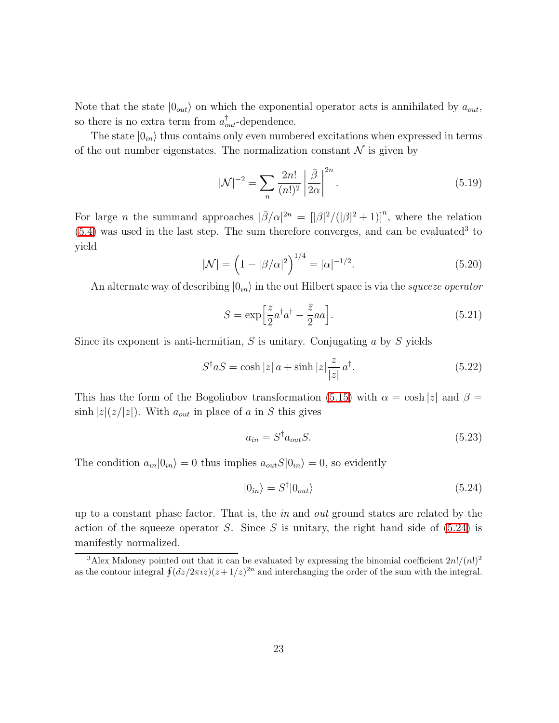Note that the state  $|0_{out}\rangle$  on which the exponential operator acts is annihilated by  $a_{out}$ , so there is no extra term from  $a_{out}^{\dagger}$ -dependence.

The state  $|0_{in}\rangle$  thus contains only even numbered excitations when expressed in terms of the out number eigenstates. The normalization constant  $\mathcal N$  is given by

$$
|\mathcal{N}|^{-2} = \sum_{n} \frac{2n!}{(n!)^2} \left| \frac{\bar{\beta}}{2\alpha} \right|^{2n}.
$$
\n
$$
(5.19)
$$

For large *n* the summand approaches  $|\bar{\beta}/\alpha|^{2n} = [|\beta|^2/(|\beta|^2+1)]^n$ , where the relation  $(5.4)$  was used in the last step. The sum therefore converges, and can be evaluated<sup>3</sup> to yield

<span id="page-22-1"></span>
$$
|\mathcal{N}| = \left(1 - |\beta/\alpha|^2\right)^{1/4} = |\alpha|^{-1/2}.
$$
 (5.20)

<span id="page-22-2"></span>An alternate way of describing  $|0_{in}\rangle$  in the out Hilbert space is via the *squeeze operator* 

$$
S = \exp\left[\frac{z}{2}a^{\dagger}a^{\dagger} - \frac{\bar{z}}{2}aa\right].
$$
 (5.21)

Since its exponent is anti-hermitian,  $S$  is unitary. Conjugating  $a$  by  $S$  yields

$$
S^{\dagger} a S = \cosh|z| a + \sinh|z| \frac{z}{|z|} a^{\dagger}.
$$
 (5.22)

This has the form of the Bogoliubov transformation [\(5.15\)](#page-21-3) with  $\alpha = \cosh |z|$  and  $\beta =$  $\sinh |z|(z/|z|)$ . With  $a_{out}$  in place of a in S this gives

$$
a_{in} = S^{\dagger} a_{out} S. \tag{5.23}
$$

The condition  $a_{in}|0_{in}\rangle = 0$  thus implies  $a_{out}S|0_{in}\rangle = 0$ , so evidently

<span id="page-22-0"></span>
$$
|0_{in}\rangle = S^{\dagger} |0_{out}\rangle \tag{5.24}
$$

up to a constant phase factor. That is, the *in* and *out* ground states are related by the action of the squeeze operator S. Since S is unitary, the right hand side of  $(5.24)$  is manifestly normalized.

<sup>&</sup>lt;sup>3</sup>Alex Maloney pointed out that it can be evaluated by expressing the binomial coefficient  $2n!/(n!)^2$ as the contour integral  $\oint (dz/2\pi iz)(z+1/z)^{2n}$  and interchanging the order of the sum with the integral.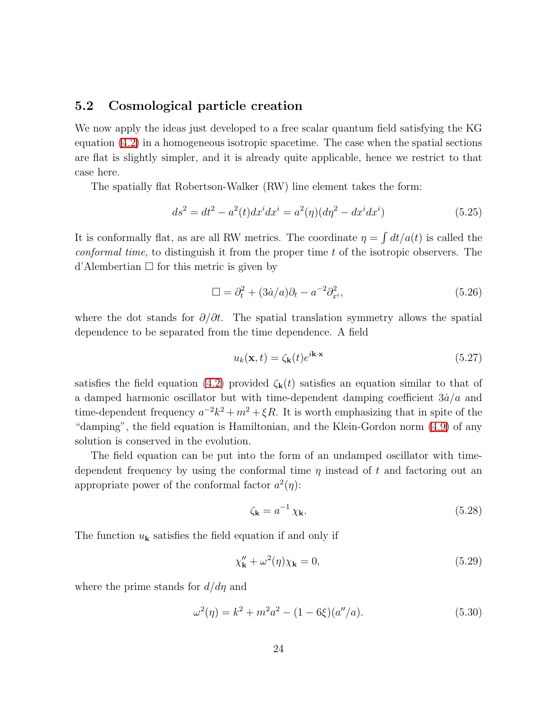## <span id="page-23-0"></span>5.2 Cosmological particle creation

We now apply the ideas just developed to a free scalar quantum field satisfying the KG equation [\(4.2\)](#page-11-2) in a homogeneous isotropic spacetime. The case when the spatial sections are flat is slightly simpler, and it is already quite applicable, hence we restrict to that case here.

<span id="page-23-3"></span>The spatially flat Robertson-Walker (RW) line element takes the form:

$$
ds^{2} = dt^{2} - a^{2}(t)dx^{i}dx^{i} = a^{2}(\eta)(d\eta^{2} - dx^{i}dx^{i})
$$
\n(5.25)

It is conformally flat, as are all RW metrics. The coordinate  $\eta = \int dt/a(t)$  is called the *conformal time*, to distinguish it from the proper time t of the isotropic observers. The  $d'$ Alembertian  $\Box$  for this metric is given by

<span id="page-23-5"></span><span id="page-23-4"></span>
$$
\Box = \partial_t^2 + (3\dot{a}/a)\partial_t - a^{-2}\partial_{x_i}^2,\tag{5.26}
$$

where the dot stands for  $\partial/\partial t$ . The spatial translation symmetry allows the spatial dependence to be separated from the time dependence. A field

$$
u_k(\mathbf{x}, t) = \zeta_\mathbf{k}(t) e^{i\mathbf{k}\cdot\mathbf{x}} \tag{5.27}
$$

satisfies the field equation [\(4.2\)](#page-11-2) provided  $\zeta_{\bf k}(t)$  satisfies an equation similar to that of a damped harmonic oscillator but with time-dependent damping coefficient  $3\dot{a}/a$  and time-dependent frequency  $a^{-2}k^2 + m^2 + \xi R$ . It is worth emphasizing that in spite of the "damping", the field equation is Hamiltonian, and the Klein-Gordon norm [\(4.9\)](#page-12-2) of any solution is conserved in the evolution.

The field equation can be put into the form of an undamped oscillator with timedependent frequency by using the conformal time  $\eta$  instead of t and factoring out an appropriate power of the conformal factor  $a^2(\eta)$ :

<span id="page-23-1"></span>
$$
\zeta_{\mathbf{k}} = a^{-1} \chi_{\mathbf{k}}.\tag{5.28}
$$

The function  $u_{\mathbf{k}}$  satisfies the field equation if and only if

<span id="page-23-2"></span>
$$
\chi_{\mathbf{k}}'' + \omega^2(\eta)\chi_{\mathbf{k}} = 0,\tag{5.29}
$$

where the prime stands for  $d/d\eta$  and

$$
\omega^2(\eta) = k^2 + m^2 a^2 - (1 - 6\xi)(a''/a). \tag{5.30}
$$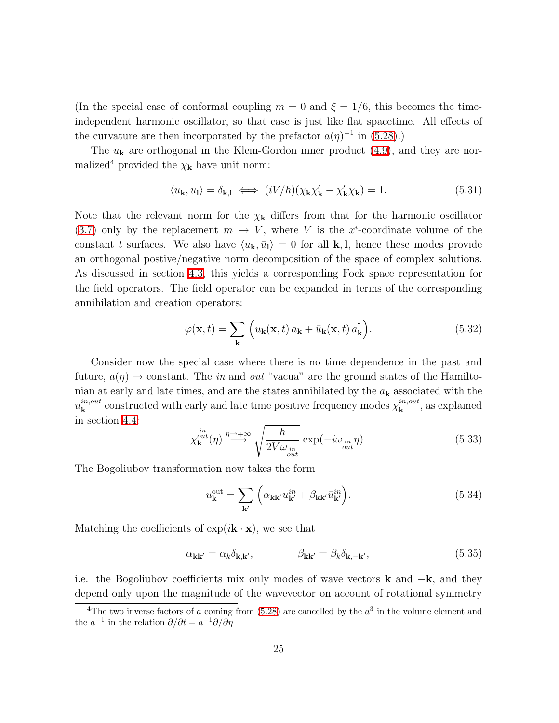(In the special case of conformal coupling  $m = 0$  and  $\xi = 1/6$ , this becomes the timeindependent harmonic oscillator, so that case is just like flat spacetime. All effects of the curvature are then incorporated by the prefactor  $a(\eta)^{-1}$  in [\(5.28\)](#page-23-1).)

The  $u_{\mathbf{k}}$  are orthogonal in the Klein-Gordon inner product [\(4.9\)](#page-12-2), and they are normalized<sup>4</sup> provided the  $\chi_{\mathbf{k}}$  have unit norm:

$$
\langle u_{\mathbf{k}}, u_{\mathbf{l}} \rangle = \delta_{\mathbf{k}, \mathbf{l}} \iff (iV/\hbar)(\bar{\chi}_{\mathbf{k}} \chi_{\mathbf{k}}' - \bar{\chi}_{\mathbf{k}}' \chi_{\mathbf{k}}) = 1. \tag{5.31}
$$

Note that the relevant norm for the  $\chi_{\mathbf{k}}$  differs from that for the harmonic oscillator [\(3.7\)](#page-8-2) only by the replacement  $m \to V$ , where V is the  $x^i$ -coordinate volume of the constant t surfaces. We also have  $\langle u_{\mathbf{k}}, \bar{u}_{\mathbf{l}} \rangle = 0$  for all k, l, hence these modes provide an orthogonal postive/negative norm decomposition of the space of complex solutions. As discussed in section [4.3,](#page-13-0) this yields a corresponding Fock space representation for the field operators. The field operator can be expanded in terms of the corresponding annihilation and creation operators:

$$
\varphi(\mathbf{x},t) = \sum_{\mathbf{k}} \left( u_{\mathbf{k}}(\mathbf{x},t) a_{\mathbf{k}} + \bar{u}_{\mathbf{k}}(\mathbf{x},t) a_{\mathbf{k}}^{\dagger} \right).
$$
 (5.32)

Consider now the special case where there is no time dependence in the past and future,  $a(\eta) \rightarrow$  constant. The *in* and *out* "vacua" are the ground states of the Hamiltonian at early and late times, and are the states annihilated by the  $a_k$  associated with the  $u_{\mathbf{k}}^{in,out}$  constructed with early and late time positive frequency modes  $\chi_{\mathbf{k}}^{in,out}$ , as explained in section [4.4:](#page-14-0)

$$
\chi_{\mathbf{k}}^{out}(\eta) \stackrel{\eta \to \mp \infty}{\longrightarrow} \sqrt{\frac{\hbar}{2V\omega_{in}} \exp(-i\omega_{in} \eta)}.
$$
 (5.33)

<span id="page-24-0"></span>The Bogoliubov transformation now takes the form

$$
u_{\mathbf{k}}^{\text{out}} = \sum_{\mathbf{k}'} \left( \alpha_{\mathbf{k}\mathbf{k}'} u_{\mathbf{k}'}^{in} + \beta_{\mathbf{k}\mathbf{k}'} \bar{u}_{\mathbf{k}'}^{in} \right).
$$
 (5.34)

Matching the coefficients of  $\exp(i\mathbf{k} \cdot \mathbf{x})$ , we see that

$$
\alpha_{\mathbf{k}\mathbf{k}'} = \alpha_k \delta_{\mathbf{k},\mathbf{k}'}, \qquad \beta_{\mathbf{k}\mathbf{k}'} = \beta_k \delta_{\mathbf{k},-\mathbf{k}'}, \qquad (5.35)
$$

i.e. the Bogoliubov coefficients mix only modes of wave vectors **k** and  $-k$ , and they depend only upon the magnitude of the wavevector on account of rotational symmetry

<sup>&</sup>lt;sup>4</sup>The two inverse factors of a coming from [\(5.28\)](#page-23-1) are cancelled by the  $a^3$  in the volume element and the  $a^{-1}$  in the relation  $\partial/\partial t = a^{-1}\partial/\partial \eta$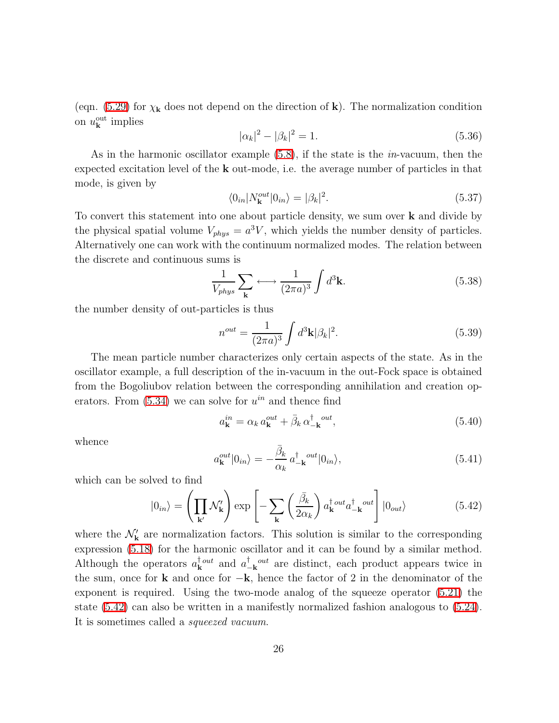(eqn. [\(5.29\)](#page-23-2) for  $\chi_{\mathbf{k}}$  does not depend on the direction of **k**). The normalization condition on  $u_{\mathbf{k}}^{\text{out}}$  implies

<span id="page-25-1"></span>
$$
|\alpha_k|^2 - |\beta_k|^2 = 1.
$$
\n(5.36)

As in the harmonic oscillator example [\(5.8\)](#page-20-2), if the state is the *in*-vacuum, then the expected excitation level of the k out-mode, i.e. the average number of particles in that mode, is given by

<span id="page-25-2"></span>
$$
\langle 0_{in} | N_{\mathbf{k}}^{out} | 0_{in} \rangle = |\beta_k|^2. \tag{5.37}
$$

To convert this statement into one about particle density, we sum over k and divide by the physical spatial volume  $V_{phys} = a^3 V$ , which yields the number density of particles. Alternatively one can work with the continuum normalized modes. The relation between the discrete and continuous sums is

$$
\frac{1}{V_{phys}} \sum_{\mathbf{k}} \longleftrightarrow \frac{1}{(2\pi a)^3} \int d^3 \mathbf{k}.
$$
 (5.38)

the number density of out-particles is thus

<span id="page-25-3"></span>
$$
n^{out} = \frac{1}{(2\pi a)^3} \int d^3 \mathbf{k} |\beta_k|^2.
$$
 (5.39)

The mean particle number characterizes only certain aspects of the state. As in the oscillator example, a full description of the in-vacuum in the out-Fock space is obtained from the Bogoliubov relation between the corresponding annihilation and creation operators. From  $(5.34)$  we can solve for  $u^{in}$  and thence find

$$
a_{\mathbf{k}}^{in} = \alpha_k a_{\mathbf{k}}^{out} + \bar{\beta}_k \alpha_{-\mathbf{k}}^{\dagger}^{out}, \qquad (5.40)
$$

whence

$$
a_{\mathbf{k}}^{out}|0_{in}\rangle = -\frac{\bar{\beta}_k}{\alpha_k} a_{-\mathbf{k}}^{\dagger}{}^{out}|0_{in}\rangle, \tag{5.41}
$$

<span id="page-25-0"></span>which can be solved to find

$$
|0_{in}\rangle = \left(\prod_{\mathbf{k}'} \mathcal{N}'_{\mathbf{k}}\right) \exp\left[-\sum_{\mathbf{k}} \left(\frac{\bar{\beta}_{k}}{2\alpha_{k}}\right) a_{\mathbf{k}}^{\dagger}{}^{out} a_{-\mathbf{k}}^{\dagger}{}^{out}\right] |0_{out}\rangle \tag{5.42}
$$

where the  $\mathcal{N}'_{\mathbf{k}}$  are normalization factors. This solution is similar to the corresponding expression [\(5.18\)](#page-21-4) for the harmonic oscillator and it can be found by a similar method. Although the operators  $a_{\mathbf{k}}^{\dagger out}$  and  $a_{-\mathbf{k}}^{\dagger}$  are distinct, each product appears twice in the sum, once for **k** and once for  $-k$ , hence the factor of 2 in the denominator of the exponent is required. Using the two-mode analog of the squeeze operator [\(5.21\)](#page-22-1) the state [\(5.42\)](#page-25-0) can also be written in a manifestly normalized fashion analogous to [\(5.24\)](#page-22-0). It is sometimes called a *squeezed vacuum*.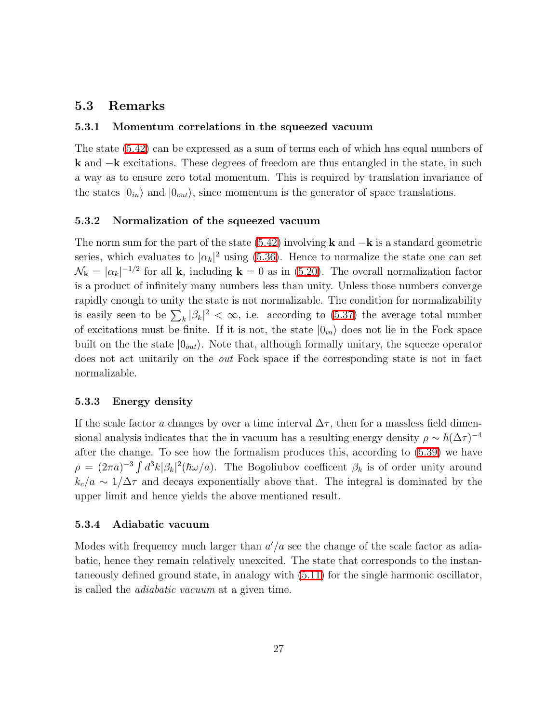## <span id="page-26-1"></span><span id="page-26-0"></span>5.3 Remarks

#### 5.3.1 Momentum correlations in the squeezed vacuum

The state [\(5.42\)](#page-25-0) can be expressed as a sum of terms each of which has equal numbers of k and −k excitations. These degrees of freedom are thus entangled in the state, in such a way as to ensure zero total momentum. This is required by translation invariance of the states  $|0_{in}\rangle$  and  $|0_{out}\rangle$ , since momentum is the generator of space translations.

#### <span id="page-26-2"></span>5.3.2 Normalization of the squeezed vacuum

The norm sum for the part of the state [\(5.42\)](#page-25-0) involving **k** and  $-k$  is a standard geometric series, which evaluates to  $|\alpha_k|^2$  using [\(5.36\)](#page-25-1). Hence to normalize the state one can set  $\mathcal{N}_{\mathbf{k}} = |\alpha_k|^{-1/2}$  for all **k**, including **k** = 0 as in [\(5.20\)](#page-22-2). The overall normalization factor is a product of infinitely many numbers less than unity. Unless those numbers converge rapidly enough to unity the state is not normalizable. The condition for normalizability is easily seen to be  $\sum_{k} |\beta_k|^2 < \infty$ , i.e. according to [\(5.37\)](#page-25-2) the average total number of excitations must be finite. If it is not, the state  $|0_{in}\rangle$  does not lie in the Fock space built on the the state  $|0_{out}\rangle$ . Note that, although formally unitary, the squeeze operator does not act unitarily on the *out* Fock space if the corresponding state is not in fact normalizable.

#### <span id="page-26-3"></span>5.3.3 Energy density

If the scale factor a changes by over a time interval  $\Delta \tau$ , then for a massless field dimensional analysis indicates that the in vacuum has a resulting energy density  $\rho \sim \hbar (\Delta \tau)^{-4}$ after the change. To see how the formalism produces this, according to [\(5.39\)](#page-25-3) we have  $\rho = (2\pi a)^{-3} \int d^3k |\beta_k|^2 (\hbar \omega/a)$ . The Bogoliubov coefficent  $\beta_k$  is of order unity around  $k_c/a \sim 1/\Delta\tau$  and decays exponentially above that. The integral is dominated by the upper limit and hence yields the above mentioned result.

#### <span id="page-26-4"></span>5.3.4 Adiabatic vacuum

Modes with frequency much larger than  $a'/a$  see the change of the scale factor as adiabatic, hence they remain relatively unexcited. The state that corresponds to the instantaneously defined ground state, in analogy with [\(5.11\)](#page-20-1) for the single harmonic oscillator, is called the *adiabatic vacuum* at a given time.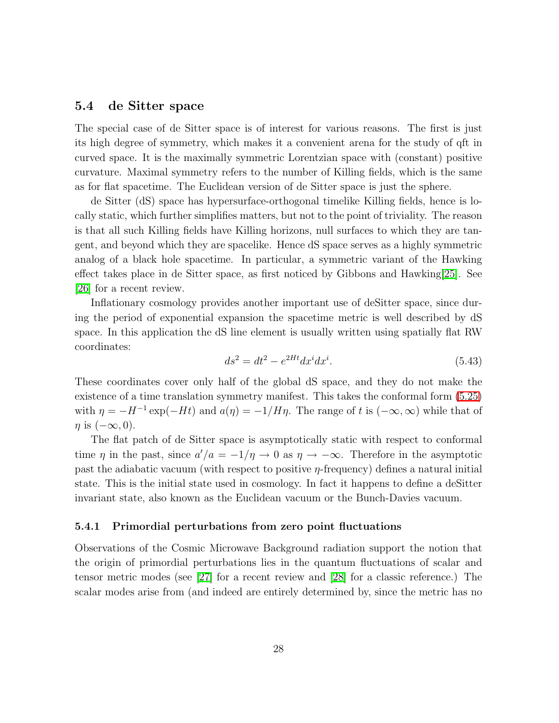## <span id="page-27-0"></span>5.4 de Sitter space

The special case of de Sitter space is of interest for various reasons. The first is just its high degree of symmetry, which makes it a convenient arena for the study of qft in curved space. It is the maximally symmetric Lorentzian space with (constant) positive curvature. Maximal symmetry refers to the number of Killing fields, which is the same as for flat spacetime. The Euclidean version of de Sitter space is just the sphere.

de Sitter (dS) space has hypersurface-orthogonal timelike Killing fields, hence is locally static, which further simplifies matters, but not to the point of triviality. The reason is that all such Killing fields have Killing horizons, null surfaces to which they are tangent, and beyond which they are spacelike. Hence dS space serves as a highly symmetric analog of a black hole spacetime. In particular, a symmetric variant of the Hawking effect takes place in de Sitter space, as first noticed by Gibbons and Hawking[\[25\]](#page-55-7). See [\[26\]](#page-55-8) for a recent review.

Inflationary cosmology provides another important use of deSitter space, since during the period of exponential expansion the spacetime metric is well described by dS space. In this application the dS line element is usually written using spatially flat RW coordinates:

$$
ds^2 = dt^2 - e^{2Ht} dx^i dx^i.
$$
 (5.43)

These coordinates cover only half of the global dS space, and they do not make the existence of a time translation symmetry manifest. This takes the conformal form [\(5.25\)](#page-23-3) with  $\eta = -H^{-1} \exp(-Ht)$  and  $a(\eta) = -1/H\eta$ . The range of t is  $(-\infty, \infty)$  while that of  $\eta$  is  $(-\infty, 0)$ .

The flat patch of de Sitter space is asymptotically static with respect to conformal time  $\eta$  in the past, since  $a'/a = -1/\eta \to 0$  as  $\eta \to -\infty$ . Therefore in the asymptotic past the adiabatic vacuum (with respect to positive  $\eta$ -frequency) defines a natural initial state. This is the initial state used in cosmology. In fact it happens to define a deSitter invariant state, also known as the Euclidean vacuum or the Bunch-Davies vacuum.

#### <span id="page-27-1"></span>5.4.1 Primordial perturbations from zero point fluctuations

Observations of the Cosmic Microwave Background radiation support the notion that the origin of primordial perturbations lies in the quantum fluctuations of scalar and tensor metric modes (see [\[27\]](#page-55-9) for a recent review and [\[28\]](#page-55-10) for a classic reference.) The scalar modes arise from (and indeed are entirely determined by, since the metric has no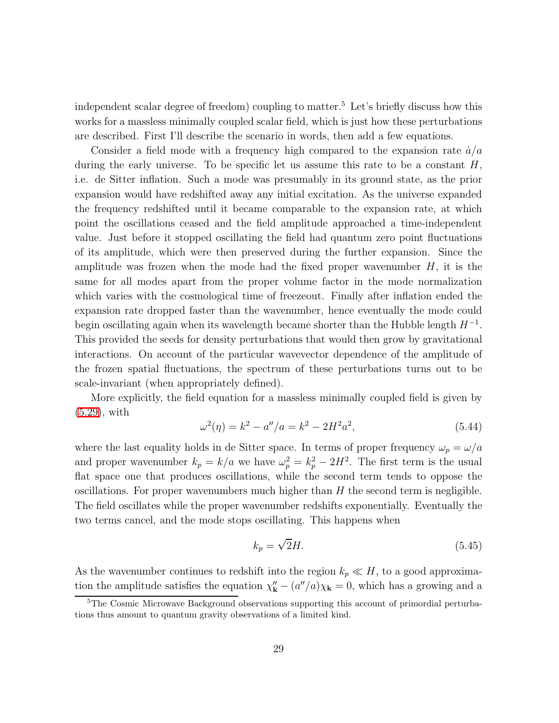independent scalar degree of freedom) coupling to matter.<sup>5</sup> Let's briefly discuss how this works for a massless minimally coupled scalar field, which is just how these perturbations are described. First I'll describe the scenario in words, then add a few equations.

Consider a field mode with a frequency high compared to the expansion rate  $\dot{a}/a$ during the early universe. To be specific let us assume this rate to be a constant  $H$ , i.e. de Sitter inflation. Such a mode was presumably in its ground state, as the prior expansion would have redshifted away any initial excitation. As the universe expanded the frequency redshifted until it became comparable to the expansion rate, at which point the oscillations ceased and the field amplitude approached a time-independent value. Just before it stopped oscillating the field had quantum zero point fluctuations of its amplitude, which were then preserved during the further expansion. Since the amplitude was frozen when the mode had the fixed proper wavenumber  $H$ , it is the same for all modes apart from the proper volume factor in the mode normalization which varies with the cosmological time of freezeout. Finally after inflation ended the expansion rate dropped faster than the wavenumber, hence eventually the mode could begin oscillating again when its wavelength became shorter than the Hubble length  $H^{-1}$ . This provided the seeds for density perturbations that would then grow by gravitational interactions. On account of the particular wavevector dependence of the amplitude of the frozen spatial fluctuations, the spectrum of these perturbations turns out to be scale-invariant (when appropriately defined).

More explicitly, the field equation for a massless minimally coupled field is given by [\(5.29\)](#page-23-2), with

$$
\omega^2(\eta) = k^2 - a''/a = k^2 - 2H^2 a^2,\tag{5.44}
$$

where the last equality holds in de Sitter space. In terms of proper frequency  $\omega_p = \omega/a$ and proper wavenumber  $k_p = k/a$  we have  $\omega_p^2 = k_p^2 - 2H^2$ . The first term is the usual flat space one that produces oscillations, while the second term tends to oppose the oscillations. For proper wavenumbers much higher than  $H$  the second term is negligible. The field oscillates while the proper wavenumber redshifts exponentially. Eventually the two terms cancel, and the mode stops oscillating. This happens when

$$
k_p = \sqrt{2}H.\t\t(5.45)
$$

As the wavenumber continues to redshift into the region  $k_p \ll H$ , to a good approximation the amplitude satisfies the equation  $\chi''_{\mathbf{k}} - (a''/a)\chi_{\mathbf{k}} = 0$ , which has a growing and a

<sup>&</sup>lt;sup>5</sup>The Cosmic Microwave Background observations supporting this account of primordial perturbations thus amount to quantum gravity observations of a limited kind.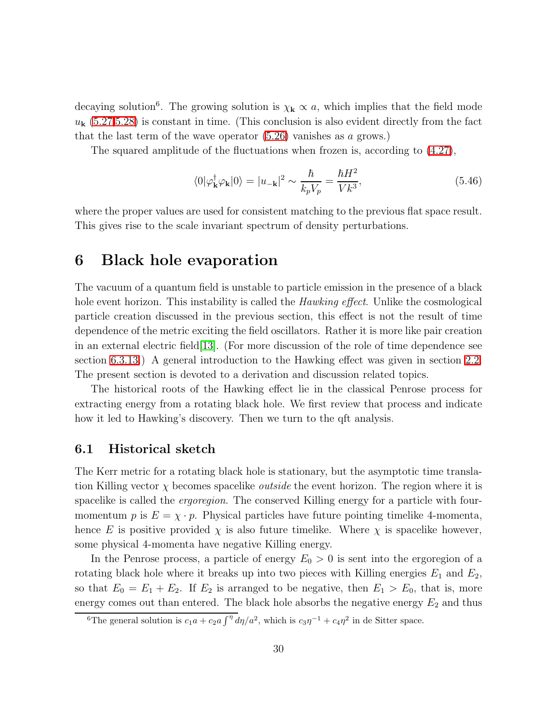decaying solution<sup>6</sup>. The growing solution is  $\chi_{\mathbf{k}} \propto a$ , which implies that the field mode  $u_{\mathbf{k}}$  [\(5.27](#page-23-4)[,5.28\)](#page-23-1) is constant in time. (This conclusion is also evident directly from the fact that the last term of the wave operator  $(5.26)$  vanishes as a grows.)

The squared amplitude of the fluctuations when frozen is, according to [\(4.27\)](#page-16-1),

$$
\langle 0|\varphi_{\mathbf{k}}^{\dagger}\varphi_{\mathbf{k}}|0\rangle = |u_{-\mathbf{k}}|^2 \sim \frac{\hbar}{k_p V_p} = \frac{\hbar H^2}{V k^3},\tag{5.46}
$$

where the proper values are used for consistent matching to the previous flat space result. This gives rise to the scale invariant spectrum of density perturbations.

## <span id="page-29-0"></span>6 Black hole evaporation

The vacuum of a quantum field is unstable to particle emission in the presence of a black hole event horizon. This instability is called the *Hawking effect*. Unlike the cosmological particle creation discussed in the previous section, this effect is not the result of time dependence of the metric exciting the field oscillators. Rather it is more like pair creation in an external electric field  $[13]$ . (For more discussion of the role of time dependence see section [6.3.13.](#page-45-0)) A general introduction to the Hawking effect was given in section [2.2.](#page-5-0) The present section is devoted to a derivation and discussion related topics.

The historical roots of the Hawking effect lie in the classical Penrose process for extracting energy from a rotating black hole. We first review that process and indicate how it led to Hawking's discovery. Then we turn to the qft analysis.

## <span id="page-29-1"></span>6.1 Historical sketch

The Kerr metric for a rotating black hole is stationary, but the asymptotic time translation Killing vector  $\chi$  becomes spacelike *outside* the event horizon. The region where it is spacelike is called the *ergoregion*. The conserved Killing energy for a particle with fourmomentum p is  $E = \chi \cdot p$ . Physical particles have future pointing timelike 4-momenta, hence E is positive provided  $\chi$  is also future timelike. Where  $\chi$  is spacelike however, some physical 4-momenta have negative Killing energy.

In the Penrose process, a particle of energy  $E_0 > 0$  is sent into the ergoregion of a rotating black hole where it breaks up into two pieces with Killing energies  $E_1$  and  $E_2$ , so that  $E_0 = E_1 + E_2$ . If  $E_2$  is arranged to be negative, then  $E_1 > E_0$ , that is, more energy comes out than entered. The black hole absorbs the negative energy  $E_2$  and thus

<sup>&</sup>lt;sup>6</sup>The general solution is  $c_1a + c_2a \int^{\eta} d\eta/a^2$ , which is  $c_3\eta^{-1} + c_4\eta^2$  in de Sitter space.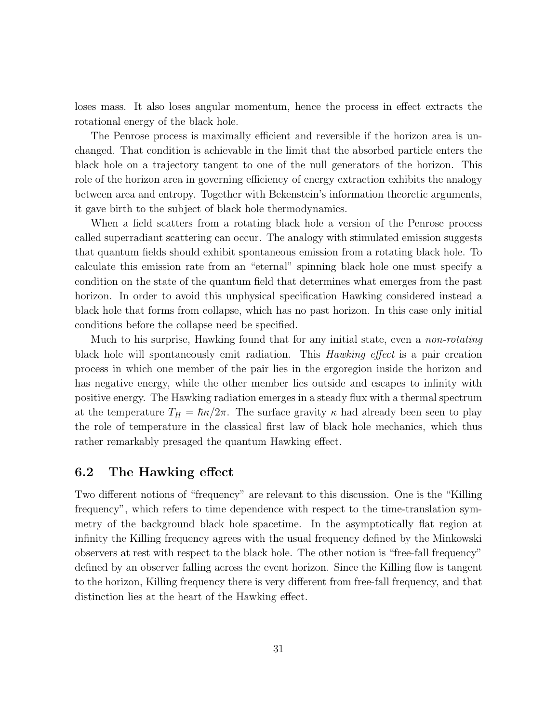loses mass. It also loses angular momentum, hence the process in effect extracts the rotational energy of the black hole.

The Penrose process is maximally efficient and reversible if the horizon area is unchanged. That condition is achievable in the limit that the absorbed particle enters the black hole on a trajectory tangent to one of the null generators of the horizon. This role of the horizon area in governing efficiency of energy extraction exhibits the analogy between area and entropy. Together with Bekenstein's information theoretic arguments, it gave birth to the subject of black hole thermodynamics.

When a field scatters from a rotating black hole a version of the Penrose process called superradiant scattering can occur. The analogy with stimulated emission suggests that quantum fields should exhibit spontaneous emission from a rotating black hole. To calculate this emission rate from an "eternal" spinning black hole one must specify a condition on the state of the quantum field that determines what emerges from the past horizon. In order to avoid this unphysical specification Hawking considered instead a black hole that forms from collapse, which has no past horizon. In this case only initial conditions before the collapse need be specified.

Much to his surprise, Hawking found that for any initial state, even a *non-rotating* black hole will spontaneously emit radiation. This *Hawking effect* is a pair creation process in which one member of the pair lies in the ergoregion inside the horizon and has negative energy, while the other member lies outside and escapes to infinity with positive energy. The Hawking radiation emerges in a steady flux with a thermal spectrum at the temperature  $T_H = \hbar \kappa / 2\pi$ . The surface gravity  $\kappa$  had already been seen to play the role of temperature in the classical first law of black hole mechanics, which thus rather remarkably presaged the quantum Hawking effect.

## <span id="page-30-0"></span>6.2 The Hawking effect

Two different notions of "frequency" are relevant to this discussion. One is the "Killing frequency", which refers to time dependence with respect to the time-translation symmetry of the background black hole spacetime. In the asymptotically flat region at infinity the Killing frequency agrees with the usual frequency defined by the Minkowski observers at rest with respect to the black hole. The other notion is "free-fall frequency" defined by an observer falling across the event horizon. Since the Killing flow is tangent to the horizon, Killing frequency there is very different from free-fall frequency, and that distinction lies at the heart of the Hawking effect.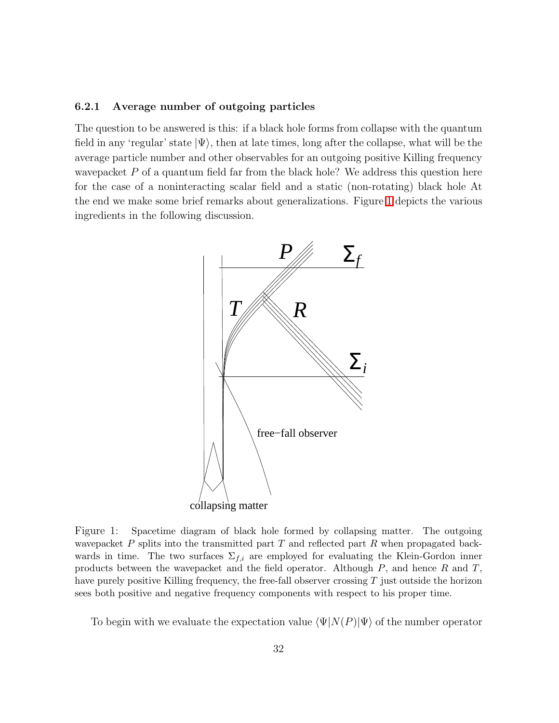#### <span id="page-31-0"></span>6.2.1 Average number of outgoing particles

The question to be answered is this: if a black hole forms from collapse with the quantum field in any 'regular' state  $|\Psi\rangle$ , then at late times, long after the collapse, what will be the average particle number and other observables for an outgoing positive Killing frequency wavepacket  $P$  of a quantum field far from the black hole? We address this question here for the case of a noninteracting scalar field and a static (non-rotating) black hole At the end we make some brief remarks about generalizations. Figure [1](#page-31-1) depicts the various ingredients in the following discussion.



<span id="page-31-1"></span>Figure 1: Spacetime diagram of black hole formed by collapsing matter. The outgoing wavepacket  $P$  splits into the transmitted part  $T$  and reflected part  $R$  when propagated backwards in time. The two surfaces  $\Sigma_{f,i}$  are employed for evaluating the Klein-Gordon inner products between the wavepacket and the field operator. Although  $P$ , and hence  $R$  and  $T$ , have purely positive Killing frequency, the free-fall observer crossing  $T$  just outside the horizon sees both positive and negative frequency components with respect to his proper time.

To begin with we evaluate the expectation value  $\langle \Psi|N(P)|\Psi\rangle$  of the number operator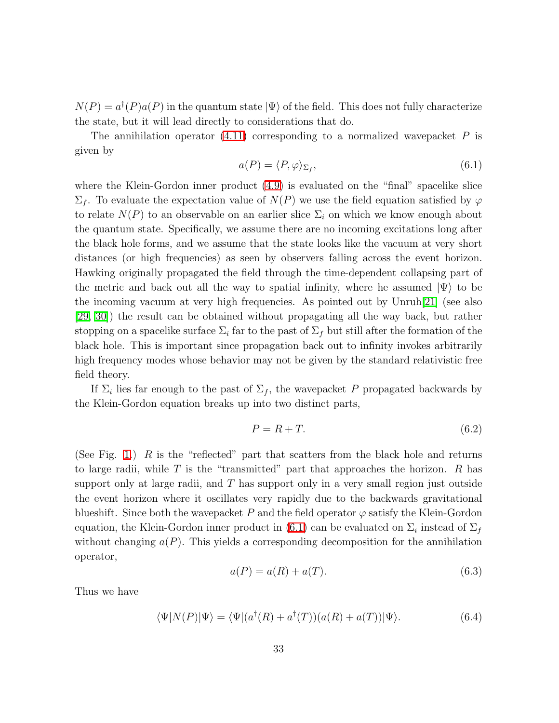$N(P) = a^{\dagger}(P)a(P)$  in the quantum state  $|\Psi\rangle$  of the field. This does not fully characterize the state, but it will lead directly to considerations that do.

The annihilation operator  $(4.11)$  corresponding to a normalized wavepacket P is given by

<span id="page-32-0"></span>
$$
a(P) = \langle P, \varphi \rangle_{\Sigma_f},\tag{6.1}
$$

where the Klein-Gordon inner product [\(4.9\)](#page-12-2) is evaluated on the "final" spacelike slice  $\Sigma_f$ . To evaluate the expectation value of  $N(P)$  we use the field equation satisfied by  $\varphi$ to relate  $N(P)$  to an observable on an earlier slice  $\Sigma_i$  on which we know enough about the quantum state. Specifically, we assume there are no incoming excitations long after the black hole forms, and we assume that the state looks like the vacuum at very short distances (or high frequencies) as seen by observers falling across the event horizon. Hawking originally propagated the field through the time-dependent collapsing part of the metric and back out all the way to spatial infinity, where he assumed  $|\Psi\rangle$  to be the incoming vacuum at very high frequencies. As pointed out by Unruh[\[21\]](#page-55-3) (see also [\[29,](#page-55-11) [30\]](#page-55-12)) the result can be obtained without propagating all the way back, but rather stopping on a spacelike surface  $\Sigma_i$  far to the past of  $\Sigma_f$  but still after the formation of the black hole. This is important since propagation back out to infinity invokes arbitrarily high frequency modes whose behavior may not be given by the standard relativistic free field theory.

If  $\Sigma_i$  lies far enough to the past of  $\Sigma_f$ , the wavepacket P propagated backwards by the Klein-Gordon equation breaks up into two distinct parts,

$$
P = R + T.\tag{6.2}
$$

(See Fig. [1.](#page-31-1))  $R$  is the "reflected" part that scatters from the black hole and returns to large radii, while T is the "transmitted" part that approaches the horizon. R has support only at large radii, and  $T$  has support only in a very small region just outside the event horizon where it oscillates very rapidly due to the backwards gravitational blueshift. Since both the wavepacket P and the field operator  $\varphi$  satisfy the Klein-Gordon equation, the Klein-Gordon inner product in [\(6.1\)](#page-32-0) can be evaluated on  $\Sigma_i$  instead of  $\Sigma_f$ without changing  $a(P)$ . This yields a corresponding decomposition for the annihilation operator,

$$
a(P) = a(R) + a(T). \t\t(6.3)
$$

<span id="page-32-1"></span>Thus we have

$$
\langle \Psi | N(P) | \Psi \rangle = \langle \Psi | (a^{\dagger}(R) + a^{\dagger}(T)) (a(R) + a(T)) | \Psi \rangle. \tag{6.4}
$$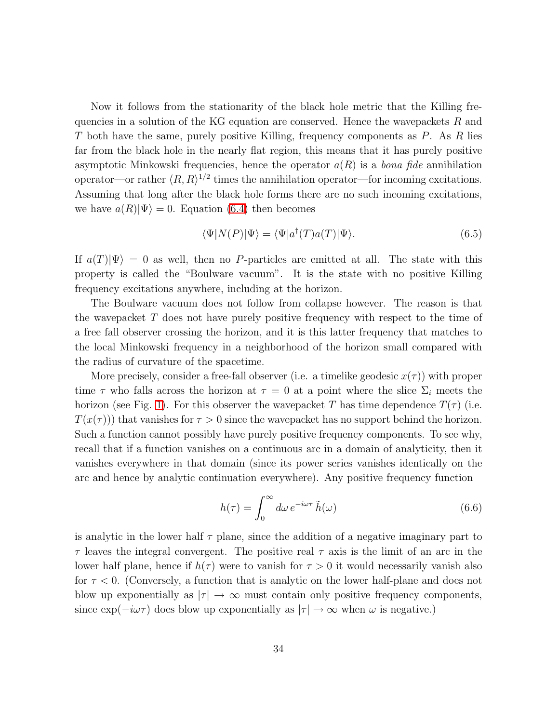Now it follows from the stationarity of the black hole metric that the Killing frequencies in a solution of the KG equation are conserved. Hence the wavepackets  $R$  and T both have the same, purely positive Killing, frequency components as P. As R lies far from the black hole in the nearly flat region, this means that it has purely positive asymptotic Minkowski frequencies, hence the operator  $a(R)$  is a *bona fide* annihilation operator—or rather  $\langle R, R \rangle^{1/2}$  times the annihilation operator—for incoming excitations. Assuming that long after the black hole forms there are no such incoming excitations, we have  $a(R)|\Psi\rangle = 0$ . Equation [\(6.4\)](#page-32-1) then becomes

<span id="page-33-0"></span>
$$
\langle \Psi | N(P) | \Psi \rangle = \langle \Psi | a^{\dagger}(T) a(T) | \Psi \rangle. \tag{6.5}
$$

If  $a(T)|\Psi\rangle = 0$  as well, then no P-particles are emitted at all. The state with this property is called the "Boulware vacuum". It is the state with no positive Killing frequency excitations anywhere, including at the horizon.

The Boulware vacuum does not follow from collapse however. The reason is that the wavepacket  $T$  does not have purely positive frequency with respect to the time of a free fall observer crossing the horizon, and it is this latter frequency that matches to the local Minkowski frequency in a neighborhood of the horizon small compared with the radius of curvature of the spacetime.

More precisely, consider a free-fall observer (i.e. a timelike geodesic  $x(\tau)$ ) with proper time  $\tau$  who falls across the horizon at  $\tau = 0$  at a point where the slice  $\Sigma_i$  meets the horizon (see Fig. [1\)](#page-31-1). For this observer the wavepacket T has time dependence  $T(\tau)$  (i.e.  $T(x(\tau))$  that vanishes for  $\tau > 0$  since the wavepacket has no support behind the horizon. Such a function cannot possibly have purely positive frequency components. To see why, recall that if a function vanishes on a continuous arc in a domain of analyticity, then it vanishes everywhere in that domain (since its power series vanishes identically on the arc and hence by analytic continuation everywhere). Any positive frequency function

<span id="page-33-1"></span>
$$
h(\tau) = \int_0^\infty d\omega \, e^{-i\omega\tau} \, \tilde{h}(\omega) \tag{6.6}
$$

is analytic in the lower half  $\tau$  plane, since the addition of a negative imaginary part to  $\tau$  leaves the integral convergent. The positive real  $\tau$  axis is the limit of an arc in the lower half plane, hence if  $h(\tau)$  were to vanish for  $\tau > 0$  it would necessarily vanish also for  $\tau < 0$ . (Conversely, a function that is analytic on the lower half-plane and does not blow up exponentially as  $|\tau| \to \infty$  must contain only positive frequency components, since  $\exp(-i\omega\tau)$  does blow up exponentially as  $|\tau| \to \infty$  when  $\omega$  is negative.)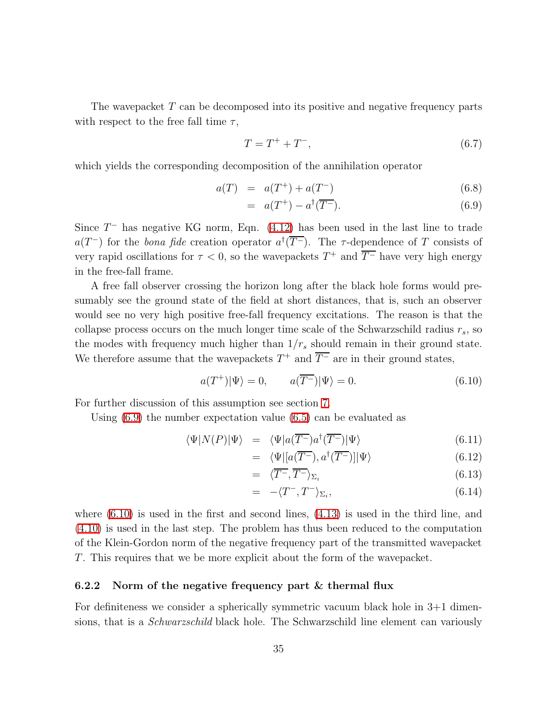The wavepacket T can be decomposed into its positive and negative frequency parts with respect to the free fall time  $\tau$ ,

$$
T = T^+ + T^-, \tag{6.7}
$$

which yields the corresponding decomposition of the annihilation operator

<span id="page-34-1"></span>
$$
a(T) = a(T^+) + a(T^-) \tag{6.8}
$$

$$
= a(T^+) - a^\dagger(\overline{T^-}). \tag{6.9}
$$

Since  $T^-$  has negative KG norm, Eqn. [\(4.12\)](#page-13-2) has been used in the last line to trade  $a(T^{-})$  for the *bona fide* creation operator  $a^{\dagger}(\overline{T^{-}})$ . The  $\tau$ -dependence of T consists of very rapid oscillations for  $\tau < 0$ , so the wavepackets  $T^+$  and  $\overline{T^-}$  have very high energy in the free-fall frame.

A free fall observer crossing the horizon long after the black hole forms would presumably see the ground state of the field at short distances, that is, such an observer would see no very high positive free-fall frequency excitations. The reason is that the collapse process occurs on the much longer time scale of the Schwarzschild radius  $r_s$ , so the modes with frequency much higher than  $1/r_s$  should remain in their ground state. We therefore assume that the wavepackets  $T^+$  and  $\overline{T}^-$  are in their ground states,

<span id="page-34-2"></span>
$$
a(T^+)|\Psi\rangle = 0, \qquad a(\overline{T^-})|\Psi\rangle = 0. \tag{6.10}
$$

For further discussion of this assumption see section [7.](#page-45-1)

<span id="page-34-3"></span>Using [\(6.9\)](#page-34-1) the number expectation value [\(6.5\)](#page-33-0) can be evaluated as

$$
\langle \Psi | N(P) | \Psi \rangle = \langle \Psi | a(\overline{T^{-}}) a^{\dagger}(\overline{T^{-}}) | \Psi \rangle \tag{6.11}
$$

$$
= \langle \Psi | [a(\overline{T^-}), a^{\dagger}(\overline{T^-})] | \Psi \rangle \tag{6.12}
$$

$$
= \langle \overline{T^{-}}, \overline{T^{-}} \rangle_{\Sigma_{i}} \tag{6.13}
$$

$$
= -\langle T^-, T^- \rangle_{\Sigma_i}, \tag{6.14}
$$

where  $(6.10)$  is used in the first and second lines,  $(4.13)$  is used in the third line, and [\(4.10\)](#page-12-4) is used in the last step. The problem has thus been reduced to the computation of the Klein-Gordon norm of the negative frequency part of the transmitted wavepacket T. This requires that we be more explicit about the form of the wavepacket.

#### <span id="page-34-0"></span>6.2.2 Norm of the negative frequency part & thermal flux

For definiteness we consider a spherically symmetric vacuum black hole in 3+1 dimensions, that is a *Schwarzschild* black hole. The Schwarzschild line element can variously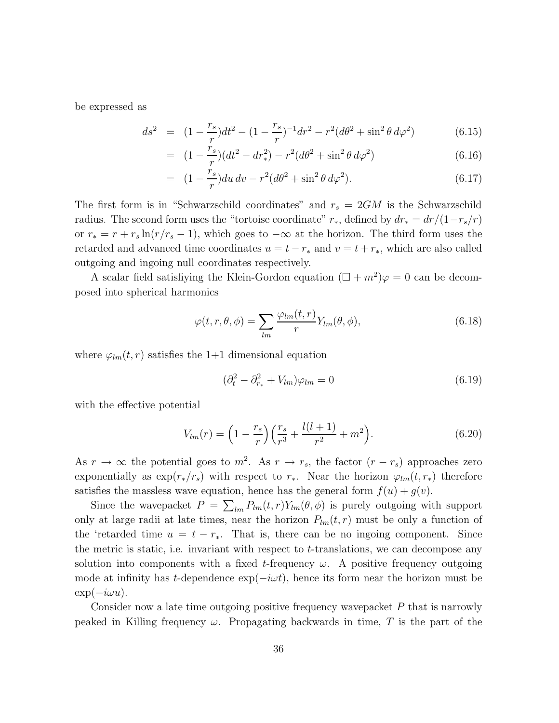<span id="page-35-0"></span>be expressed as

$$
ds^{2} = (1 - \frac{r_s}{r})dt^{2} - (1 - \frac{r_s}{r})^{-1}dr^{2} - r^{2}(d\theta^{2} + \sin^{2}\theta \, d\varphi^{2})
$$
 (6.15)

$$
= (1 - \frac{r_s}{r})(dt^2 - dr_*)^2 - r^2(d\theta^2 + \sin^2\theta \, d\varphi^2)
$$
\n(6.16)

$$
= (1 - \frac{r_s}{r}) du dv - r^2 (d\theta^2 + \sin^2 \theta d\varphi^2).
$$
 (6.17)

The first form is in "Schwarzschild coordinates" and  $r_s = 2GM$  is the Schwarzschild radius. The second form uses the "tortoise coordinate"  $r_*$ , defined by  $dr_* = dr/(1-r_s/r)$ or  $r_* = r + r_s \ln(r/r_s - 1)$ , which goes to  $-\infty$  at the horizon. The third form uses the retarded and advanced time coordinates  $u = t - r_*$  and  $v = t + r_*$ , which are also called outgoing and ingoing null coordinates respectively.

A scalar field satisfiying the Klein-Gordon equation  $(\Box + m^2)\varphi = 0$  can be decomposed into spherical harmonics

$$
\varphi(t,r,\theta,\phi) = \sum_{lm} \frac{\varphi_{lm}(t,r)}{r} Y_{lm}(\theta,\phi), \qquad (6.18)
$$

where  $\varphi_{lm}(t, r)$  satisfies the 1+1 dimensional equation

$$
\left(\partial_t^2 - \partial_{r_*}^2 + V_{lm}\right)\varphi_{lm} = 0\tag{6.19}
$$

with the effective potential

$$
V_{lm}(r) = \left(1 - \frac{r_s}{r}\right) \left(\frac{r_s}{r^3} + \frac{l(l+1)}{r^2} + m^2\right).
$$
 (6.20)

As  $r \to \infty$  the potential goes to  $m^2$ . As  $r \to r_s$ , the factor  $(r - r_s)$  approaches zero exponentially as  $\exp(r_*/r_s)$  with respect to  $r_*$ . Near the horizon  $\varphi_{lm}(t, r_*)$  therefore satisfies the massless wave equation, hence has the general form  $f(u) + g(v)$ .

Since the wavepacket  $P = \sum_{lm} P_{lm}(t, r) Y_{lm}(\theta, \phi)$  is purely outgoing with support only at large radii at late times, near the horizon  $P_{lm}(t, r)$  must be only a function of the 'retarded time  $u = t - r_*$ . That is, there can be no ingoing component. Since the metric is static, i.e. invariant with respect to  $t$ -translations, we can decompose any solution into components with a fixed t-frequency  $\omega$ . A positive frequency outgoing mode at infinity has t-dependence  $\exp(-i\omega t)$ , hence its form near the horizon must be  $\exp(-i\omega u)$ .

Consider now a late time outgoing positive frequency wavepacket  $P$  that is narrowly peaked in Killing frequency  $\omega$ . Propagating backwards in time, T is the part of the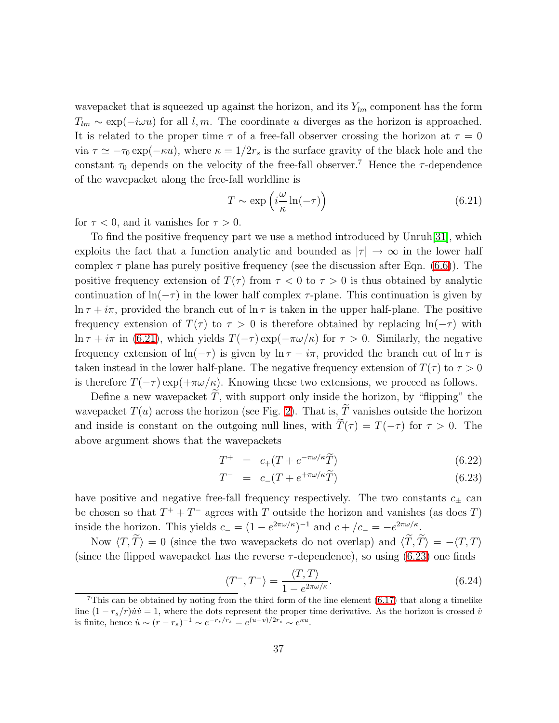wavepacket that is squeezed up against the horizon, and its  $Y_{lm}$  component has the form  $T_{lm} \sim \exp(-i\omega u)$  for all l, m. The coordinate u diverges as the horizon is approached. It is related to the proper time  $\tau$  of a free-fall observer crossing the horizon at  $\tau = 0$ via  $\tau \simeq -\tau_0 \exp(-\kappa u)$ , where  $\kappa = 1/2r_s$  is the surface gravity of the black hole and the constant  $\tau_0$  depends on the velocity of the free-fall observer.<sup>7</sup> Hence the  $\tau$ -dependence of the wavepacket along the free-fall worldline is

<span id="page-36-0"></span>
$$
T \sim \exp\left(i\frac{\omega}{\kappa}\ln(-\tau)\right) \tag{6.21}
$$

for  $\tau < 0$ , and it vanishes for  $\tau > 0$ .

To find the positive frequency part we use a method introduced by Unruh[\[31\]](#page-56-0), which exploits the fact that a function analytic and bounded as  $|\tau| \to \infty$  in the lower half complex  $\tau$  plane has purely positive frequency (see the discussion after Eqn. [\(6.6\)](#page-33-1)). The positive frequency extension of  $T(\tau)$  from  $\tau < 0$  to  $\tau > 0$  is thus obtained by analytic continuation of ln( $-\tau$ ) in the lower half complex  $\tau$ -plane. This continuation is given by  $\ln \tau + i\pi$ , provided the branch cut of  $\ln \tau$  is taken in the upper half-plane. The positive frequency extension of  $T(\tau)$  to  $\tau > 0$  is therefore obtained by replacing  $\ln(-\tau)$  with  $\ln \tau + i\pi$  in [\(6.21\)](#page-36-0), which yields  $T(-\tau) \exp(-\pi \omega/\kappa)$  for  $\tau > 0$ . Similarly, the negative frequency extension of  $ln(-\tau)$  is given by  $ln \tau - i\pi$ , provided the branch cut of  $ln \tau$  is taken instead in the lower half-plane. The negative frequency extension of  $T(\tau)$  to  $\tau > 0$ is therefore  $T(-\tau) \exp(+\pi \omega/\kappa)$ . Knowing these two extensions, we proceed as follows.

Define a new wavepacket  $\tilde{T}$ , with support only inside the horizon, by "flipping" the wavepacket  $T(u)$  across the horizon (see Fig. [2\)](#page-37-0). That is,  $\widetilde{T}$  vanishes outside the horizon and inside is constant on the outgoing null lines, with  $\widetilde{T}(\tau) = T(-\tau)$  for  $\tau > 0$ . The above argument shows that the wavepackets

<span id="page-36-1"></span>
$$
T^{+} = c_{+}(T + e^{-\pi\omega/\kappa}\widetilde{T}) \tag{6.22}
$$

$$
T^{-} = c_{-}(T + e^{+\pi\omega/\kappa}\tilde{T}) \tag{6.23}
$$

have positive and negative free-fall frequency respectively. The two constants  $c_{\pm}$  can be chosen so that  $T^+ + T^-$  agrees with T outside the horizon and vanishes (as does T) inside the horizon. This yields  $c_{-} = (1 - e^{2\pi\omega/\kappa})^{-1}$  and  $c + /c_{-} = -e^{2\pi\omega/\kappa}$ .

Now  $\langle T, \tilde{T} \rangle = 0$  (since the two wavepackets do not overlap) and  $\langle \tilde{T}, \tilde{T} \rangle = -\langle T, T \rangle$ (since the flipped wavepacket has the reverse  $\tau$ -dependence), so using [\(6.23\)](#page-36-1) one finds

<span id="page-36-2"></span>
$$
\langle T^-, T^- \rangle = \frac{\langle T, T \rangle}{1 - e^{2\pi \omega/\kappa}}.
$$
\n(6.24)

<sup>&</sup>lt;sup>7</sup>This can be obtained by noting from the third form of the line element  $(6.17)$  that along a timelike line  $(1 - r_s/r)\dot{u}\dot{v} = 1$ , where the dots represent the proper time derivative. As the horizon is crossed  $\dot{v}$ is finite, hence  $u \sim (r - r_s)^{-1} \sim e^{-r_*/r_s} = e^{(u-v)/2r_s} \sim e^{\kappa u}$ .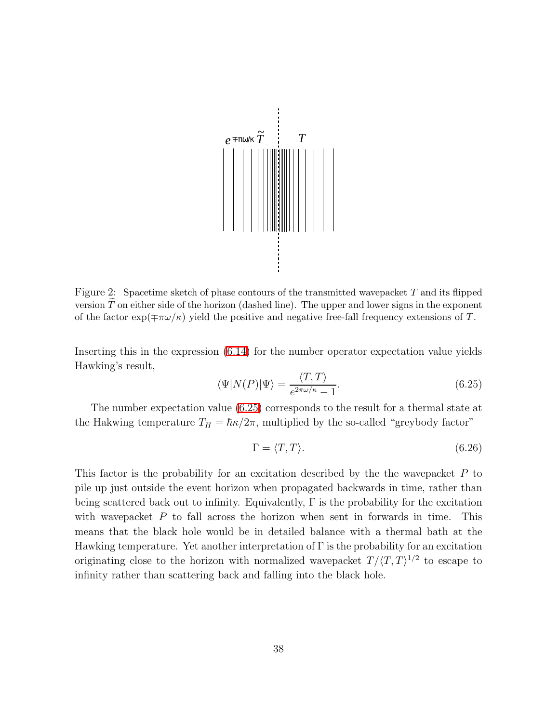

<span id="page-37-0"></span>Figure 2: Spacetime sketch of phase contours of the transmitted wavepacket  $T$  and its flipped version  $\overline{T}$  on either side of the horizon (dashed line). The upper and lower signs in the exponent of the factor  $\exp(\mp \pi \omega/\kappa)$  yield the positive and negative free-fall frequency extensions of T.

Inserting this in the expression [\(6.14\)](#page-34-3) for the number operator expectation value yields Hawking's result,

<span id="page-37-2"></span><span id="page-37-1"></span>
$$
\langle \Psi | N(P) | \Psi \rangle = \frac{\langle T, T \rangle}{e^{2\pi \omega/\kappa} - 1}.
$$
\n(6.25)

The number expectation value [\(6.25\)](#page-37-1) corresponds to the result for a thermal state at the Hakwing temperature  $T_H = \hbar \kappa / 2\pi$ , multiplied by the so-called "greybody factor"

$$
\Gamma = \langle T, T \rangle. \tag{6.26}
$$

This factor is the probability for an excitation described by the the wavepacket  $P$  to pile up just outside the event horizon when propagated backwards in time, rather than being scattered back out to infinity. Equivalently,  $\Gamma$  is the probability for the excitation with wavepacket  $P$  to fall across the horizon when sent in forwards in time. This means that the black hole would be in detailed balance with a thermal bath at the Hawking temperature. Yet another interpretation of Γ is the probability for an excitation originating close to the horizon with normalized wavepacket  $T/\langle T, T \rangle^{1/2}$  to escape to infinity rather than scattering back and falling into the black hole.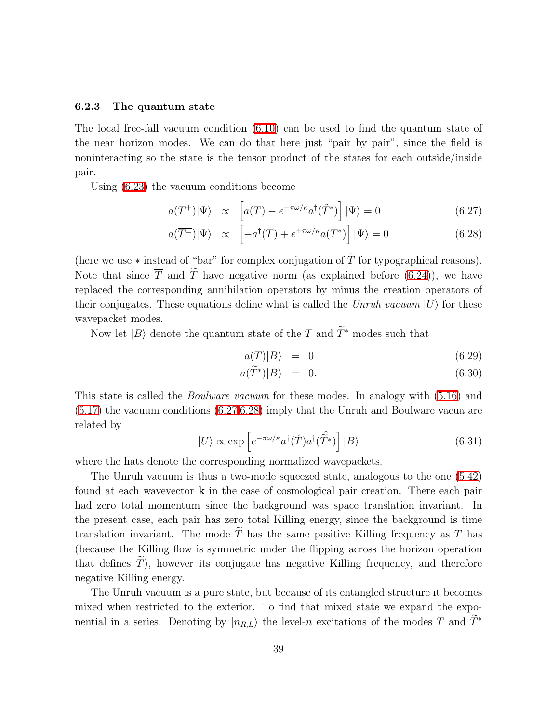#### <span id="page-38-0"></span>6.2.3 The quantum state

The local free-fall vacuum condition [\(6.10\)](#page-34-2) can be used to find the quantum state of the near horizon modes. We can do that here just "pair by pair", since the field is noninteracting so the state is the tensor product of the states for each outside/inside pair.

<span id="page-38-1"></span>Using [\(6.23\)](#page-36-1) the vacuum conditions become

$$
a(T^+)|\Psi\rangle \propto \left[a(T) - e^{-\pi\omega/\kappa} a^\dagger(\tilde{T}^*)\right]|\Psi\rangle = 0 \tag{6.27}
$$

$$
a(\overline{T^{-}})|\Psi\rangle \propto \left[ -a^{\dagger}(T) + e^{+\pi\omega/\kappa} a(\tilde{T}^{*}) \right] |\Psi\rangle = 0 \tag{6.28}
$$

(here we use  $*$  instead of "bar" for complex conjugation of  $\widetilde{T}$  for typographical reasons). Note that since  $\overline{T}$  and  $\widetilde{T}$  have negative norm (as explained before [\(6.24\)](#page-36-2)), we have replaced the corresponding annihilation operators by minus the creation operators of their conjugates. These equations define what is called the *Unruh vacuum*  $|U\rangle$  for these wavepacket modes.

Now let  $|B\rangle$  denote the quantum state of the T and  $\widetilde{T}^*$  modes such that

$$
a(T)|B\rangle = 0 \tag{6.29}
$$

$$
a(\widetilde{T}^*)|B\rangle = 0. \tag{6.30}
$$

This state is called the *Boulware vacuum* for these modes. In analogy with [\(5.16\)](#page-21-2) and [\(5.17\)](#page-21-4) the vacuum conditions [\(6.27,6.28\)](#page-38-1) imply that the Unruh and Boulware vacua are related by

$$
|U\rangle \propto \exp\left[e^{-\pi\omega/\kappa} a^{\dagger}(\hat{T}) a^{\dagger}(\hat{T}^*)\right] |B\rangle \tag{6.31}
$$

where the hats denote the corresponding normalized wavepackets.

The Unruh vacuum is thus a two-mode squeezed state, analogous to the one [\(5.42\)](#page-25-0) found at each wavevector  $\bf{k}$  in the case of cosmological pair creation. There each pair had zero total momentum since the background was space translation invariant. In the present case, each pair has zero total Killing energy, since the background is time translation invariant. The mode  $\widetilde{T}$  has the same positive Killing frequency as T has (because the Killing flow is symmetric under the flipping across the horizon operation that defines  $\tilde{T}$ ), however its conjugate has negative Killing frequency, and therefore negative Killing energy.

The Unruh vacuum is a pure state, but because of its entangled structure it becomes mixed when restricted to the exterior. To find that mixed state we expand the exponential in a series. Denoting by  $|n_{R,L}\rangle$  the level-n excitations of the modes T and  $\widetilde{T}^*$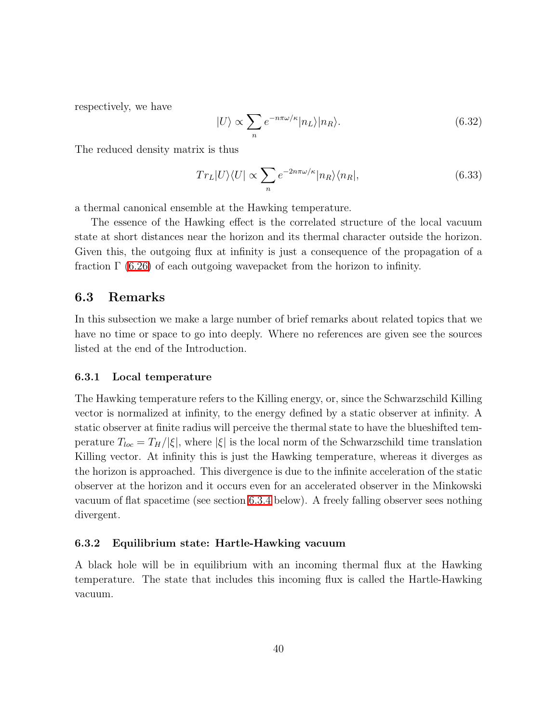respectively, we have

<span id="page-39-3"></span>
$$
|U\rangle \propto \sum_{n} e^{-n\pi\omega/\kappa} |n_L\rangle |n_R\rangle. \tag{6.32}
$$

<span id="page-39-4"></span>The reduced density matrix is thus

$$
Tr_{L}|U\rangle\langle U| \propto \sum_{n} e^{-2n\pi\omega/\kappa} |n_{R}\rangle\langle n_{R}|,
$$
\n(6.33)

a thermal canonical ensemble at the Hawking temperature.

The essence of the Hawking effect is the correlated structure of the local vacuum state at short distances near the horizon and its thermal character outside the horizon. Given this, the outgoing flux at infinity is just a consequence of the propagation of a fraction  $\Gamma$  [\(6.26\)](#page-37-2) of each outgoing wavepacket from the horizon to infinity.

## <span id="page-39-0"></span>6.3 Remarks

In this subsection we make a large number of brief remarks about related topics that we have no time or space to go into deeply. Where no references are given see the sources listed at the end of the Introduction.

#### <span id="page-39-1"></span>6.3.1 Local temperature

The Hawking temperature refers to the Killing energy, or, since the Schwarzschild Killing vector is normalized at infinity, to the energy defined by a static observer at infinity. A static observer at finite radius will perceive the thermal state to have the blueshifted temperature  $T_{loc} = T_H/|\xi|$ , where  $|\xi|$  is the local norm of the Schwarzschild time translation Killing vector. At infinity this is just the Hawking temperature, whereas it diverges as the horizon is approached. This divergence is due to the infinite acceleration of the static observer at the horizon and it occurs even for an accelerated observer in the Minkowski vacuum of flat spacetime (see section [6.3.4](#page-40-1) below). A freely falling observer sees nothing divergent.

### <span id="page-39-2"></span>6.3.2 Equilibrium state: Hartle-Hawking vacuum

A black hole will be in equilibrium with an incoming thermal flux at the Hawking temperature. The state that includes this incoming flux is called the Hartle-Hawking vacuum.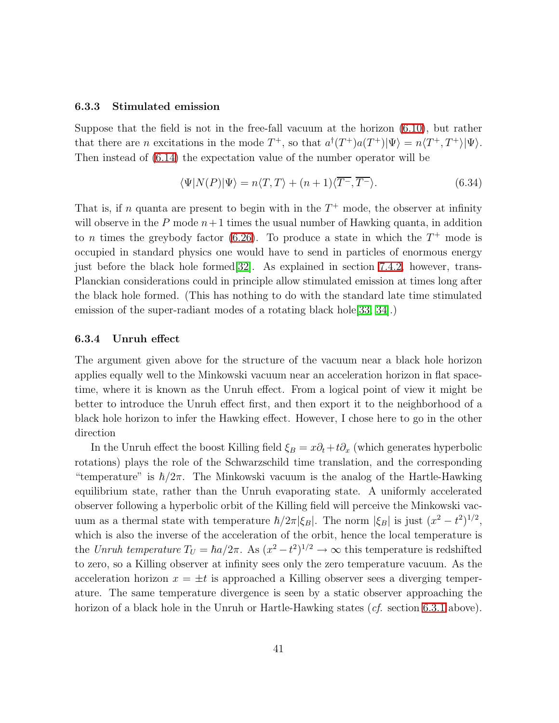#### <span id="page-40-0"></span>6.3.3 Stimulated emission

Suppose that the field is not in the free-fall vacuum at the horizon [\(6.10\)](#page-34-2), but rather that there are *n* excitations in the mode  $T^+$ , so that  $a^{\dagger}(T^+)a(T^+)|\Psi\rangle = n\langle T^+, T^+\rangle|\Psi\rangle$ . Then instead of [\(6.14\)](#page-34-3) the expectation value of the number operator will be

$$
\langle \Psi | N(P) | \Psi \rangle = n \langle T, T \rangle + (n+1) \langle \overline{T^{-}}, \overline{T^{-}} \rangle. \tag{6.34}
$$

That is, if n quanta are present to begin with in the  $T^+$  mode, the observer at infinity will observe in the P mode  $n+1$  times the usual number of Hawking quanta, in addition to *n* times the greybody factor [\(6.26\)](#page-37-2). To produce a state in which the  $T^+$  mode is occupied in standard physics one would have to send in particles of enormous energy just before the black hole formed[\[32\]](#page-56-1). As explained in section [7.4.2,](#page-52-0) however, trans-Planckian considerations could in principle allow stimulated emission at times long after the black hole formed. (This has nothing to do with the standard late time stimulated emission of the super-radiant modes of a rotating black hole [\[33,](#page-56-2) [34\]](#page-56-3).)

#### <span id="page-40-1"></span>6.3.4 Unruh effect

The argument given above for the structure of the vacuum near a black hole horizon applies equally well to the Minkowski vacuum near an acceleration horizon in flat spacetime, where it is known as the Unruh effect. From a logical point of view it might be better to introduce the Unruh effect first, and then export it to the neighborhood of a black hole horizon to infer the Hawking effect. However, I chose here to go in the other direction

In the Unruh effect the boost Killing field  $\xi_B = x\partial_t + t\partial_x$  (which generates hyperbolic rotations) plays the role of the Schwarzschild time translation, and the corresponding "temperature" is  $\hbar/2\pi$ . The Minkowski vacuum is the analog of the Hartle-Hawking equilibrium state, rather than the Unruh evaporating state. A uniformly accelerated observer following a hyperbolic orbit of the Killing field will perceive the Minkowski vacuum as a thermal state with temperature  $\hbar/2\pi |\xi_B|$ . The norm  $|\xi_B|$  is just  $(x^2 - t^2)^{1/2}$ , which is also the inverse of the acceleration of the orbit, hence the local temperature is the *Unruh temperature*  $T_U = \hbar a/2\pi$ . As  $(x^2 - t^2)^{1/2} \to \infty$  this temperature is redshifted to zero, so a Killing observer at infinity sees only the zero temperature vacuum. As the acceleration horizon  $x = \pm t$  is approached a Killing observer sees a diverging temperature. The same temperature divergence is seen by a static observer approaching the horizon of a black hole in the Unruh or Hartle-Hawking states (*cf.* section [6.3.1](#page-39-1) above).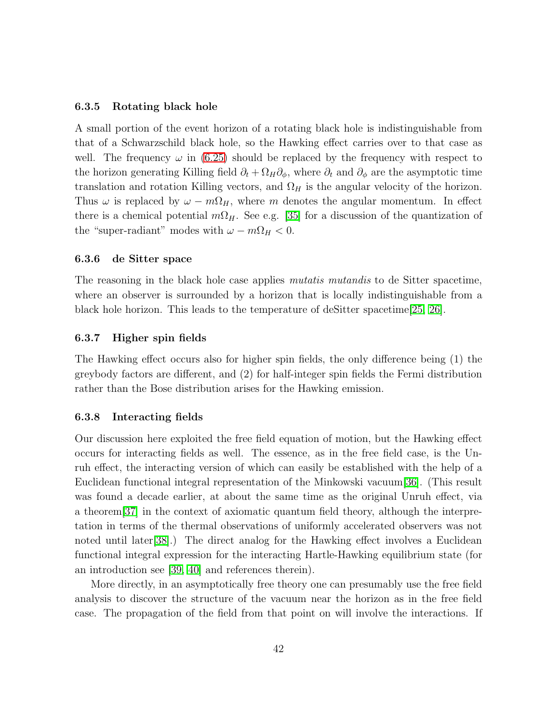#### <span id="page-41-0"></span>6.3.5 Rotating black hole

A small portion of the event horizon of a rotating black hole is indistinguishable from that of a Schwarzschild black hole, so the Hawking effect carries over to that case as well. The frequency  $\omega$  in [\(6.25\)](#page-37-1) should be replaced by the frequency with respect to the horizon generating Killing field  $\partial_t + \Omega_H \partial_\phi$ , where  $\partial_t$  and  $\partial_\phi$  are the asymptotic time translation and rotation Killing vectors, and  $\Omega_H$  is the angular velocity of the horizon. Thus  $\omega$  is replaced by  $\omega - m\Omega_H$ , where m denotes the angular momentum. In effect there is a chemical potential  $m\Omega_H$ . See e.g. [\[35\]](#page-56-4) for a discussion of the quantization of the "super-radiant" modes with  $\omega - m\Omega_H < 0$ .

#### <span id="page-41-1"></span>6.3.6 de Sitter space

The reasoning in the black hole case applies *mutatis mutandis* to de Sitter spacetime, where an observer is surrounded by a horizon that is locally indistinguishable from a black hole horizon. This leads to the temperature of deSitter spacetime[\[25,](#page-55-7) [26\]](#page-55-8).

#### <span id="page-41-2"></span>6.3.7 Higher spin fields

The Hawking effect occurs also for higher spin fields, the only difference being (1) the greybody factors are different, and (2) for half-integer spin fields the Fermi distribution rather than the Bose distribution arises for the Hawking emission.

#### <span id="page-41-3"></span>6.3.8 Interacting fields

Our discussion here exploited the free field equation of motion, but the Hawking effect occurs for interacting fields as well. The essence, as in the free field case, is the Unruh effect, the interacting version of which can easily be established with the help of a Euclidean functional integral representation of the Minkowski vacuum[\[36\]](#page-56-5). (This result was found a decade earlier, at about the same time as the original Unruh effect, via a theorem[\[37\]](#page-56-6) in the context of axiomatic quantum field theory, although the interpretation in terms of the thermal observations of uniformly accelerated observers was not noted until later [\[38\]](#page-56-7).) The direct analog for the Hawking effect involves a Euclidean functional integral expression for the interacting Hartle-Hawking equilibrium state (for an introduction see [\[39,](#page-56-8) [40\]](#page-56-9) and references therein).

More directly, in an asymptotically free theory one can presumably use the free field analysis to discover the structure of the vacuum near the horizon as in the free field case. The propagation of the field from that point on will involve the interactions. If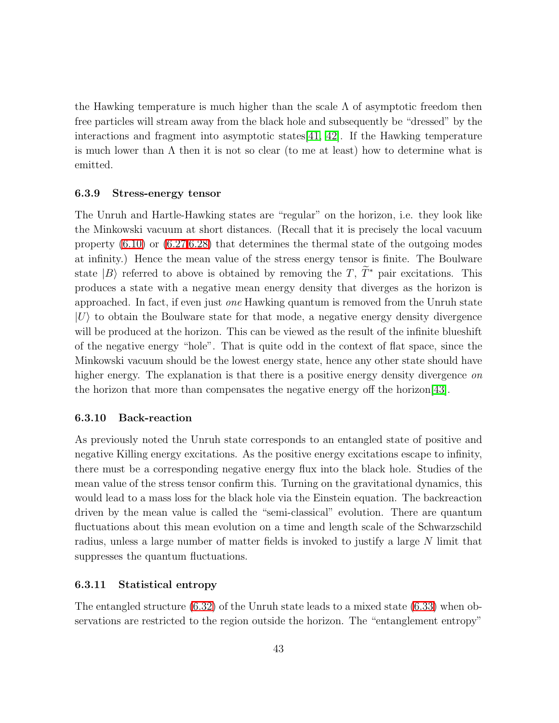the Hawking temperature is much higher than the scale  $\Lambda$  of asymptotic freedom then free particles will stream away from the black hole and subsequently be "dressed" by the interactions and fragment into asymptotic states  $[41, 42]$  $[41, 42]$ . If the Hawking temperature is much lower than  $\Lambda$  then it is not so clear (to me at least) how to determine what is emitted.

#### <span id="page-42-0"></span>6.3.9 Stress-energy tensor

The Unruh and Hartle-Hawking states are "regular" on the horizon, i.e. they look like the Minkowski vacuum at short distances. (Recall that it is precisely the local vacuum property  $(6.10)$  or  $(6.27,6.28)$  that determines the thermal state of the outgoing modes at infinity.) Hence the mean value of the stress energy tensor is finite. The Boulware state  $|B\rangle$  referred to above is obtained by removing the T,  $\tilde{T}^*$  pair excitations. This produces a state with a negative mean energy density that diverges as the horizon is approached. In fact, if even just *one* Hawking quantum is removed from the Unruh state  $|U\rangle$  to obtain the Boulware state for that mode, a negative energy density divergence will be produced at the horizon. This can be viewed as the result of the infinite blueshift of the negative energy "hole". That is quite odd in the context of flat space, since the Minkowski vacuum should be the lowest energy state, hence any other state should have higher energy. The explanation is that there is a positive energy density divergence *on* the horizon that more than compensates the negative energy off the horizon[\[43\]](#page-56-12).

#### <span id="page-42-1"></span>6.3.10 Back-reaction

As previously noted the Unruh state corresponds to an entangled state of positive and negative Killing energy excitations. As the positive energy excitations escape to infinity, there must be a corresponding negative energy flux into the black hole. Studies of the mean value of the stress tensor confirm this. Turning on the gravitational dynamics, this would lead to a mass loss for the black hole via the Einstein equation. The backreaction driven by the mean value is called the "semi-classical" evolution. There are quantum fluctuations about this mean evolution on a time and length scale of the Schwarzschild radius, unless a large number of matter fields is invoked to justify a large N limit that suppresses the quantum fluctuations.

#### <span id="page-42-2"></span>6.3.11 Statistical entropy

The entangled structure [\(6.32\)](#page-39-3) of the Unruh state leads to a mixed state [\(6.33\)](#page-39-4) when observations are restricted to the region outside the horizon. The "entanglement entropy"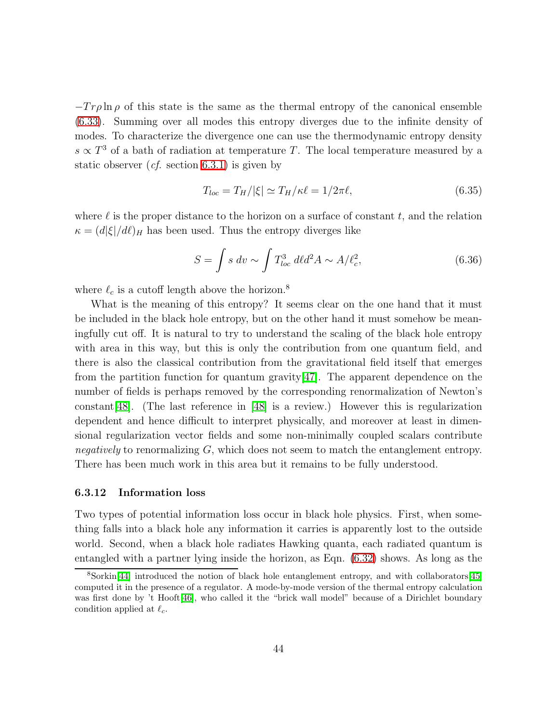$-Tr\rho \ln \rho$  of this state is the same as the thermal entropy of the canonical ensemble [\(6.33\)](#page-39-4). Summing over all modes this entropy diverges due to the infinite density of modes. To characterize the divergence one can use the thermodynamic entropy density  $s \propto T^3$  of a bath of radiation at temperature T. The local temperature measured by a static observer (*cf.* section [6.3.1\)](#page-39-1) is given by

$$
T_{loc} = T_H / |\xi| \simeq T_H / \kappa \ell = 1/2\pi \ell, \tag{6.35}
$$

where  $\ell$  is the proper distance to the horizon on a surface of constant t, and the relation  $\kappa = (d|\xi|/d\ell)_H$  has been used. Thus the entropy diverges like

$$
S = \int s \, dv \sim \int T_{loc}^3 \, d\ell d^2 A \sim A/\ell_c^2,\tag{6.36}
$$

where  $\ell_c$  is a cutoff length above the horizon.<sup>8</sup>

What is the meaning of this entropy? It seems clear on the one hand that it must be included in the black hole entropy, but on the other hand it must somehow be meaningfully cut off. It is natural to try to understand the scaling of the black hole entropy with area in this way, but this is only the contribution from one quantum field, and there is also the classical contribution from the gravitational field itself that emerges from the partition function for quantum gravity[\[47\]](#page-57-0). The apparent dependence on the number of fields is perhaps removed by the corresponding renormalization of Newton's constant[\[48\]](#page-57-1). (The last reference in [\[48\]](#page-57-1) is a review.) However this is regularization dependent and hence difficult to interpret physically, and moreover at least in dimensional regularization vector fields and some non-minimally coupled scalars contribute *negatively* to renormalizing G, which does not seem to match the entanglement entropy. There has been much work in this area but it remains to be fully understood.

#### <span id="page-43-0"></span>6.3.12 Information loss

Two types of potential information loss occur in black hole physics. First, when something falls into a black hole any information it carries is apparently lost to the outside world. Second, when a black hole radiates Hawking quanta, each radiated quantum is entangled with a partner lying inside the horizon, as Eqn. [\(6.32\)](#page-39-3) shows. As long as the

<sup>8</sup>Sorkin[\[44\]](#page-57-2) introduced the notion of black hole entanglement entropy, and with collaborators[\[45\]](#page-57-3) computed it in the presence of a regulator. A mode-by-mode version of the thermal entropy calculation was first done by 't Hooft[\[46\]](#page-57-4), who called it the "brick wall model" because of a Dirichlet boundary condition applied at  $\ell_c$ .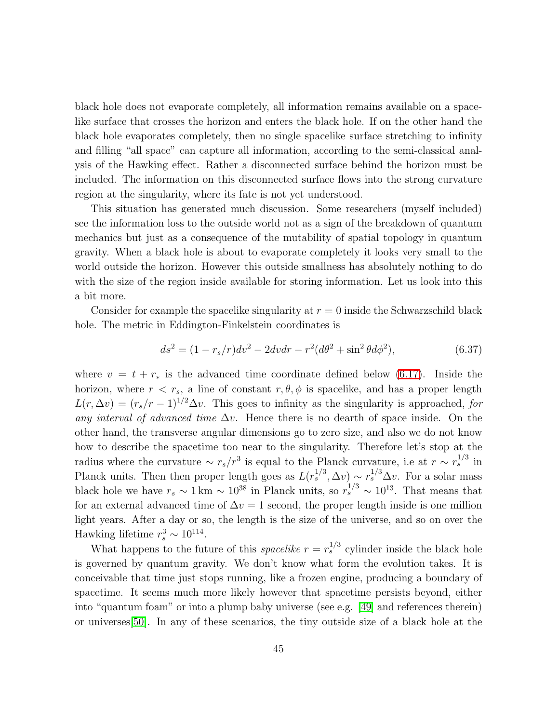black hole does not evaporate completely, all information remains available on a spacelike surface that crosses the horizon and enters the black hole. If on the other hand the black hole evaporates completely, then no single spacelike surface stretching to infinity and filling "all space" can capture all information, according to the semi-classical analysis of the Hawking effect. Rather a disconnected surface behind the horizon must be included. The information on this disconnected surface flows into the strong curvature region at the singularity, where its fate is not yet understood.

This situation has generated much discussion. Some researchers (myself included) see the information loss to the outside world not as a sign of the breakdown of quantum mechanics but just as a consequence of the mutability of spatial topology in quantum gravity. When a black hole is about to evaporate completely it looks very small to the world outside the horizon. However this outside smallness has absolutely nothing to do with the size of the region inside available for storing information. Let us look into this a bit more.

Consider for example the spacelike singularity at  $r = 0$  inside the Schwarzschild black hole. The metric in Eddington-Finkelstein coordinates is

$$
ds^{2} = (1 - r_{s}/r)dv^{2} - 2dvdr - r^{2}(d\theta^{2} + \sin^{2}\theta d\phi^{2}),
$$
\n(6.37)

where  $v = t + r_*$  is the advanced time coordinate defined below [\(6.17\)](#page-35-0). Inside the horizon, where  $r < r_s$ , a line of constant  $r, \theta, \phi$  is spacelike, and has a proper length  $L(r, \Delta v) = (r_s/r - 1)^{1/2} \Delta v$ . This goes to infinity as the singularity is approached, *for any interval of advanced time* ∆v. Hence there is no dearth of space inside. On the other hand, the transverse angular dimensions go to zero size, and also we do not know how to describe the spacetime too near to the singularity. Therefore let's stop at the radius where the curvature  $\sim r_s/r^3$  is equal to the Planck curvature, i.e at  $r \sim r_s^{1/3}$  in Planck units. Then then proper length goes as  $L(r_s^{1/3}, \Delta v) \sim r_s^{1/3} \Delta v$ . For a solar mass black hole we have  $r_s \sim 1 \text{ km} \sim 10^{38}$  in Planck units, so  $r_s^{1/3} \sim 10^{13}$ . That means that for an external advanced time of  $\Delta v = 1$  second, the proper length inside is one million light years. After a day or so, the length is the size of the universe, and so on over the Hawking lifetime  $r_s^3 \sim 10^{114}$ .

What happens to the future of this *spacelike*  $r = r_s^{1/3}$  cylinder inside the black hole is governed by quantum gravity. We don't know what form the evolution takes. It is conceivable that time just stops running, like a frozen engine, producing a boundary of spacetime. It seems much more likely however that spacetime persists beyond, either into "quantum foam" or into a plump baby universe (see e.g. [\[49\]](#page-57-5) and references therein) or universes[\[50\]](#page-57-6). In any of these scenarios, the tiny outside size of a black hole at the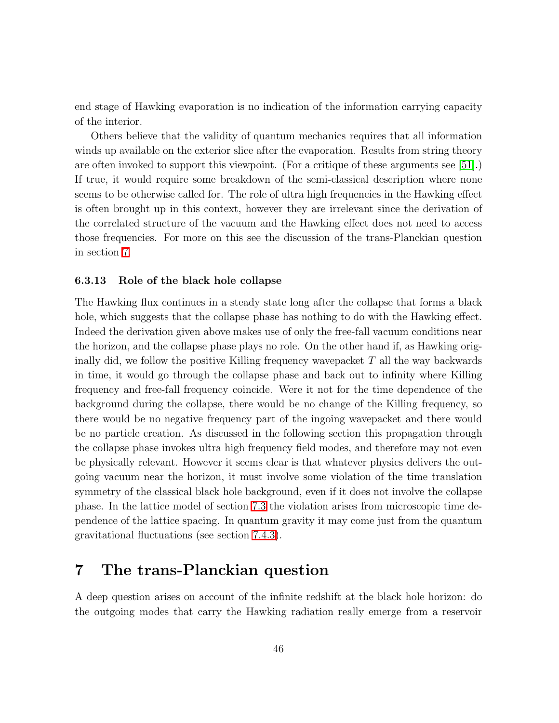end stage of Hawking evaporation is no indication of the information carrying capacity of the interior.

Others believe that the validity of quantum mechanics requires that all information winds up available on the exterior slice after the evaporation. Results from string theory are often invoked to support this viewpoint. (For a critique of these arguments see [\[51\]](#page-57-7).) If true, it would require some breakdown of the semi-classical description where none seems to be otherwise called for. The role of ultra high frequencies in the Hawking effect is often brought up in this context, however they are irrelevant since the derivation of the correlated structure of the vacuum and the Hawking effect does not need to access those frequencies. For more on this see the discussion of the trans-Planckian question in section [7.](#page-45-1)

#### <span id="page-45-0"></span>6.3.13 Role of the black hole collapse

The Hawking flux continues in a steady state long after the collapse that forms a black hole, which suggests that the collapse phase has nothing to do with the Hawking effect. Indeed the derivation given above makes use of only the free-fall vacuum conditions near the horizon, and the collapse phase plays no role. On the other hand if, as Hawking originally did, we follow the positive Killing frequency wavepacket  $T$  all the way backwards in time, it would go through the collapse phase and back out to infinity where Killing frequency and free-fall frequency coincide. Were it not for the time dependence of the background during the collapse, there would be no change of the Killing frequency, so there would be no negative frequency part of the ingoing wavepacket and there would be no particle creation. As discussed in the following section this propagation through the collapse phase invokes ultra high frequency field modes, and therefore may not even be physically relevant. However it seems clear is that whatever physics delivers the outgoing vacuum near the horizon, it must involve some violation of the time translation symmetry of the classical black hole background, even if it does not involve the collapse phase. In the lattice model of section [7.3](#page-48-0) the violation arises from microscopic time dependence of the lattice spacing. In quantum gravity it may come just from the quantum gravitational fluctuations (see section [7.4.3\)](#page-52-1).

# <span id="page-45-1"></span>7 The trans-Planckian question

A deep question arises on account of the infinite redshift at the black hole horizon: do the outgoing modes that carry the Hawking radiation really emerge from a reservoir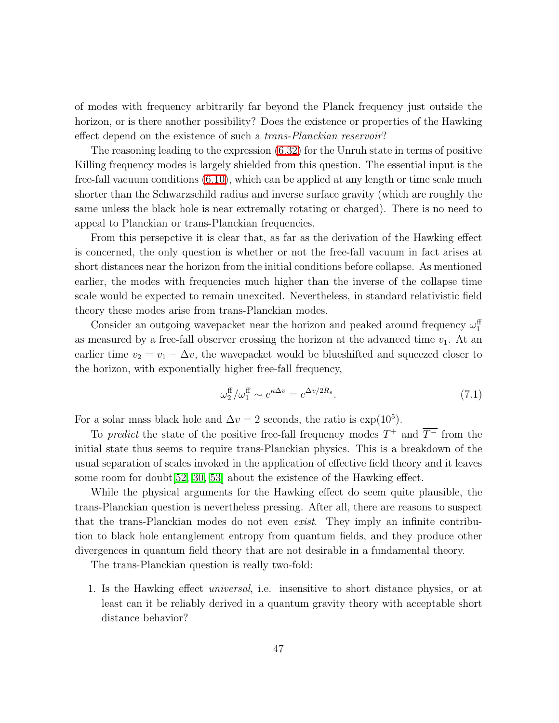of modes with frequency arbitrarily far beyond the Planck frequency just outside the horizon, or is there another possibility? Does the existence or properties of the Hawking effect depend on the existence of such a *trans-Planckian reservoir*?

The reasoning leading to the expression [\(6.32\)](#page-39-3) for the Unruh state in terms of positive Killing frequency modes is largely shielded from this question. The essential input is the free-fall vacuum conditions [\(6.10\)](#page-34-2), which can be applied at any length or time scale much shorter than the Schwarzschild radius and inverse surface gravity (which are roughly the same unless the black hole is near extremally rotating or charged). There is no need to appeal to Planckian or trans-Planckian frequencies.

From this persepctive it is clear that, as far as the derivation of the Hawking effect is concerned, the only question is whether or not the free-fall vacuum in fact arises at short distances near the horizon from the initial conditions before collapse. As mentioned earlier, the modes with frequencies much higher than the inverse of the collapse time scale would be expected to remain unexcited. Nevertheless, in standard relativistic field theory these modes arise from trans-Planckian modes.

Consider an outgoing wavepacket near the horizon and peaked around frequency  $\omega_1^{\text{ff}}$ as measured by a free-fall observer crossing the horizon at the advanced time  $v_1$ . At an earlier time  $v_2 = v_1 - \Delta v$ , the wavepacket would be blueshifted and squeezed closer to the horizon, with exponentially higher free-fall frequency,

$$
\omega_2^{\text{ff}}/\omega_1^{\text{ff}} \sim e^{\kappa \Delta v} = e^{\Delta v/2R_s}.\tag{7.1}
$$

For a solar mass black hole and  $\Delta v = 2$  seconds, the ratio is  $\exp(10^5)$ .

To *predict* the state of the positive free-fall frequency modes  $T^+$  and  $\overline{T^-}$  from the initial state thus seems to require trans-Planckian physics. This is a breakdown of the usual separation of scales invoked in the application of effective field theory and it leaves some room for doubt[\[52,](#page-57-8) [30,](#page-55-12) [53\]](#page-57-9) about the existence of the Hawking effect.

While the physical arguments for the Hawking effect do seem quite plausible, the trans-Planckian question is nevertheless pressing. After all, there are reasons to suspect that the trans-Planckian modes do not even *exist*. They imply an infinite contribution to black hole entanglement entropy from quantum fields, and they produce other divergences in quantum field theory that are not desirable in a fundamental theory.

The trans-Planckian question is really two-fold:

1. Is the Hawking effect *universal*, i.e. insensitive to short distance physics, or at least can it be reliably derived in a quantum gravity theory with acceptable short distance behavior?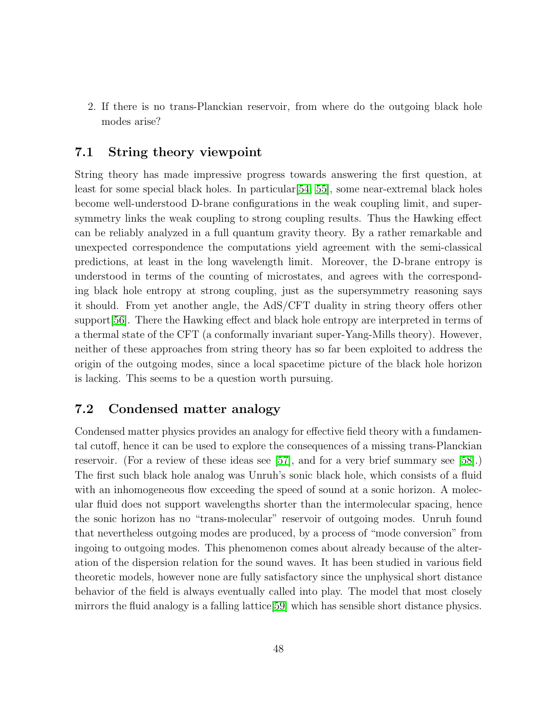2. If there is no trans-Planckian reservoir, from where do the outgoing black hole modes arise?

## <span id="page-47-0"></span>7.1 String theory viewpoint

String theory has made impressive progress towards answering the first question, at least for some special black holes. In particular[\[54,](#page-58-0) [55\]](#page-58-1), some near-extremal black holes become well-understood D-brane configurations in the weak coupling limit, and supersymmetry links the weak coupling to strong coupling results. Thus the Hawking effect can be reliably analyzed in a full quantum gravity theory. By a rather remarkable and unexpected correspondence the computations yield agreement with the semi-classical predictions, at least in the long wavelength limit. Moreover, the D-brane entropy is understood in terms of the counting of microstates, and agrees with the corresponding black hole entropy at strong coupling, just as the supersymmetry reasoning says it should. From yet another angle, the AdS/CFT duality in string theory offers other support[\[56\]](#page-58-2). There the Hawking effect and black hole entropy are interpreted in terms of a thermal state of the CFT (a conformally invariant super-Yang-Mills theory). However, neither of these approaches from string theory has so far been exploited to address the origin of the outgoing modes, since a local spacetime picture of the black hole horizon is lacking. This seems to be a question worth pursuing.

## <span id="page-47-1"></span>7.2 Condensed matter analogy

Condensed matter physics provides an analogy for effective field theory with a fundamental cutoff, hence it can be used to explore the consequences of a missing trans-Planckian reservoir. (For a review of these ideas see [\[57\]](#page-58-3), and for a very brief summary see [\[58\]](#page-58-4).) The first such black hole analog was Unruh's sonic black hole, which consists of a fluid with an inhomogeneous flow exceeding the speed of sound at a sonic horizon. A molecular fluid does not support wavelengths shorter than the intermolecular spacing, hence the sonic horizon has no "trans-molecular" reservoir of outgoing modes. Unruh found that nevertheless outgoing modes are produced, by a process of "mode conversion" from ingoing to outgoing modes. This phenomenon comes about already because of the alteration of the dispersion relation for the sound waves. It has been studied in various field theoretic models, however none are fully satisfactory since the unphysical short distance behavior of the field is always eventually called into play. The model that most closely mirrors the fluid analogy is a falling lattice[\[59\]](#page-58-5) which has sensible short distance physics.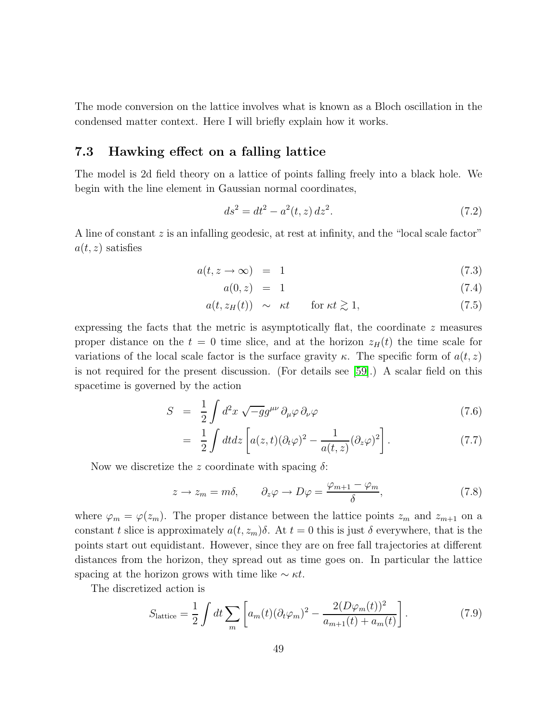The mode conversion on the lattice involves what is known as a Bloch oscillation in the condensed matter context. Here I will briefly explain how it works.

## <span id="page-48-0"></span>7.3 Hawking effect on a falling lattice

The model is 2d field theory on a lattice of points falling freely into a black hole. We begin with the line element in Gaussian normal coordinates,

$$
ds^2 = dt^2 - a^2(t, z) dz^2.
$$
 (7.2)

A line of constant  $z$  is an infalling geodesic, at rest at infinity, and the "local scale factor"  $a(t, z)$  satisfies

$$
a(t, z \to \infty) = 1 \tag{7.3}
$$

$$
a(0, z) = 1 \t\t(7.4)
$$

$$
a(t, z_H(t)) \sim \kappa t \quad \text{for } \kappa t \gtrsim 1,
$$
 (7.5)

expressing the facts that the metric is asymptotically flat, the coordinate  $z$  measures proper distance on the  $t = 0$  time slice, and at the horizon  $z_H(t)$  the time scale for variations of the local scale factor is the surface gravity  $\kappa$ . The specific form of  $a(t, z)$ is not required for the present discussion. (For details see [\[59\]](#page-58-5).) A scalar field on this spacetime is governed by the action

$$
S = \frac{1}{2} \int d^2 x \sqrt{-g} g^{\mu\nu} \partial_{\mu} \varphi \partial_{\nu} \varphi \tag{7.6}
$$

$$
= \frac{1}{2} \int dt dz \left[ a(z, t) (\partial_t \varphi)^2 - \frac{1}{a(t, z)} (\partial_z \varphi)^2 \right]. \tag{7.7}
$$

Now we discretize the z coordinate with spacing  $\delta$ :

$$
z \to z_m = m\delta, \qquad \partial_z \varphi \to D\varphi = \frac{\varphi_{m+1} - \varphi_m}{\delta}, \tag{7.8}
$$

where  $\varphi_m = \varphi(z_m)$ . The proper distance between the lattice points  $z_m$  and  $z_{m+1}$  on a constant t slice is approximately  $a(t, z_m)\delta$ . At  $t = 0$  this is just  $\delta$  everywhere, that is the points start out equidistant. However, since they are on free fall trajectories at different distances from the horizon, they spread out as time goes on. In particular the lattice spacing at the horizon grows with time like  $\sim \kappa t$ .

The discretized action is

$$
S_{\text{lattice}} = \frac{1}{2} \int dt \sum_{m} \left[ a_m(t) (\partial_t \varphi_m)^2 - \frac{2(D\varphi_m(t))^2}{a_{m+1}(t) + a_m(t)} \right]. \tag{7.9}
$$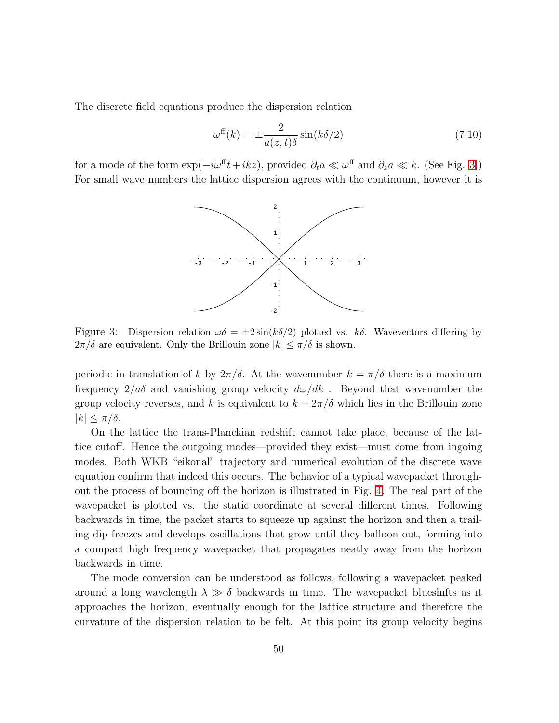The discrete field equations produce the dispersion relation

$$
\omega^{\text{ff}}(k) = \pm \frac{2}{a(z, t)\delta} \sin(k\delta/2) \tag{7.10}
$$

for a mode of the form  $\exp(-i\omega^{\text{ff}}t+ikz)$ , provided  $\partial_t a \ll \omega^{\text{ff}}$  and  $\partial_z a \ll k$ . (See Fig. [3.](#page-49-0)) For small wave numbers the lattice dispersion agrees with the continuum, however it is



<span id="page-49-0"></span>Figure 3: Dispersion relation  $\omega \delta = \pm 2 \sin(k \delta/2)$  plotted vs. k $\delta$ . Wavevectors differing by  $2\pi/\delta$  are equivalent. Only the Brillouin zone  $|k| \leq \pi/\delta$  is shown.

periodic in translation of k by  $2\pi/\delta$ . At the wavenumber  $k = \pi/\delta$  there is a maximum frequency  $2/a\delta$  and vanishing group velocity  $d\omega/dk$ . Beyond that wavenumber the group velocity reverses, and k is equivalent to  $k - 2\pi/\delta$  which lies in the Brillouin zone  $|k| \leq \pi/\delta$ .

On the lattice the trans-Planckian redshift cannot take place, because of the lattice cutoff. Hence the outgoing modes—provided they exist—must come from ingoing modes. Both WKB "eikonal" trajectory and numerical evolution of the discrete wave equation confirm that indeed this occurs. The behavior of a typical wavepacket throughout the process of bouncing off the horizon is illustrated in Fig. [4.](#page-50-0) The real part of the wavepacket is plotted vs. the static coordinate at several different times. Following backwards in time, the packet starts to squeeze up against the horizon and then a trailing dip freezes and develops oscillations that grow until they balloon out, forming into a compact high frequency wavepacket that propagates neatly away from the horizon backwards in time.

The mode conversion can be understood as follows, following a wavepacket peaked around a long wavelength  $\lambda \gg \delta$  backwards in time. The wavepacket blueshifts as it approaches the horizon, eventually enough for the lattice structure and therefore the curvature of the dispersion relation to be felt. At this point its group velocity begins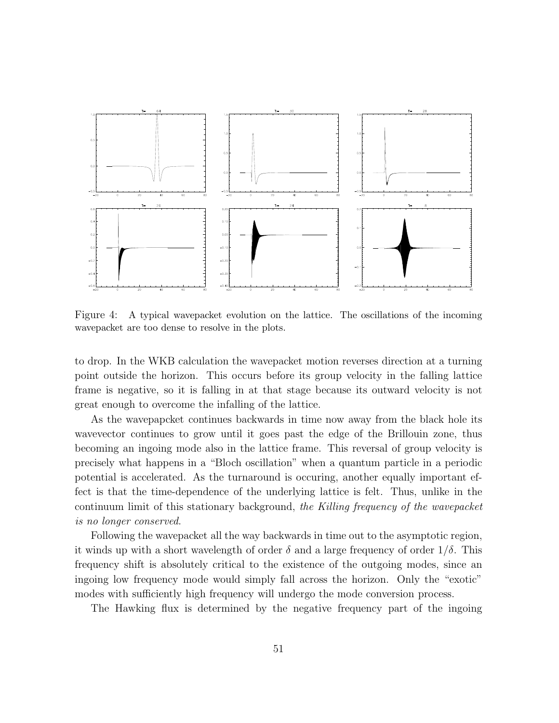

<span id="page-50-0"></span>Figure 4: A typical wavepacket evolution on the lattice. The oscillations of the incoming wavepacket are too dense to resolve in the plots.

to drop. In the WKB calculation the wavepacket motion reverses direction at a turning point outside the horizon. This occurs before its group velocity in the falling lattice frame is negative, so it is falling in at that stage because its outward velocity is not great enough to overcome the infalling of the lattice.

As the wavepapcket continues backwards in time now away from the black hole its wavevector continues to grow until it goes past the edge of the Brillouin zone, thus becoming an ingoing mode also in the lattice frame. This reversal of group velocity is precisely what happens in a "Bloch oscillation" when a quantum particle in a periodic potential is accelerated. As the turnaround is occuring, another equally important effect is that the time-dependence of the underlying lattice is felt. Thus, unlike in the continuum limit of this stationary background, *the Killing frequency of the wavepacket is no longer conserved*.

Following the wavepacket all the way backwards in time out to the asymptotic region, it winds up with a short wavelength of order  $\delta$  and a large frequency of order  $1/\delta$ . This frequency shift is absolutely critical to the existence of the outgoing modes, since an ingoing low frequency mode would simply fall across the horizon. Only the "exotic" modes with sufficiently high frequency will undergo the mode conversion process.

The Hawking flux is determined by the negative frequency part of the ingoing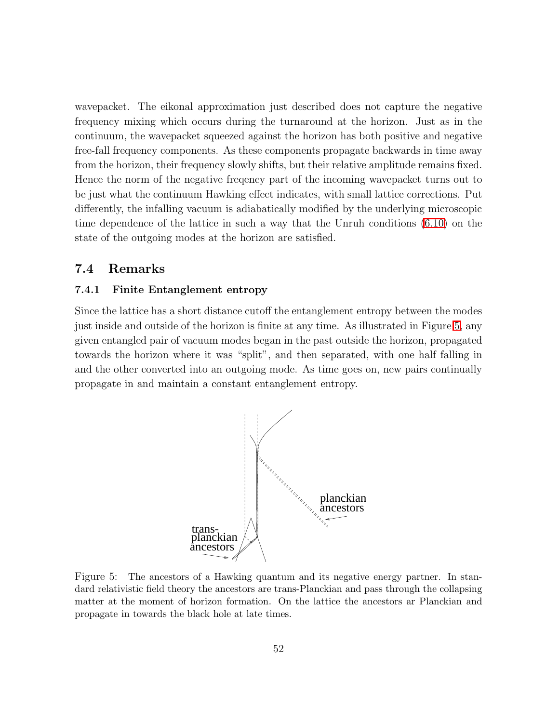wavepacket. The eikonal approximation just described does not capture the negative frequency mixing which occurs during the turnaround at the horizon. Just as in the continuum, the wavepacket squeezed against the horizon has both positive and negative free-fall frequency components. As these components propagate backwards in time away from the horizon, their frequency slowly shifts, but their relative amplitude remains fixed. Hence the norm of the negative freqency part of the incoming wavepacket turns out to be just what the continuum Hawking effect indicates, with small lattice corrections. Put differently, the infalling vacuum is adiabatically modified by the underlying microscopic time dependence of the lattice in such a way that the Unruh conditions [\(6.10\)](#page-34-2) on the state of the outgoing modes at the horizon are satisfied.

## <span id="page-51-1"></span><span id="page-51-0"></span>7.4 Remarks

#### 7.4.1 Finite Entanglement entropy

Since the lattice has a short distance cutoff the entanglement entropy between the modes just inside and outside of the horizon is finite at any time. As illustrated in Figure [5,](#page-51-2) any given entangled pair of vacuum modes began in the past outside the horizon, propagated towards the horizon where it was "split", and then separated, with one half falling in and the other converted into an outgoing mode. As time goes on, new pairs continually propagate in and maintain a constant entanglement entropy.



<span id="page-51-2"></span>Figure 5: The ancestors of a Hawking quantum and its negative energy partner. In standard relativistic field theory the ancestors are trans-Planckian and pass through the collapsing matter at the moment of horizon formation. On the lattice the ancestors ar Planckian and propagate in towards the black hole at late times.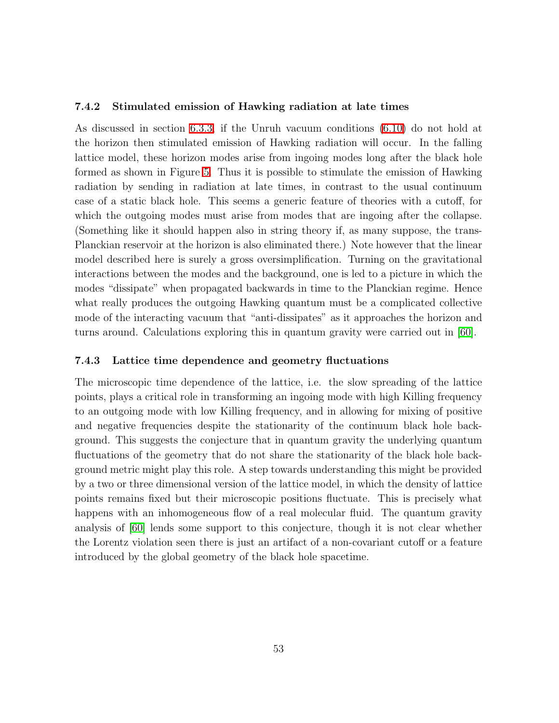#### <span id="page-52-0"></span>7.4.2 Stimulated emission of Hawking radiation at late times

As discussed in section [6.3.3,](#page-40-0) if the Unruh vacuum conditions [\(6.10\)](#page-34-2) do not hold at the horizon then stimulated emission of Hawking radiation will occur. In the falling lattice model, these horizon modes arise from ingoing modes long after the black hole formed as shown in Figure [5.](#page-51-2) Thus it is possible to stimulate the emission of Hawking radiation by sending in radiation at late times, in contrast to the usual continuum case of a static black hole. This seems a generic feature of theories with a cutoff, for which the outgoing modes must arise from modes that are ingoing after the collapse. (Something like it should happen also in string theory if, as many suppose, the trans-Planckian reservoir at the horizon is also eliminated there.) Note however that the linear model described here is surely a gross oversimplification. Turning on the gravitational interactions between the modes and the background, one is led to a picture in which the modes "dissipate" when propagated backwards in time to the Planckian regime. Hence what really produces the outgoing Hawking quantum must be a complicated collective mode of the interacting vacuum that "anti-dissipates" as it approaches the horizon and turns around. Calculations exploring this in quantum gravity were carried out in [\[60\]](#page-58-6).

#### <span id="page-52-1"></span>7.4.3 Lattice time dependence and geometry fluctuations

The microscopic time dependence of the lattice, i.e. the slow spreading of the lattice points, plays a critical role in transforming an ingoing mode with high Killing frequency to an outgoing mode with low Killing frequency, and in allowing for mixing of positive and negative frequencies despite the stationarity of the continuum black hole background. This suggests the conjecture that in quantum gravity the underlying quantum fluctuations of the geometry that do not share the stationarity of the black hole background metric might play this role. A step towards understanding this might be provided by a two or three dimensional version of the lattice model, in which the density of lattice points remains fixed but their microscopic positions fluctuate. This is precisely what happens with an inhomogeneous flow of a real molecular fluid. The quantum gravity analysis of [\[60\]](#page-58-6) lends some support to this conjecture, though it is not clear whether the Lorentz violation seen there is just an artifact of a non-covariant cutoff or a feature introduced by the global geometry of the black hole spacetime.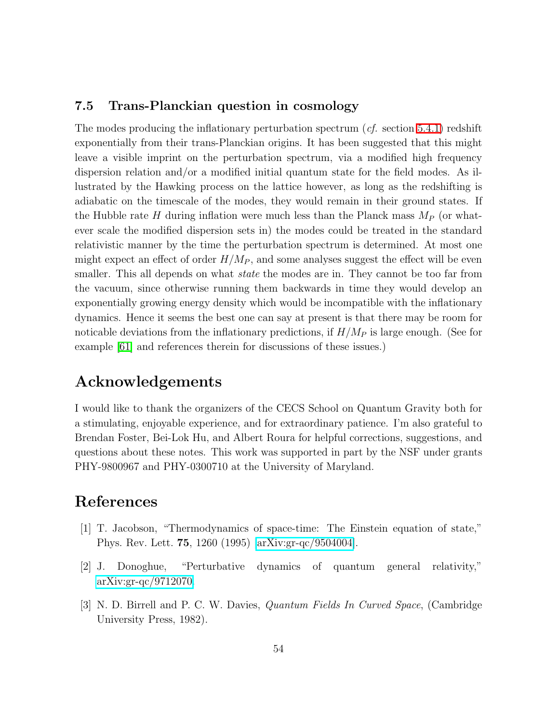## <span id="page-53-0"></span>7.5 Trans-Planckian question in cosmology

The modes producing the inflationary perturbation spectrum (*cf.* section [5.4.1\)](#page-27-1) redshift exponentially from their trans-Planckian origins. It has been suggested that this might leave a visible imprint on the perturbation spectrum, via a modified high frequency dispersion relation and/or a modified initial quantum state for the field modes. As illustrated by the Hawking process on the lattice however, as long as the redshifting is adiabatic on the timescale of the modes, they would remain in their ground states. If the Hubble rate H during inflation were much less than the Planck mass  $M_P$  (or whatever scale the modified dispersion sets in) the modes could be treated in the standard relativistic manner by the time the perturbation spectrum is determined. At most one might expect an effect of order  $H/M_P$ , and some analyses suggest the effect will be even smaller. This all depends on what *state* the modes are in. They cannot be too far from the vacuum, since otherwise running them backwards in time they would develop an exponentially growing energy density which would be incompatible with the inflationary dynamics. Hence it seems the best one can say at present is that there may be room for noticable deviations from the inflationary predictions, if  $H/M_P$  is large enough. (See for example [\[61\]](#page-58-7) and references therein for discussions of these issues.)

# Acknowledgements

I would like to thank the organizers of the CECS School on Quantum Gravity both for a stimulating, enjoyable experience, and for extraordinary patience. I'm also grateful to Brendan Foster, Bei-Lok Hu, and Albert Roura for helpful corrections, suggestions, and questions about these notes. This work was supported in part by the NSF under grants PHY-9800967 and PHY-0300710 at the University of Maryland.

# <span id="page-53-1"></span>References

- <span id="page-53-2"></span>[1] T. Jacobson, "Thermodynamics of space-time: The Einstein equation of state," Phys. Rev. Lett. 75, 1260 (1995) [\[arXiv:gr-qc/9504004\]](http://arXiv.org/abs/gr-qc/9504004).
- <span id="page-53-3"></span>[2] J. Donoghue, "Perturbative dynamics of quantum general relativity," [arXiv:gr-qc/9712070.](http://arXiv.org/abs/gr-qc/9712070)
- [3] N. D. Birrell and P. C. W. Davies, *Quantum Fields In Curved Space*, (Cambridge University Press, 1982).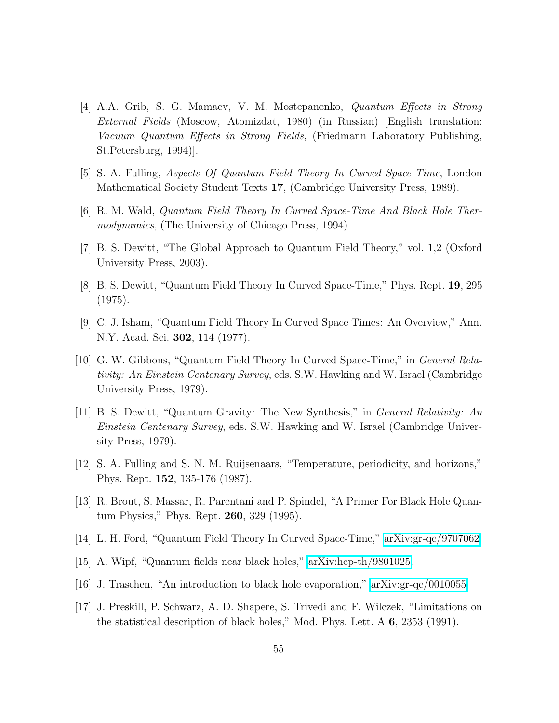- <span id="page-54-0"></span>[4] A.A. Grib, S. G. Mamaev, V. M. Mostepanenko, *Quantum Effects in Strong External Fields* (Moscow, Atomizdat, 1980) (in Russian) [English translation: *Vacuum Quantum Effects in Strong Fields*, (Friedmann Laboratory Publishing, St.Petersburg, 1994)].
- <span id="page-54-2"></span><span id="page-54-1"></span>[5] S. A. Fulling, *Aspects Of Quantum Field Theory In Curved Space-Time*, London Mathematical Society Student Texts 17, (Cambridge University Press, 1989).
- <span id="page-54-3"></span>[6] R. M. Wald, *Quantum Field Theory In Curved Space-Time And Black Hole Thermodynamics*, (The University of Chicago Press, 1994).
- <span id="page-54-4"></span>[7] B. S. Dewitt, "The Global Approach to Quantum Field Theory," vol. 1,2 (Oxford University Press, 2003).
- <span id="page-54-5"></span>[8] B. S. Dewitt, "Quantum Field Theory In Curved Space-Time," Phys. Rept. 19, 295 (1975).
- [9] C. J. Isham, "Quantum Field Theory In Curved Space Times: An Overview," Ann. N.Y. Acad. Sci. 302, 114 (1977).
- <span id="page-54-6"></span>[10] G. W. Gibbons, "Quantum Field Theory In Curved Space-Time," in *General Relativity: An Einstein Centenary Survey*, eds. S.W. Hawking and W. Israel (Cambridge University Press, 1979).
- <span id="page-54-7"></span>[11] B. S. Dewitt, "Quantum Gravity: The New Synthesis," in *General Relativity: An Einstein Centenary Survey*, eds. S.W. Hawking and W. Israel (Cambridge University Press, 1979).
- <span id="page-54-9"></span><span id="page-54-8"></span>[12] S. A. Fulling and S. N. M. Ruijsenaars, "Temperature, periodicity, and horizons," Phys. Rept. 152, 135-176 (1987).
- <span id="page-54-10"></span>[13] R. Brout, S. Massar, R. Parentani and P. Spindel, "A Primer For Black Hole Quantum Physics," Phys. Rept. 260, 329 (1995).
- <span id="page-54-11"></span>[14] L. H. Ford, "Quantum Field Theory In Curved Space-Time," [arXiv:gr-qc/9707062.](http://arXiv.org/abs/gr-qc/9707062)
- <span id="page-54-12"></span>[15] A. Wipf, "Quantum fields near black holes," [arXiv:hep-th/9801025.](http://arXiv.org/abs/hep-th/9801025)
- <span id="page-54-13"></span>[16] J. Traschen, "An introduction to black hole evaporation," [arXiv:gr-qc/0010055.](http://arXiv.org/abs/gr-qc/0010055)
- [17] J. Preskill, P. Schwarz, A. D. Shapere, S. Trivedi and F. Wilczek, "Limitations on the statistical description of black holes," Mod. Phys. Lett. A 6, 2353 (1991).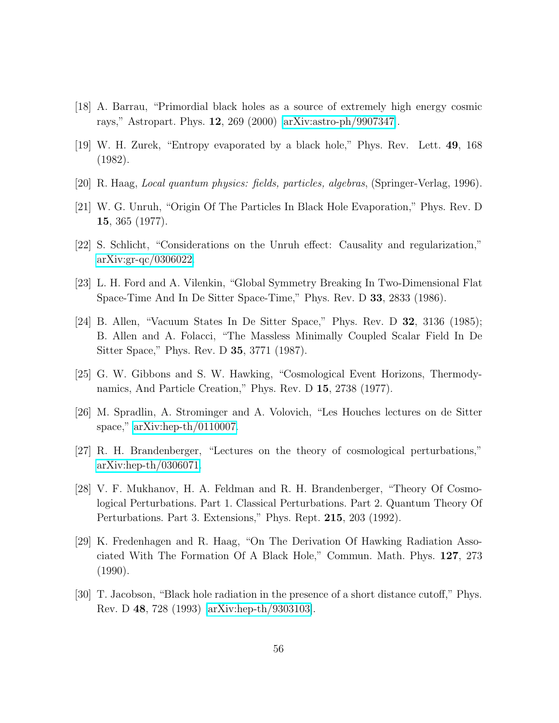- <span id="page-55-1"></span><span id="page-55-0"></span>[18] A. Barrau, "Primordial black holes as a source of extremely high energy cosmic rays," Astropart. Phys. 12, 269 (2000) [\[arXiv:astro-ph/9907347\]](http://arXiv.org/abs/astro-ph/9907347).
- <span id="page-55-2"></span>[19] W. H. Zurek, "Entropy evaporated by a black hole," Phys. Rev. Lett. 49, 168 (1982).
- <span id="page-55-3"></span>[20] R. Haag, *Local quantum physics: fields, particles, algebras*, (Springer-Verlag, 1996).
- <span id="page-55-4"></span>[21] W. G. Unruh, "Origin Of The Particles In Black Hole Evaporation," Phys. Rev. D 15, 365 (1977).
- <span id="page-55-5"></span>[22] S. Schlicht, "Considerations on the Unruh effect: Causality and regularization," [arXiv:gr-qc/0306022.](http://arXiv.org/abs/gr-qc/0306022)
- <span id="page-55-6"></span>[23] L. H. Ford and A. Vilenkin, "Global Symmetry Breaking In Two-Dimensional Flat Space-Time And In De Sitter Space-Time," Phys. Rev. D 33, 2833 (1986).
- [24] B. Allen, "Vacuum States In De Sitter Space," Phys. Rev. D 32, 3136 (1985); B. Allen and A. Folacci, "The Massless Minimally Coupled Scalar Field In De Sitter Space," Phys. Rev. D 35, 3771 (1987).
- <span id="page-55-8"></span><span id="page-55-7"></span>[25] G. W. Gibbons and S. W. Hawking, "Cosmological Event Horizons, Thermodynamics, And Particle Creation," Phys. Rev. D 15, 2738 (1977).
- <span id="page-55-9"></span>[26] M. Spradlin, A. Strominger and A. Volovich, "Les Houches lectures on de Sitter space," [arXiv:hep-th/0110007.](http://arXiv.org/abs/hep-th/0110007)
- <span id="page-55-10"></span>[27] R. H. Brandenberger, "Lectures on the theory of cosmological perturbations," [arXiv:hep-th/0306071.](http://arXiv.org/abs/hep-th/0306071)
- [28] V. F. Mukhanov, H. A. Feldman and R. H. Brandenberger, "Theory Of Cosmological Perturbations. Part 1. Classical Perturbations. Part 2. Quantum Theory Of Perturbations. Part 3. Extensions," Phys. Rept. 215, 203 (1992).
- <span id="page-55-11"></span>[29] K. Fredenhagen and R. Haag, "On The Derivation Of Hawking Radiation Associated With The Formation Of A Black Hole," Commun. Math. Phys. 127, 273 (1990).
- <span id="page-55-12"></span>[30] T. Jacobson, "Black hole radiation in the presence of a short distance cutoff," Phys. Rev. D 48, 728 (1993) [\[arXiv:hep-th/9303103\]](http://arXiv.org/abs/hep-th/9303103).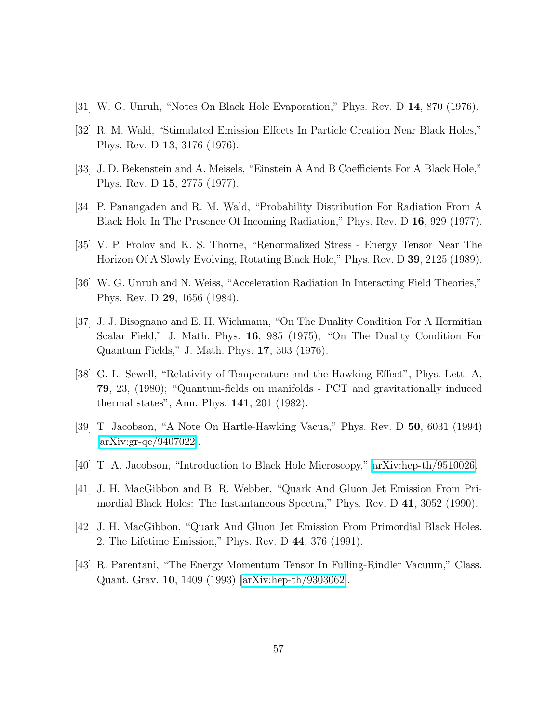- <span id="page-56-1"></span><span id="page-56-0"></span>[31] W. G. Unruh, "Notes On Black Hole Evaporation," Phys. Rev. D 14, 870 (1976).
- <span id="page-56-2"></span>[32] R. M. Wald, "Stimulated Emission Effects In Particle Creation Near Black Holes," Phys. Rev. D 13, 3176 (1976).
- <span id="page-56-3"></span>[33] J. D. Bekenstein and A. Meisels, "Einstein A And B Coefficients For A Black Hole," Phys. Rev. D 15, 2775 (1977).
- <span id="page-56-4"></span>[34] P. Panangaden and R. M. Wald, "Probability Distribution For Radiation From A Black Hole In The Presence Of Incoming Radiation," Phys. Rev. D 16, 929 (1977).
- <span id="page-56-5"></span>[35] V. P. Frolov and K. S. Thorne, "Renormalized Stress - Energy Tensor Near The Horizon Of A Slowly Evolving, Rotating Black Hole," Phys. Rev. D 39, 2125 (1989).
- <span id="page-56-6"></span>[36] W. G. Unruh and N. Weiss, "Acceleration Radiation In Interacting Field Theories," Phys. Rev. D 29, 1656 (1984).
- [37] J. J. Bisognano and E. H. Wichmann, "On The Duality Condition For A Hermitian Scalar Field," J. Math. Phys. 16, 985 (1975); "On The Duality Condition For Quantum Fields," J. Math. Phys. 17, 303 (1976).
- <span id="page-56-7"></span>[38] G. L. Sewell, "Relativity of Temperature and the Hawking Effect", Phys. Lett. A, 79, 23, (1980); "Quantum-fields on manifolds - PCT and gravitationally induced thermal states", Ann. Phys. 141, 201 (1982).
- <span id="page-56-9"></span><span id="page-56-8"></span>[39] T. Jacobson, "A Note On Hartle-Hawking Vacua," Phys. Rev. D 50, 6031 (1994) [\[arXiv:gr-qc/9407022\]](http://arXiv.org/abs/gr-qc/9407022).
- <span id="page-56-10"></span>[40] T. A. Jacobson, "Introduction to Black Hole Microscopy," [arXiv:hep-th/9510026.](http://arXiv.org/abs/hep-th/9510026)
- <span id="page-56-11"></span>[41] J. H. MacGibbon and B. R. Webber, "Quark And Gluon Jet Emission From Primordial Black Holes: The Instantaneous Spectra," Phys. Rev. D 41, 3052 (1990).
- <span id="page-56-12"></span>[42] J. H. MacGibbon, "Quark And Gluon Jet Emission From Primordial Black Holes. 2. The Lifetime Emission," Phys. Rev. D 44, 376 (1991).
- [43] R. Parentani, "The Energy Momentum Tensor In Fulling-Rindler Vacuum," Class. Quant. Grav. 10, 1409 (1993) [\[arXiv:hep-th/9303062\]](http://arXiv.org/abs/hep-th/9303062).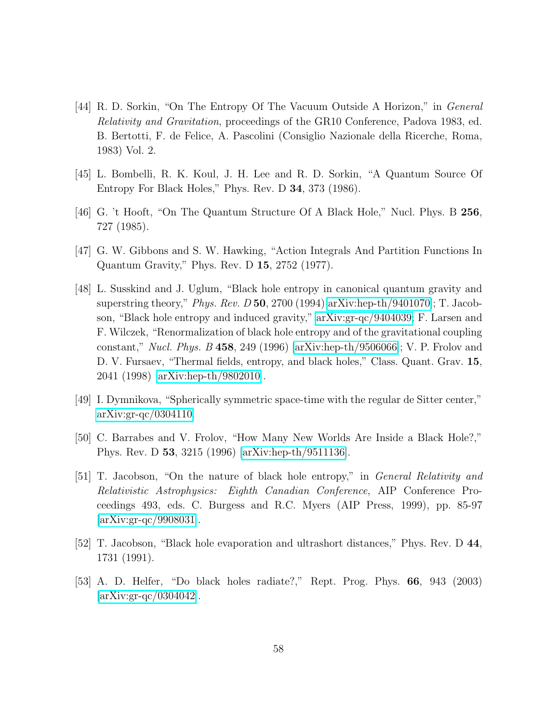- <span id="page-57-2"></span>[44] R. D. Sorkin, "On The Entropy Of The Vacuum Outside A Horizon," in *General Relativity and Gravitation*, proceedings of the GR10 Conference, Padova 1983, ed. B. Bertotti, F. de Felice, A. Pascolini (Consiglio Nazionale della Ricerche, Roma, 1983) Vol. 2.
- <span id="page-57-4"></span><span id="page-57-3"></span>[45] L. Bombelli, R. K. Koul, J. H. Lee and R. D. Sorkin, "A Quantum Source Of Entropy For Black Holes," Phys. Rev. D 34, 373 (1986).
- <span id="page-57-0"></span>[46] G. 't Hooft, "On The Quantum Structure Of A Black Hole," Nucl. Phys. B 256, 727 (1985).
- <span id="page-57-1"></span>[47] G. W. Gibbons and S. W. Hawking, "Action Integrals And Partition Functions In Quantum Gravity," Phys. Rev. D 15, 2752 (1977).
- [48] L. Susskind and J. Uglum, "Black hole entropy in canonical quantum gravity and superstring theory," *Phys. Rev. D* 50, 2700 (1994)[\[arXiv:hep-th/9401070\]](http://arXiv.org/abs/hep-th/9401070); T. Jacobson, "Black hole entropy and induced gravity," [arXiv:gr-qc/9404039;](http://arXiv.org/abs/gr-qc/9404039) F. Larsen and F. Wilczek, "Renormalization of black hole entropy and of the gravitational coupling constant," *Nucl. Phys. B* 458, 249 (1996) [\[arXiv:hep-th/9506066\]](http://arXiv.org/abs/hep-th/9506066); V. P. Frolov and D. V. Fursaev, "Thermal fields, entropy, and black holes," Class. Quant. Grav. 15, 2041 (1998) [\[arXiv:hep-th/9802010\]](http://arXiv.org/abs/hep-th/9802010).
- <span id="page-57-6"></span><span id="page-57-5"></span>[49] I. Dymnikova, "Spherically symmetric space-time with the regular de Sitter center," [arXiv:gr-qc/0304110.](http://arXiv.org/abs/gr-qc/0304110)
- <span id="page-57-7"></span>[50] C. Barrabes and V. Frolov, "How Many New Worlds Are Inside a Black Hole?," Phys. Rev. D 53, 3215 (1996) [\[arXiv:hep-th/9511136\]](http://arXiv.org/abs/hep-th/9511136).
- [51] T. Jacobson, "On the nature of black hole entropy," in *General Relativity and Relativistic Astrophysics: Eighth Canadian Conference*, AIP Conference Proceedings 493, eds. C. Burgess and R.C. Myers (AIP Press, 1999), pp. 85-97 [\[arXiv:gr-qc/9908031\]](http://arXiv.org/abs/gr-qc/9908031).
- <span id="page-57-9"></span><span id="page-57-8"></span>[52] T. Jacobson, "Black hole evaporation and ultrashort distances," Phys. Rev. D 44, 1731 (1991).
- [53] A. D. Helfer, "Do black holes radiate?," Rept. Prog. Phys. 66, 943 (2003) [\[arXiv:gr-qc/0304042\]](http://arXiv.org/abs/gr-qc/0304042).